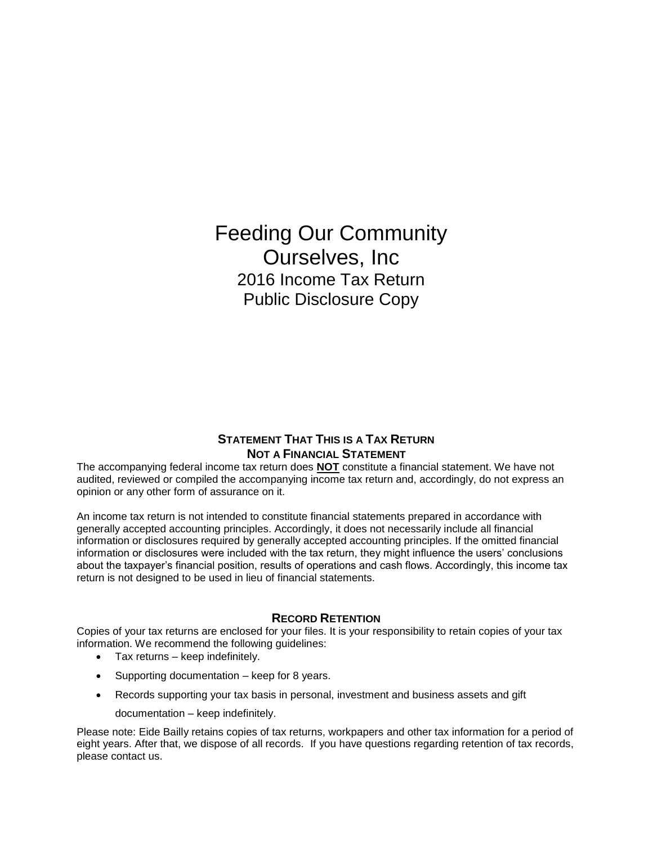Feeding Our Community Ourselves, Inc 2016 Income Tax Return Public Disclosure Copy

# **STATEMENT THAT THIS IS A TAX RETURN NOT A FINANCIAL STATEMENT**

The accompanying federal income tax return does **NOT** constitute a financial statement. We have not audited, reviewed or compiled the accompanying income tax return and, accordingly, do not express an opinion or any other form of assurance on it.

An income tax return is not intended to constitute financial statements prepared in accordance with generally accepted accounting principles. Accordingly, it does not necessarily include all financial information or disclosures required by generally accepted accounting principles. If the omitted financial information or disclosures were included with the tax return, they might influence the users' conclusions about the taxpayer's financial position, results of operations and cash flows. Accordingly, this income tax return is not designed to be used in lieu of financial statements.

# **RECORD RETENTION**

Copies of your tax returns are enclosed for your files. It is your responsibility to retain copies of your tax information. We recommend the following guidelines:

- Tax returns keep indefinitely.
- Supporting documentation keep for 8 years.
- Records supporting your tax basis in personal, investment and business assets and gift
	- documentation keep indefinitely.

Please note: Eide Bailly retains copies of tax returns, workpapers and other tax information for a period of eight years. After that, we dispose of all records. If you have questions regarding retention of tax records, please contact us.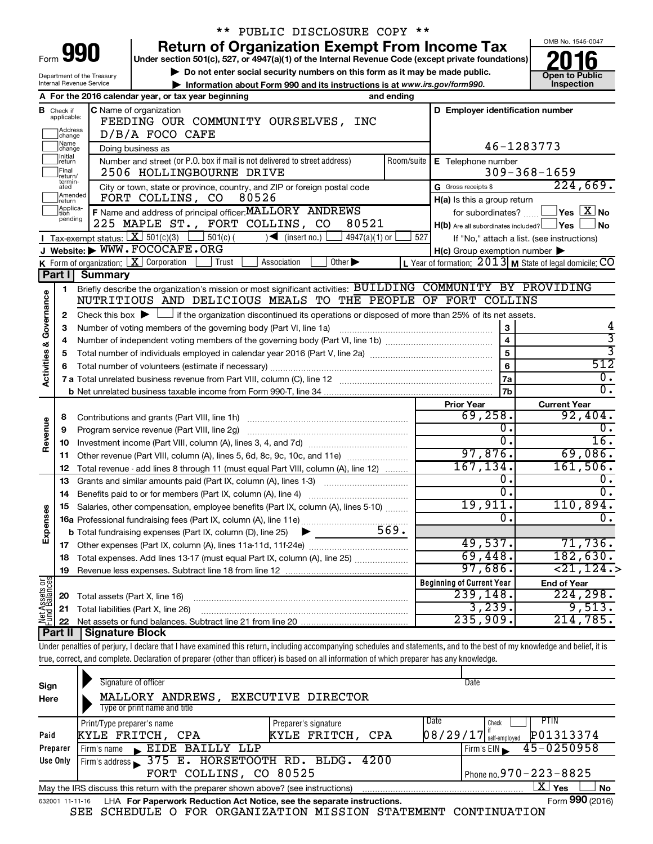|                                       |                                  |                                                        | ** PUBLIC DISCLOSURE COPY **                                                                                                                                                             |            |                                                         |                                                                      |
|---------------------------------------|----------------------------------|--------------------------------------------------------|------------------------------------------------------------------------------------------------------------------------------------------------------------------------------------------|------------|---------------------------------------------------------|----------------------------------------------------------------------|
|                                       |                                  |                                                        | <b>Return of Organization Exempt From Income Tax</b>                                                                                                                                     |            |                                                         | OMB No. 1545-0047                                                    |
|                                       |                                  | Form 990                                               | Under section 501(c), 527, or 4947(a)(1) of the Internal Revenue Code (except private foundations)                                                                                       |            |                                                         |                                                                      |
|                                       |                                  | Department of the Treasury                             | Do not enter social security numbers on this form as it may be made public.                                                                                                              |            |                                                         | <b>Open to Public</b>                                                |
|                                       |                                  | Internal Revenue Service                               | Information about Form 990 and its instructions is at www.irs.gov/form990.                                                                                                               |            |                                                         | Inspection                                                           |
|                                       |                                  |                                                        | A For the 2016 calendar year, or tax year beginning<br>and ending                                                                                                                        |            |                                                         |                                                                      |
|                                       | <b>B</b> Check if<br>applicable: |                                                        | C Name of organization                                                                                                                                                                   |            | D Employer identification number                        |                                                                      |
|                                       | Address                          |                                                        | FEEDING OUR COMMUNITY OURSELVES, INC                                                                                                                                                     |            |                                                         |                                                                      |
|                                       | change<br>Name                   |                                                        | D/B/A FOCO CAFE                                                                                                                                                                          |            |                                                         |                                                                      |
|                                       | change<br>Initial                |                                                        | Doing business as                                                                                                                                                                        |            |                                                         | 46-1283773                                                           |
|                                       | return<br>Final                  |                                                        | Number and street (or P.O. box if mail is not delivered to street address)<br>2506 HOLLINGBOURNE DRIVE                                                                                   | Room/suite | E Telephone number                                      | $309 - 368 - 1659$                                                   |
|                                       | return/<br>termin-               |                                                        |                                                                                                                                                                                          |            | G Gross receipts \$                                     | 224,669.                                                             |
|                                       | ated<br>Amended                  |                                                        | City or town, state or province, country, and ZIP or foreign postal code<br>80526<br>FORT COLLINS, CO                                                                                    |            | H(a) Is this a group return                             |                                                                      |
|                                       | Ireturn<br>Applica-<br>Ition     |                                                        | F Name and address of principal officer: MALLORY ANDREWS                                                                                                                                 |            |                                                         | for subordinates? $\boxed{\phantom{a}}$ Yes $\boxed{\phantom{a}}$ No |
|                                       | pending                          |                                                        | 80521<br>225 MAPLE ST., FORT COLLINS, CO                                                                                                                                                 |            | $H(b)$ Are all subordinates included? $\Box$ Yes $\Box$ | <b>No</b>                                                            |
|                                       |                                  | <b>I</b> Tax-exempt status: $X \overline{X}$ 501(c)(3) | $\Box$ 501(c) (<br>$\leq$ (insert no.)<br>4947(a)(1) or                                                                                                                                  | 527        |                                                         | If "No," attach a list. (see instructions)                           |
|                                       |                                  |                                                        | J Website: WWW.FOCOCAFE.ORG                                                                                                                                                              |            | $H(c)$ Group exemption number $\blacktriangleright$     |                                                                      |
|                                       |                                  |                                                        | K Form of organization: $X$ Corporation<br>Trust<br>Association<br>Other $\blacktriangleright$                                                                                           |            |                                                         | L Year of formation: $2013$ M State of legal domicile: CO            |
|                                       | Part II                          | <b>Summary</b>                                         |                                                                                                                                                                                          |            |                                                         |                                                                      |
|                                       | 1                                |                                                        | Briefly describe the organization's mission or most significant activities: BUILDING COMMUNITY BY PROVIDING                                                                              |            |                                                         |                                                                      |
|                                       |                                  |                                                        | NUTRITIOUS AND DELICIOUS MEALS TO THE PEOPLE OF FORT COLLINS                                                                                                                             |            |                                                         |                                                                      |
| <b>Activities &amp; Governance</b>    | $\mathbf{2}$                     |                                                        | Check this box $\blacktriangleright$ $\Box$ if the organization discontinued its operations or disposed of more than 25% of its net assets.                                              |            |                                                         |                                                                      |
|                                       | 3                                |                                                        | Number of voting members of the governing body (Part VI, line 1a)                                                                                                                        |            | 3                                                       |                                                                      |
|                                       | 4                                |                                                        |                                                                                                                                                                                          |            | $\overline{4}$                                          | $\overline{\mathbf{3}}$                                              |
|                                       | 5                                |                                                        |                                                                                                                                                                                          |            | $\overline{5}$                                          |                                                                      |
|                                       | 6                                |                                                        |                                                                                                                                                                                          |            | $\overline{6}$                                          | 512                                                                  |
|                                       |                                  |                                                        |                                                                                                                                                                                          |            | 7a                                                      | $\overline{0}$ .                                                     |
|                                       |                                  |                                                        |                                                                                                                                                                                          |            | 7b                                                      | $\overline{0}$ .                                                     |
|                                       |                                  |                                                        |                                                                                                                                                                                          |            | <b>Prior Year</b>                                       | <b>Current Year</b>                                                  |
|                                       | 8                                |                                                        | Contributions and grants (Part VIII, line 1h)                                                                                                                                            |            | 69, 258.                                                | 92,404.                                                              |
| Revenue                               | 9                                |                                                        | Program service revenue (Part VIII, line 2g)                                                                                                                                             |            | о.<br>$\overline{0}$ .                                  | О.<br>16.                                                            |
|                                       | 10                               |                                                        |                                                                                                                                                                                          |            | 97,876.                                                 | 69,086.                                                              |
|                                       | 11                               |                                                        | Other revenue (Part VIII, column (A), lines 5, 6d, 8c, 9c, 10c, and 11e)                                                                                                                 |            | 167, 134.                                               | 161,506.                                                             |
|                                       | 12                               |                                                        | Total revenue - add lines 8 through 11 (must equal Part VIII, column (A), line 12)                                                                                                       |            | о.                                                      | $\overline{0}$ .                                                     |
|                                       | 13                               |                                                        | Grants and similar amounts paid (Part IX, column (A), lines 1-3)<br><u> 1986 - Jan Stein Stein Stein Stein Stein Stein Stein Stein Stein Stein Stein Stein Stein Stein Stein Stein S</u> |            | σ.                                                      | σ.                                                                   |
|                                       | 14                               |                                                        |                                                                                                                                                                                          |            | 19,911.                                                 | 110,894.                                                             |
|                                       | 15                               |                                                        | Salaries, other compensation, employee benefits (Part IX, column (A), lines 5-10)                                                                                                        |            | 0.                                                      | $\overline{0}$ .                                                     |
| Expenses                              |                                  |                                                        | <b>b</b> Total fundraising expenses (Part IX, column (D), line 25)                                                                                                                       |            |                                                         |                                                                      |
|                                       | 17                               |                                                        |                                                                                                                                                                                          |            | 49,537.                                                 | 71,736.                                                              |
|                                       | 18                               |                                                        | Total expenses. Add lines 13-17 (must equal Part IX, column (A), line 25)                                                                                                                |            | 69,448.                                                 | 182,630.                                                             |
|                                       | 19                               |                                                        |                                                                                                                                                                                          |            | 97,686.                                                 | $\overline{<}21$ , $124$ $\overline{\cdot}$ $>$                      |
|                                       |                                  |                                                        |                                                                                                                                                                                          |            | <b>Beginning of Current Year</b>                        | <b>End of Year</b>                                                   |
|                                       | 20                               | Total assets (Part X, line 16)                         |                                                                                                                                                                                          |            | 239, 148.                                               | $\overline{224,298}$ .                                               |
|                                       | 21                               |                                                        | Total liabilities (Part X, line 26)                                                                                                                                                      |            | 3,239.                                                  | 9,513.                                                               |
| <b>Net Assets or</b><br>Fund Balances | 22                               |                                                        |                                                                                                                                                                                          |            | 235,909.                                                | 214,785.                                                             |
|                                       | Part II                          | Signature Block                                        |                                                                                                                                                                                          |            |                                                         |                                                                      |
|                                       |                                  |                                                        | Under penalties of perjury, I declare that I have examined this return, including accompanying schedules and statements, and to the best of my knowledge and belief, it is               |            |                                                         |                                                                      |
|                                       |                                  |                                                        | true, correct, and complete. Declaration of preparer (other than officer) is based on all information of which preparer has any knowledge.                                               |            |                                                         |                                                                      |
|                                       |                                  |                                                        |                                                                                                                                                                                          |            |                                                         |                                                                      |
| Sign                                  |                                  |                                                        | Signature of officer                                                                                                                                                                     |            | Date                                                    |                                                                      |
| Here                                  |                                  |                                                        | EXECUTIVE DIRECTOR<br>MALLORY ANDREWS,                                                                                                                                                   |            |                                                         |                                                                      |
|                                       |                                  |                                                        | Type or print name and title                                                                                                                                                             |            |                                                         |                                                                      |
| Paid                                  |                                  | Print/Type preparer's name                             | Preparer's signature<br>KYLE FRITCH, CPA<br>KYLE FRITCH, CPA                                                                                                                             |            | <b>Date</b><br>Check<br>$08/29/17$ if self-employed     | <b>PTIN</b><br>P01313374                                             |
|                                       |                                  |                                                        |                                                                                                                                                                                          |            |                                                         |                                                                      |

|                 | <b>FILIO LYPC PICPATCL STIGHTC</b>                                                                  | <b>FIGURICI S SIGHALUIG</b> |  | viivun                                            |                 |  |  |  |
|-----------------|-----------------------------------------------------------------------------------------------------|-----------------------------|--|---------------------------------------------------|-----------------|--|--|--|
| Paid            | KYLE FRITCH, CPA                                                                                    | KYLE FRITCH, CPA            |  | $[08/29/17]$ self-employed $[$ $\verb PO1313374 $ |                 |  |  |  |
| Preparer        | L EIDE BAILLY LLP<br>Firm's name                                                                    |                             |  | $I$ Firm's EIN $\rightarrow$ 45-0250958           |                 |  |  |  |
| Use Only        | Firm's address 375 E. HORSETOOTH RD. BLDG. 4200                                                     |                             |  |                                                   |                 |  |  |  |
|                 | FORT COLLINS, CO 80525                                                                              |                             |  | Phone no. $970 - 223 - 8825$                      |                 |  |  |  |
|                 | x<br>No<br>Yes<br>May the IRS discuss this return with the preparer shown above? (see instructions) |                             |  |                                                   |                 |  |  |  |
| 632001 11-11-16 | LHA For Paperwork Reduction Act Notice, see the separate instructions.                              |                             |  |                                                   | Form 990 (2016) |  |  |  |

SEE SCHEDULE O FOR ORGANIZATION MISSION STATEMENT CONTINUATION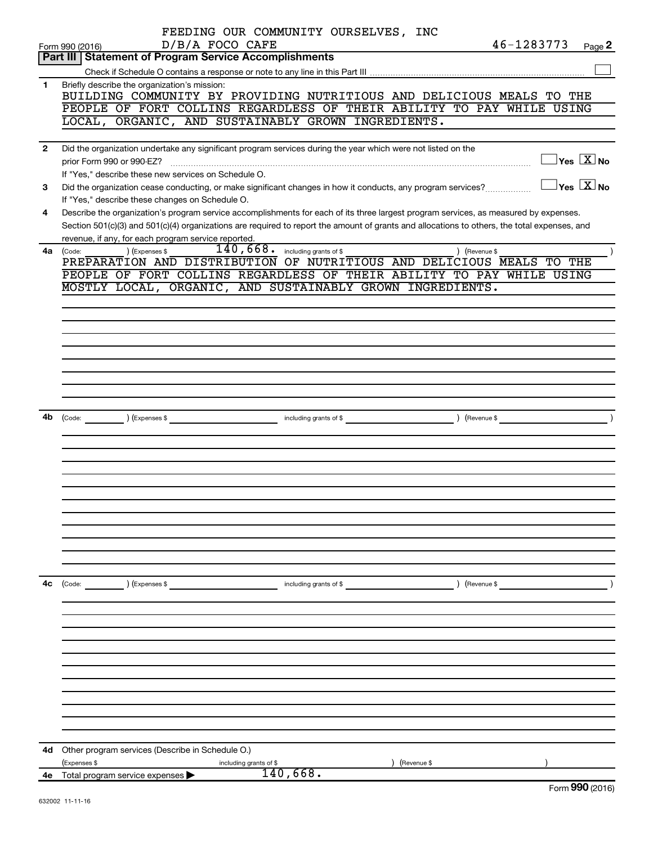|                | FEEDING OUR COMMUNITY OURSELVES, INC                                                                                                                            |  |
|----------------|-----------------------------------------------------------------------------------------------------------------------------------------------------------------|--|
|                | 46-1283773<br>D/B/A FOCO CAFE<br>Form 990 (2016)<br>Page 2                                                                                                      |  |
|                | Part III   Statement of Program Service Accomplishments                                                                                                         |  |
|                |                                                                                                                                                                 |  |
| 1              | Briefly describe the organization's mission:<br>BUILDING COMMUNITY BY PROVIDING NUTRITIOUS AND DELICIOUS MEALS TO THE                                           |  |
|                | PEOPLE OF FORT COLLINS REGARDLESS OF THEIR ABILITY TO PAY WHILE USING                                                                                           |  |
|                | LOCAL, ORGANIC, AND SUSTAINABLY GROWN INGREDIENTS.                                                                                                              |  |
|                |                                                                                                                                                                 |  |
| $\overline{2}$ | Did the organization undertake any significant program services during the year which were not listed on the                                                    |  |
|                | $\Box$ Yes $[\overline{\mathrm{X}}]$ No                                                                                                                         |  |
|                | If "Yes," describe these new services on Schedule O.                                                                                                            |  |
| 3              | $\boxed{\phantom{1}}$ Yes $\boxed{\text{X}}$ No<br>Did the organization cease conducting, or make significant changes in how it conducts, any program services? |  |
|                | If "Yes," describe these changes on Schedule O.                                                                                                                 |  |
| 4              | Describe the organization's program service accomplishments for each of its three largest program services, as measured by expenses.                            |  |
|                | Section 501(c)(3) and 501(c)(4) organizations are required to report the amount of grants and allocations to others, the total expenses, and                    |  |
|                | revenue, if any, for each program service reported.                                                                                                             |  |
| 4a l           | 140,668.<br>including grants of \$<br>) (Expenses \$<br>) (Revenue \$<br>(Code:                                                                                 |  |
|                | PREPARATION AND DISTRIBUTION OF NUTRITIOUS AND DELICIOUS MEALS TO THE                                                                                           |  |
|                | PEOPLE OF FORT COLLINS REGARDLESS OF THEIR ABILITY TO PAY WHILE USING                                                                                           |  |
|                | MOSTLY LOCAL, ORGANIC, AND SUSTAINABLY GROWN INGREDIENTS.                                                                                                       |  |
|                |                                                                                                                                                                 |  |
|                |                                                                                                                                                                 |  |
|                |                                                                                                                                                                 |  |
|                |                                                                                                                                                                 |  |
|                |                                                                                                                                                                 |  |
|                |                                                                                                                                                                 |  |
|                |                                                                                                                                                                 |  |
|                |                                                                                                                                                                 |  |
|                |                                                                                                                                                                 |  |
| 4b             |                                                                                                                                                                 |  |
|                |                                                                                                                                                                 |  |
|                |                                                                                                                                                                 |  |
|                |                                                                                                                                                                 |  |
|                |                                                                                                                                                                 |  |
|                |                                                                                                                                                                 |  |
|                |                                                                                                                                                                 |  |
|                |                                                                                                                                                                 |  |
|                |                                                                                                                                                                 |  |
|                |                                                                                                                                                                 |  |
|                |                                                                                                                                                                 |  |
|                |                                                                                                                                                                 |  |
| 4c             | (Code: ) (Expenses \$ contracts of \$ code: ) (Revenue \$ code: ) (Revenue \$ code: ) (Revenue \$ code: )                                                       |  |
|                |                                                                                                                                                                 |  |
|                |                                                                                                                                                                 |  |
|                |                                                                                                                                                                 |  |
|                |                                                                                                                                                                 |  |
|                |                                                                                                                                                                 |  |
|                |                                                                                                                                                                 |  |
|                |                                                                                                                                                                 |  |
|                |                                                                                                                                                                 |  |
|                |                                                                                                                                                                 |  |
|                |                                                                                                                                                                 |  |
|                |                                                                                                                                                                 |  |
|                |                                                                                                                                                                 |  |
|                | 4d Other program services (Describe in Schedule O.)                                                                                                             |  |
|                | (Expenses \$<br>) (Revenue \$<br>including grants of \$                                                                                                         |  |
|                | 140,668.<br>4e Total program service expenses $\blacktriangleright$<br>$T_{\text{sum}}$ 000 (2016)                                                              |  |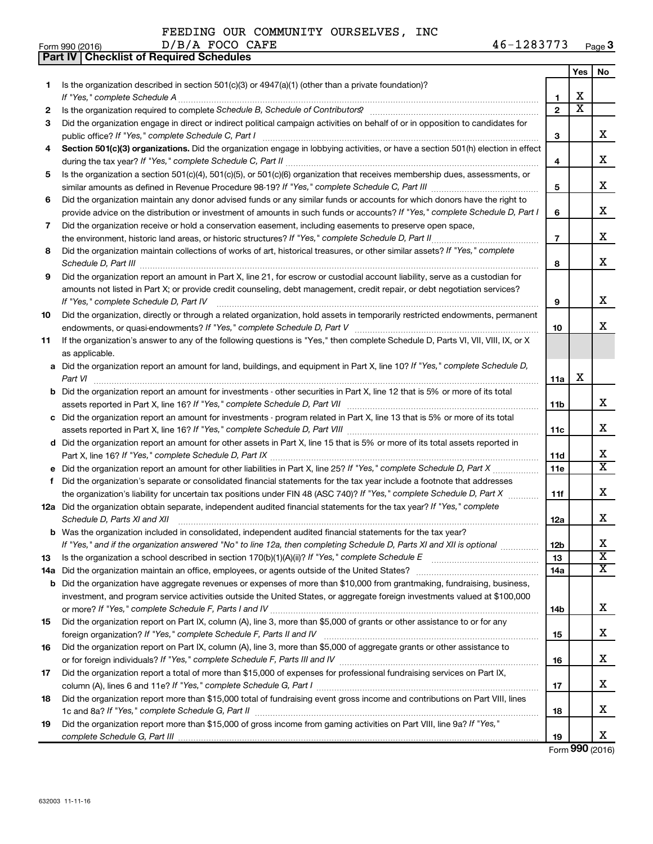|  |  |  | FEEDING OUR COMMUNITY OURSELVES, INC |  |
|--|--|--|--------------------------------------|--|
|--|--|--|--------------------------------------|--|

D/B/A FOCO CAFE

|     | Part IV   Checklist of Required Schedules                                                                                                                                                                                           |                 |                         |                         |
|-----|-------------------------------------------------------------------------------------------------------------------------------------------------------------------------------------------------------------------------------------|-----------------|-------------------------|-------------------------|
|     |                                                                                                                                                                                                                                     |                 | Yes                     | No                      |
| 1   | Is the organization described in section $501(c)(3)$ or $4947(a)(1)$ (other than a private foundation)?                                                                                                                             |                 |                         |                         |
|     |                                                                                                                                                                                                                                     | 1               | х                       |                         |
| 2   |                                                                                                                                                                                                                                     | $\overline{2}$  | $\overline{\textbf{x}}$ |                         |
| 3   | Did the organization engage in direct or indirect political campaign activities on behalf of or in opposition to candidates for                                                                                                     |                 |                         |                         |
|     |                                                                                                                                                                                                                                     | 3               |                         | x                       |
| 4   | Section 501(c)(3) organizations. Did the organization engage in lobbying activities, or have a section 501(h) election in effect                                                                                                    |                 |                         |                         |
|     |                                                                                                                                                                                                                                     | 4               |                         | x                       |
| 5   | Is the organization a section 501(c)(4), 501(c)(5), or 501(c)(6) organization that receives membership dues, assessments, or                                                                                                        |                 |                         |                         |
|     |                                                                                                                                                                                                                                     | 5               |                         | x                       |
| 6   | Did the organization maintain any donor advised funds or any similar funds or accounts for which donors have the right to                                                                                                           |                 |                         |                         |
|     | provide advice on the distribution or investment of amounts in such funds or accounts? If "Yes," complete Schedule D, Part I                                                                                                        | 6               |                         | x                       |
| 7   | Did the organization receive or hold a conservation easement, including easements to preserve open space,                                                                                                                           |                 |                         |                         |
|     | the environment, historic land areas, or historic structures? If "Yes," complete Schedule D, Part II                                                                                                                                | $\overline{7}$  |                         | x                       |
| 8   | Did the organization maintain collections of works of art, historical treasures, or other similar assets? If "Yes," complete                                                                                                        |                 |                         |                         |
|     | Schedule D, Part III <b>Marting Constructs</b> and the construction of the construction of the construction of the construction of the construction of the construction of the construction of the construction of the construction | 8               |                         | x                       |
| 9   | Did the organization report an amount in Part X, line 21, for escrow or custodial account liability, serve as a custodian for                                                                                                       |                 |                         |                         |
|     | amounts not listed in Part X; or provide credit counseling, debt management, credit repair, or debt negotiation services?                                                                                                           |                 |                         |                         |
|     | If "Yes." complete Schedule D, Part IV                                                                                                                                                                                              | 9               |                         | x                       |
| 10  | Did the organization, directly or through a related organization, hold assets in temporarily restricted endowments, permanent                                                                                                       |                 |                         |                         |
|     |                                                                                                                                                                                                                                     | 10              |                         | x                       |
| 11  | If the organization's answer to any of the following questions is "Yes," then complete Schedule D, Parts VI, VII, VIII, IX, or X                                                                                                    |                 |                         |                         |
|     | as applicable.                                                                                                                                                                                                                      |                 |                         |                         |
|     | a Did the organization report an amount for land, buildings, and equipment in Part X, line 10? If "Yes," complete Schedule D,                                                                                                       |                 |                         |                         |
|     | Part VI                                                                                                                                                                                                                             | 11a             | X                       |                         |
|     | <b>b</b> Did the organization report an amount for investments - other securities in Part X, line 12 that is 5% or more of its total                                                                                                |                 |                         |                         |
|     |                                                                                                                                                                                                                                     | 11 <sub>b</sub> |                         | x                       |
|     |                                                                                                                                                                                                                                     |                 |                         |                         |
|     | c Did the organization report an amount for investments - program related in Part X, line 13 that is 5% or more of its total                                                                                                        | 11c             |                         | х                       |
|     |                                                                                                                                                                                                                                     |                 |                         |                         |
|     | d Did the organization report an amount for other assets in Part X, line 15 that is 5% or more of its total assets reported in                                                                                                      |                 |                         | x                       |
|     |                                                                                                                                                                                                                                     | 11d             |                         | $\overline{\mathtt{x}}$ |
|     | Did the organization report an amount for other liabilities in Part X, line 25? If "Yes," complete Schedule D, Part X manus                                                                                                         | 11e             |                         |                         |
| f.  | Did the organization's separate or consolidated financial statements for the tax year include a footnote that addresses                                                                                                             |                 |                         | х                       |
|     | the organization's liability for uncertain tax positions under FIN 48 (ASC 740)? If "Yes," complete Schedule D, Part X                                                                                                              | 11f             |                         |                         |
|     | 12a Did the organization obtain separate, independent audited financial statements for the tax year? If "Yes," complete                                                                                                             |                 |                         | x                       |
|     | Schedule D, Parts XI and XII <b>continuum continuum continuum continuum continuum continuum continuum continuum</b> continuum continuum continuum continuum continuum continuum continuum continuum continuum continuum continuum c | 12a             |                         |                         |
| b   | Was the organization included in consolidated, independent audited financial statements for the tax year?                                                                                                                           |                 |                         | х                       |
|     | If "Yes," and if the organization answered "No" to line 12a, then completing Schedule D, Parts XI and XII is optional                                                                                                               | 12 <sub>b</sub> |                         | $\overline{\mathbf{X}}$ |
| 13  |                                                                                                                                                                                                                                     | 13              |                         | $\overline{\texttt{x}}$ |
| 14a | Did the organization maintain an office, employees, or agents outside of the United States?                                                                                                                                         | 14a             |                         |                         |
| b   | Did the organization have aggregate revenues or expenses of more than \$10,000 from grantmaking, fundraising, business,                                                                                                             |                 |                         |                         |
|     | investment, and program service activities outside the United States, or aggregate foreign investments valued at \$100,000                                                                                                          |                 |                         |                         |
|     |                                                                                                                                                                                                                                     | 14b             |                         | x                       |
| 15  | Did the organization report on Part IX, column (A), line 3, more than \$5,000 of grants or other assistance to or for any                                                                                                           |                 |                         |                         |
|     |                                                                                                                                                                                                                                     | 15              |                         | х                       |
| 16  | Did the organization report on Part IX, column (A), line 3, more than \$5,000 of aggregate grants or other assistance to                                                                                                            |                 |                         |                         |
|     |                                                                                                                                                                                                                                     | 16              |                         | x                       |
| 17  | Did the organization report a total of more than \$15,000 of expenses for professional fundraising services on Part IX,                                                                                                             |                 |                         |                         |
|     |                                                                                                                                                                                                                                     | 17              |                         | x                       |
| 18  | Did the organization report more than \$15,000 total of fundraising event gross income and contributions on Part VIII, lines                                                                                                        |                 |                         |                         |
|     |                                                                                                                                                                                                                                     | 18              |                         | x                       |
| 19  | Did the organization report more than \$15,000 of gross income from gaming activities on Part VIII, line 9a? If "Yes,"                                                                                                              |                 |                         |                         |
|     |                                                                                                                                                                                                                                     | 19              |                         | x                       |

Form (2016) **990**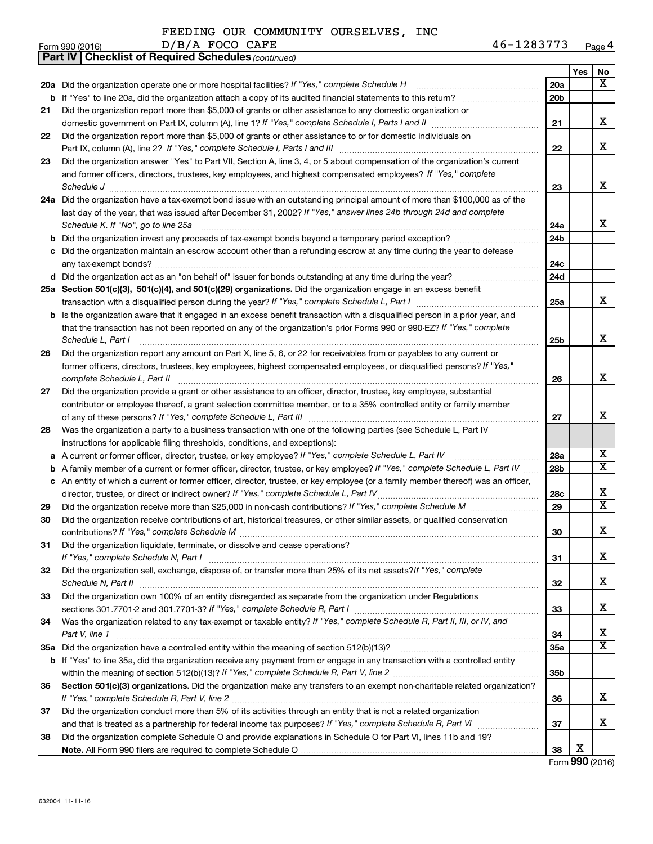|  |  |  | FEEDING OUR COMMUNITY OURSELVES, INC |  |
|--|--|--|--------------------------------------|--|
|--|--|--|--------------------------------------|--|

| Form 990 (2016) | D/B/A<br><b>CAFE</b><br><b>FOCO</b> | ר פיממ<br>Page 4<br>∡ Or<br>۱ د ه ۲ د |
|-----------------|-------------------------------------|---------------------------------------|
|-----------------|-------------------------------------|---------------------------------------|

|    | <b>Part IV   Checklist of Required Schedules (continued)</b>                                                                        |                 |     |                         |
|----|-------------------------------------------------------------------------------------------------------------------------------------|-----------------|-----|-------------------------|
|    |                                                                                                                                     |                 | Yes | No                      |
|    | 20a Did the organization operate one or more hospital facilities? If "Yes," complete Schedule H                                     | 20a             |     | x                       |
|    |                                                                                                                                     | 20 <sub>b</sub> |     |                         |
| 21 | Did the organization report more than \$5,000 of grants or other assistance to any domestic organization or                         |                 |     |                         |
|    |                                                                                                                                     | 21              |     | х                       |
| 22 | Did the organization report more than \$5,000 of grants or other assistance to or for domestic individuals on                       |                 |     |                         |
|    |                                                                                                                                     | 22              |     | х                       |
| 23 | Did the organization answer "Yes" to Part VII, Section A, line 3, 4, or 5 about compensation of the organization's current          |                 |     |                         |
|    | and former officers, directors, trustees, key employees, and highest compensated employees? If "Yes," complete                      |                 |     |                         |
|    |                                                                                                                                     | 23              |     | X                       |
|    | 24a Did the organization have a tax-exempt bond issue with an outstanding principal amount of more than \$100,000 as of the         |                 |     |                         |
|    | last day of the year, that was issued after December 31, 2002? If "Yes," answer lines 24b through 24d and complete                  |                 |     |                         |
|    | Schedule K. If "No", go to line 25a                                                                                                 | 24a             |     | x                       |
| b  |                                                                                                                                     | 24 <sub>b</sub> |     |                         |
|    | c Did the organization maintain an escrow account other than a refunding escrow at any time during the year to defease              |                 |     |                         |
|    |                                                                                                                                     | 24c             |     |                         |
|    |                                                                                                                                     | 24d             |     |                         |
|    | 25a Section 501(c)(3), 501(c)(4), and 501(c)(29) organizations. Did the organization engage in an excess benefit                    |                 |     |                         |
|    |                                                                                                                                     | 25a             |     | x                       |
|    | <b>b</b> Is the organization aware that it engaged in an excess benefit transaction with a disqualified person in a prior year, and |                 |     |                         |
|    | that the transaction has not been reported on any of the organization's prior Forms 990 or 990-EZ? If "Yes," complete               |                 |     |                         |
|    | Schedule L, Part I                                                                                                                  | 25b             |     | х                       |
| 26 | Did the organization report any amount on Part X, line 5, 6, or 22 for receivables from or payables to any current or               |                 |     |                         |
|    | former officers, directors, trustees, key employees, highest compensated employees, or disqualified persons? If "Yes,"              |                 |     |                         |
|    |                                                                                                                                     | 26              |     | х                       |
| 27 | Did the organization provide a grant or other assistance to an officer, director, trustee, key employee, substantial                |                 |     |                         |
|    | contributor or employee thereof, a grant selection committee member, or to a 35% controlled entity or family member                 |                 |     |                         |
|    |                                                                                                                                     | 27              |     | x                       |
| 28 | Was the organization a party to a business transaction with one of the following parties (see Schedule L, Part IV                   |                 |     |                         |
|    | instructions for applicable filing thresholds, conditions, and exceptions):                                                         |                 |     |                         |
| а  | A current or former officer, director, trustee, or key employee? If "Yes," complete Schedule L, Part IV                             | 28a             |     | х                       |
| b  | A family member of a current or former officer, director, trustee, or key employee? If "Yes," complete Schedule L, Part IV          | 28b             |     | $\overline{\textbf{X}}$ |
|    | c An entity of which a current or former officer, director, trustee, or key employee (or a family member thereof) was an officer,   |                 |     |                         |
|    | director, trustee, or direct or indirect owner? If "Yes," complete Schedule L, Part IV                                              | 28c             |     | х                       |
| 29 |                                                                                                                                     | 29              |     | X                       |
| 30 | Did the organization receive contributions of art, historical treasures, or other similar assets, or qualified conservation         |                 |     |                         |
|    |                                                                                                                                     | 30              |     | Χ                       |
| 31 | Did the organization liquidate, terminate, or dissolve and cease operations?                                                        |                 |     |                         |
|    |                                                                                                                                     | 31              |     | х                       |
| 32 | Did the organization sell, exchange, dispose of, or transfer more than 25% of its net assets?/f "Yes," complete                     |                 |     |                         |
|    | Schedule N, Part II                                                                                                                 | 32              |     | х                       |
| 33 | Did the organization own 100% of an entity disregarded as separate from the organization under Regulations                          |                 |     |                         |
|    |                                                                                                                                     | 33              |     | х                       |
| 34 | Was the organization related to any tax-exempt or taxable entity? If "Yes," complete Schedule R, Part II, III, or IV, and           |                 |     |                         |
|    | Part V, line 1                                                                                                                      | 34              |     | х                       |
|    |                                                                                                                                     | <b>35a</b>      |     | X                       |
|    | b If "Yes" to line 35a, did the organization receive any payment from or engage in any transaction with a controlled entity         |                 |     |                         |
|    |                                                                                                                                     | 35b             |     |                         |
| 36 | Section 501(c)(3) organizations. Did the organization make any transfers to an exempt non-charitable related organization?          |                 |     |                         |
|    |                                                                                                                                     | 36              |     | х                       |
| 37 | Did the organization conduct more than 5% of its activities through an entity that is not a related organization                    |                 |     |                         |
|    |                                                                                                                                     | 37              |     | x                       |
| 38 | Did the organization complete Schedule O and provide explanations in Schedule O for Part VI, lines 11b and 19?                      |                 |     |                         |
|    |                                                                                                                                     | 38              | х   |                         |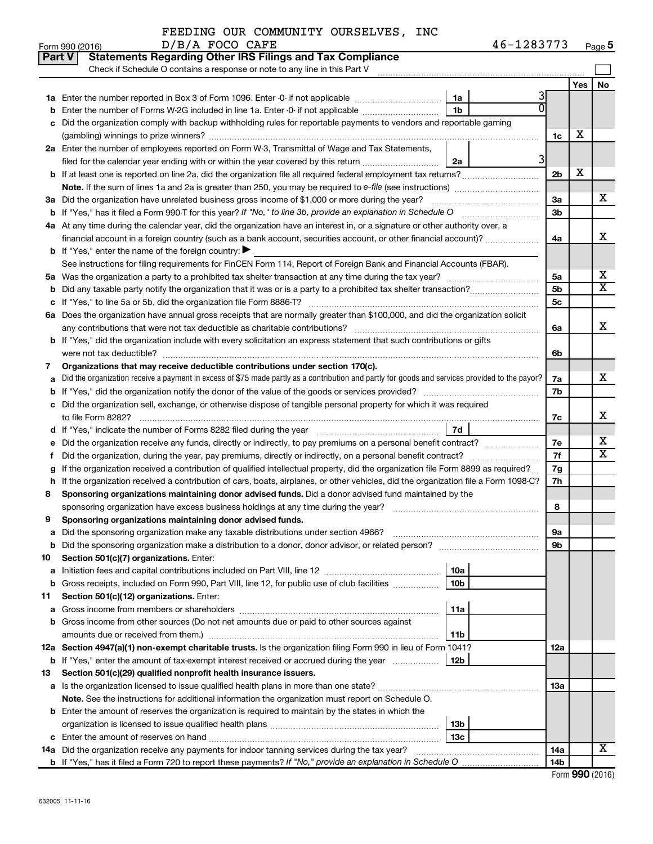|  |  |  | FEEDING OUR COMMUNITY OURSELVES, INC |  |
|--|--|--|--------------------------------------|--|
|--|--|--|--------------------------------------|--|

|    | Part V<br><b>Statements Regarding Other IRS Filings and Tax Compliance</b>                                                                      |                 |  |                      |     |                         |
|----|-------------------------------------------------------------------------------------------------------------------------------------------------|-----------------|--|----------------------|-----|-------------------------|
|    | Check if Schedule O contains a response or note to any line in this Part V                                                                      |                 |  |                      |     |                         |
|    |                                                                                                                                                 |                 |  |                      | Yes | No.                     |
|    |                                                                                                                                                 | 1a              |  |                      |     |                         |
|    | Enter the number of Forms W-2G included in line 1a. Enter -0- if not applicable                                                                 | 1 <sub>b</sub>  |  |                      |     |                         |
|    | Did the organization comply with backup withholding rules for reportable payments to vendors and reportable gaming                              |                 |  |                      |     |                         |
|    |                                                                                                                                                 |                 |  | 1c                   | x   |                         |
|    | 2a Enter the number of employees reported on Form W-3, Transmittal of Wage and Tax Statements,                                                  |                 |  |                      |     |                         |
|    | filed for the calendar year ending with or within the year covered by this return                                                               | 2a              |  |                      |     |                         |
|    |                                                                                                                                                 |                 |  | 2 <sub>b</sub>       | х   |                         |
|    |                                                                                                                                                 |                 |  |                      |     |                         |
|    | 3a Did the organization have unrelated business gross income of \$1,000 or more during the year?                                                |                 |  | За                   |     | x                       |
|    |                                                                                                                                                 |                 |  | 3 <sub>b</sub>       |     |                         |
|    | 4a At any time during the calendar year, did the organization have an interest in, or a signature or other authority over, a                    |                 |  |                      |     | X                       |
|    | financial account in a foreign country (such as a bank account, securities account, or other financial account)?                                |                 |  | 4a                   |     |                         |
|    | <b>b</b> If "Yes," enter the name of the foreign country: $\blacktriangleright$                                                                 |                 |  |                      |     |                         |
|    | See instructions for filing requirements for FinCEN Form 114, Report of Foreign Bank and Financial Accounts (FBAR).                             |                 |  |                      |     | х                       |
|    |                                                                                                                                                 |                 |  | 5a<br>5 <sub>b</sub> |     | $\overline{\mathtt{x}}$ |
|    |                                                                                                                                                 |                 |  | 5c                   |     |                         |
|    | 6a Does the organization have annual gross receipts that are normally greater than \$100,000, and did the organization solicit                  |                 |  |                      |     |                         |
|    |                                                                                                                                                 |                 |  | 6a                   |     | X                       |
|    | <b>b</b> If "Yes," did the organization include with every solicitation an express statement that such contributions or gifts                   |                 |  |                      |     |                         |
|    |                                                                                                                                                 |                 |  | 6b                   |     |                         |
| 7  | Organizations that may receive deductible contributions under section 170(c).                                                                   |                 |  |                      |     |                         |
| a  | Did the organization receive a payment in excess of \$75 made partly as a contribution and partly for goods and services provided to the payor? |                 |  | 7a                   |     | x                       |
|    |                                                                                                                                                 |                 |  | 7b                   |     |                         |
|    | c Did the organization sell, exchange, or otherwise dispose of tangible personal property for which it was required                             |                 |  |                      |     |                         |
|    |                                                                                                                                                 |                 |  | 7c                   |     | x                       |
|    |                                                                                                                                                 | 7d              |  |                      |     |                         |
| е  |                                                                                                                                                 |                 |  | 7e                   |     | x                       |
|    | Did the organization, during the year, pay premiums, directly or indirectly, on a personal benefit contract?                                    |                 |  | 7f                   |     | $\overline{\mathbf{X}}$ |
| g  | If the organization received a contribution of qualified intellectual property, did the organization file Form 8899 as required?                |                 |  | 7g                   |     |                         |
| h  | If the organization received a contribution of cars, boats, airplanes, or other vehicles, did the organization file a Form 1098-C?              |                 |  | 7h                   |     |                         |
| 8  | Sponsoring organizations maintaining donor advised funds. Did a donor advised fund maintained by the                                            |                 |  |                      |     |                         |
|    |                                                                                                                                                 |                 |  | 8                    |     |                         |
| 9  | Sponsoring organizations maintaining donor advised funds.                                                                                       |                 |  |                      |     |                         |
|    |                                                                                                                                                 |                 |  | эа                   |     |                         |
|    | <b>b</b> Did the sponsoring organization make a distribution to a donor, donor advisor, or related person?                                      |                 |  | 9b                   |     |                         |
| 10 | Section 501(c)(7) organizations. Enter:                                                                                                         |                 |  |                      |     |                         |
| а  |                                                                                                                                                 | 10a             |  |                      |     |                         |
| b  | Gross receipts, included on Form 990, Part VIII, line 12, for public use of club facilities                                                     | 10 <sub>b</sub> |  |                      |     |                         |
| 11 | Section 501(c)(12) organizations. Enter:                                                                                                        | 11a             |  |                      |     |                         |
| а  | b Gross income from other sources (Do not net amounts due or paid to other sources against                                                      |                 |  |                      |     |                         |
|    | amounts due or received from them.)                                                                                                             | 11b             |  |                      |     |                         |
|    | 12a Section 4947(a)(1) non-exempt charitable trusts. Is the organization filing Form 990 in lieu of Form 1041?                                  |                 |  | 12a                  |     |                         |
|    | <b>b</b> If "Yes," enter the amount of tax-exempt interest received or accrued during the year                                                  | 12b             |  |                      |     |                         |
| 13 | Section 501(c)(29) qualified nonprofit health insurance issuers.                                                                                |                 |  |                      |     |                         |
|    | a Is the organization licensed to issue qualified health plans in more than one state?                                                          |                 |  | 1За                  |     |                         |
|    | Note. See the instructions for additional information the organization must report on Schedule O.                                               |                 |  |                      |     |                         |
|    | <b>b</b> Enter the amount of reserves the organization is required to maintain by the states in which the                                       |                 |  |                      |     |                         |
|    |                                                                                                                                                 | 13 <sub>b</sub> |  |                      |     |                         |
|    |                                                                                                                                                 | 13 <sub>c</sub> |  |                      |     |                         |
|    | 14a Did the organization receive any payments for indoor tanning services during the tax year?                                                  |                 |  | 14a                  |     | X                       |
|    |                                                                                                                                                 |                 |  | 14b                  |     |                         |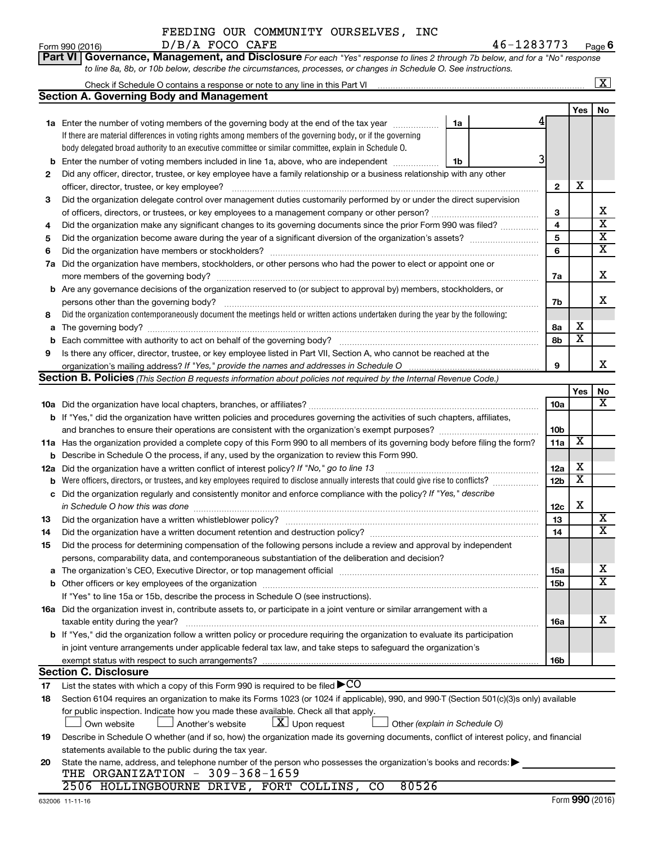**Part VI** Governance, Management, and Disclosure For each "Yes" response to lines 2 through 7b below, and for a "No" response *to line 8a, 8b, or 10b below, describe the circumstances, processes, or changes in Schedule O. See instructions.*

|          |                                                                                                                                                                                                                                  |    |  |                 |                         | x                                                  |  |
|----------|----------------------------------------------------------------------------------------------------------------------------------------------------------------------------------------------------------------------------------|----|--|-----------------|-------------------------|----------------------------------------------------|--|
|          | Section A. Governing Body and Management                                                                                                                                                                                         |    |  |                 |                         |                                                    |  |
|          |                                                                                                                                                                                                                                  |    |  |                 | Yes                     | No                                                 |  |
|          | <b>1a</b> Enter the number of voting members of the governing body at the end of the tax year                                                                                                                                    | 1a |  |                 |                         |                                                    |  |
|          | If there are material differences in voting rights among members of the governing body, or if the governing                                                                                                                      |    |  |                 |                         |                                                    |  |
|          | body delegated broad authority to an executive committee or similar committee, explain in Schedule O.                                                                                                                            |    |  |                 |                         |                                                    |  |
| b        | Enter the number of voting members included in line 1a, above, who are independent                                                                                                                                               | 1b |  |                 |                         |                                                    |  |
| 2        | Did any officer, director, trustee, or key employee have a family relationship or a business relationship with any other                                                                                                         |    |  |                 |                         |                                                    |  |
|          | officer, director, trustee, or key employee?                                                                                                                                                                                     |    |  | $\mathbf{2}$    | х                       |                                                    |  |
| 3        | Did the organization delegate control over management duties customarily performed by or under the direct supervision                                                                                                            |    |  |                 |                         |                                                    |  |
|          |                                                                                                                                                                                                                                  |    |  | 3<br>4          |                         | х<br>$\overline{\textbf{x}}$                       |  |
| 4        | Did the organization make any significant changes to its governing documents since the prior Form 990 was filed?                                                                                                                 |    |  |                 |                         |                                                    |  |
| 5        |                                                                                                                                                                                                                                  |    |  | 5<br>6          |                         | $\overline{\textbf{x}}$<br>$\overline{\textbf{x}}$ |  |
| 6        | Did the organization have members or stockholders?                                                                                                                                                                               |    |  |                 |                         |                                                    |  |
| 7a       | Did the organization have members, stockholders, or other persons who had the power to elect or appoint one or                                                                                                                   |    |  |                 |                         |                                                    |  |
|          | more members of the governing body?                                                                                                                                                                                              |    |  | 7a              |                         | х                                                  |  |
|          | <b>b</b> Are any governance decisions of the organization reserved to (or subject to approval by) members, stockholders, or                                                                                                      |    |  |                 |                         |                                                    |  |
|          | persons other than the governing body?                                                                                                                                                                                           |    |  | 7b              |                         | х                                                  |  |
| 8        | Did the organization contemporaneously document the meetings held or written actions undertaken during the year by the following:                                                                                                |    |  |                 |                         |                                                    |  |
| a        | The governing body?                                                                                                                                                                                                              |    |  | 8а              | х                       |                                                    |  |
| b        |                                                                                                                                                                                                                                  |    |  | 8b              | $\overline{\textbf{x}}$ |                                                    |  |
| 9        | Is there any officer, director, trustee, or key employee listed in Part VII, Section A, who cannot be reached at the                                                                                                             |    |  |                 |                         | x                                                  |  |
|          |                                                                                                                                                                                                                                  |    |  | 9               |                         |                                                    |  |
|          | Section B. Policies (This Section B requests information about policies not required by the Internal Revenue Code.)                                                                                                              |    |  |                 |                         |                                                    |  |
|          |                                                                                                                                                                                                                                  |    |  |                 | Yes                     | No<br>$\overline{\mathbf{X}}$                      |  |
|          |                                                                                                                                                                                                                                  |    |  | 10a             |                         |                                                    |  |
|          | <b>b</b> If "Yes," did the organization have written policies and procedures governing the activities of such chapters, affiliates,                                                                                              |    |  | 10 <sub>b</sub> |                         |                                                    |  |
|          |                                                                                                                                                                                                                                  |    |  | 11a             | $\overline{\textbf{x}}$ |                                                    |  |
|          | 11a Has the organization provided a complete copy of this Form 990 to all members of its governing body before filing the form?<br>Describe in Schedule O the process, if any, used by the organization to review this Form 990. |    |  |                 |                         |                                                    |  |
| b        | Did the organization have a written conflict of interest policy? If "No," go to line 13                                                                                                                                          |    |  | 12a             | х                       |                                                    |  |
| 12a<br>b | Were officers, directors, or trustees, and key employees required to disclose annually interests that could give rise to conflicts?                                                                                              |    |  | 12 <sub>b</sub> | $\overline{\textbf{x}}$ |                                                    |  |
| с        | Did the organization regularly and consistently monitor and enforce compliance with the policy? If "Yes," describe                                                                                                               |    |  |                 |                         |                                                    |  |
|          | in Schedule O how this was done                                                                                                                                                                                                  |    |  | 12c             | х                       |                                                    |  |
| 13       | Did the organization have a written whistleblower policy?                                                                                                                                                                        |    |  | 13              |                         | X                                                  |  |
| 14       |                                                                                                                                                                                                                                  |    |  | 14              |                         | $\overline{\mathtt{x}}$                            |  |
| 15       | Did the process for determining compensation of the following persons include a review and approval by independent                                                                                                               |    |  |                 |                         |                                                    |  |
|          | persons, comparability data, and contemporaneous substantiation of the deliberation and decision?                                                                                                                                |    |  |                 |                         |                                                    |  |
| a        |                                                                                                                                                                                                                                  |    |  | 15a             |                         | х                                                  |  |
|          | <b>b</b> Other officers or key employees of the organization                                                                                                                                                                     |    |  | 15 <sub>b</sub> |                         | $\overline{\mathtt{x}}$                            |  |
|          | If "Yes" to line 15a or 15b, describe the process in Schedule O (see instructions).                                                                                                                                              |    |  |                 |                         |                                                    |  |
|          | 16a Did the organization invest in, contribute assets to, or participate in a joint venture or similar arrangement with a                                                                                                        |    |  |                 |                         |                                                    |  |
|          | taxable entity during the year?                                                                                                                                                                                                  |    |  | 16a             |                         | х                                                  |  |
|          | b If "Yes," did the organization follow a written policy or procedure requiring the organization to evaluate its participation                                                                                                   |    |  |                 |                         |                                                    |  |
|          | in joint venture arrangements under applicable federal tax law, and take steps to safeguard the organization's                                                                                                                   |    |  |                 |                         |                                                    |  |
|          | exempt status with respect to such arrangements?                                                                                                                                                                                 |    |  | 16b             |                         |                                                    |  |
|          | <b>Section C. Disclosure</b>                                                                                                                                                                                                     |    |  |                 |                         |                                                    |  |
| 17       | List the states with which a copy of this Form 990 is required to be filed $\blacktriangleright$ CO                                                                                                                              |    |  |                 |                         |                                                    |  |
| 18       | Section 6104 requires an organization to make its Forms 1023 (or 1024 if applicable), 990, and 990-T (Section 501(c)(3)s only) available                                                                                         |    |  |                 |                         |                                                    |  |
|          | for public inspection. Indicate how you made these available. Check all that apply.                                                                                                                                              |    |  |                 |                         |                                                    |  |
|          | $\lfloor x \rfloor$ Upon request<br>Own website<br>Another's website<br>Other (explain in Schedule O)                                                                                                                            |    |  |                 |                         |                                                    |  |
| 19       | Describe in Schedule O whether (and if so, how) the organization made its governing documents, conflict of interest policy, and financial                                                                                        |    |  |                 |                         |                                                    |  |
|          | statements available to the public during the tax year.                                                                                                                                                                          |    |  |                 |                         |                                                    |  |
| 20       | State the name, address, and telephone number of the person who possesses the organization's books and records:                                                                                                                  |    |  |                 |                         |                                                    |  |
|          | THE ORGANIZATION - 309-368-1659                                                                                                                                                                                                  |    |  |                 |                         |                                                    |  |
|          | 80526<br>2506 HOLLINGBOURNE DRIVE, FORT COLLINS, CO                                                                                                                                                                              |    |  |                 |                         |                                                    |  |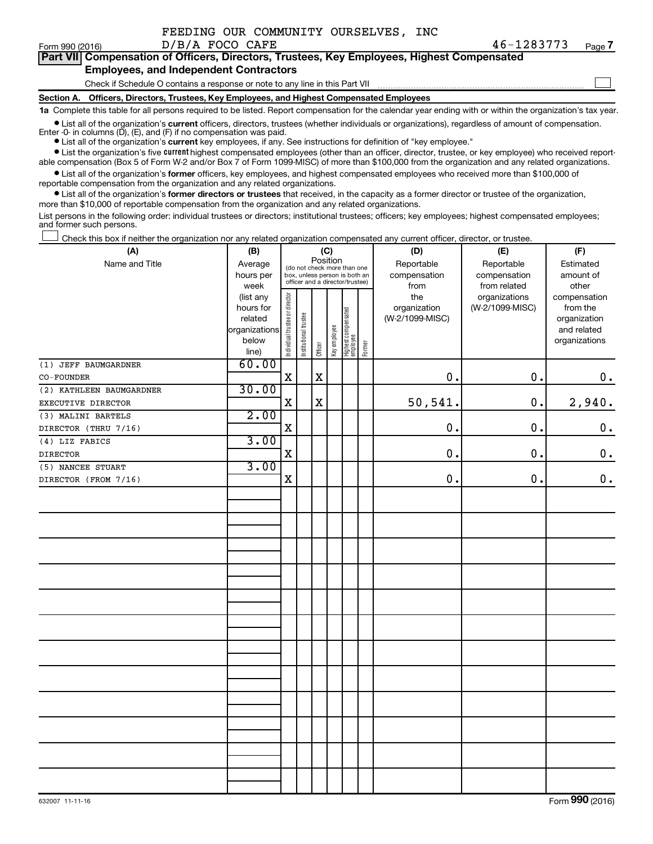|  | FEEDING OUR COMMUNITY OURSELVES, INC |  |
|--|--------------------------------------|--|
|  |                                      |  |

 $\Box$ 

|  | Part VII Compensation of Officers, Directors, Trustees, Key Employees, Highest Compensated |
|--|--------------------------------------------------------------------------------------------|
|  | <b>Employees, and Independent Contractors</b>                                              |

#### Check if Schedule O contains a response or note to any line in this Part VII

**Section A. Officers, Directors, Trustees, Key Employees, and Highest Compensated Employees**

**1a**  Complete this table for all persons required to be listed. Report compensation for the calendar year ending with or within the organization's tax year.

**•** List all of the organization's current officers, directors, trustees (whether individuals or organizations), regardless of amount of compensation.

Enter -0- in columns  $(D)$ ,  $(E)$ , and  $(F)$  if no compensation was paid.

**•** List all of the organization's **current** key employees, if any. See instructions for definition of "key employee."

**•** List the organization's five current highest compensated employees (other than an officer, director, trustee, or key employee) who received reportable compensation (Box 5 of Form W-2 and/or Box 7 of Form 1099-MISC) of more than \$100,000 from the organization and any related organizations.

**•** List all of the organization's former officers, key employees, and highest compensated employees who received more than \$100,000 of reportable compensation from the organization and any related organizations.

**•** List all of the organization's former directors or trustees that received, in the capacity as a former director or trustee of the organization, more than \$10,000 of reportable compensation from the organization and any related organizations.

List persons in the following order: individual trustees or directors; institutional trustees; officers; key employees; highest compensated employees; and former such persons.

|  |  |  | Check this box if neither the organization nor any related organization compensated any current officer, director, or trustee. |  |  |
|--|--|--|--------------------------------------------------------------------------------------------------------------------------------|--|--|
|  |  |  |                                                                                                                                |  |  |

| (A)                      | (B)<br>(C)     |                                |                                         |             |              |                                   |        | (D)             | (E)             | (F)           |
|--------------------------|----------------|--------------------------------|-----------------------------------------|-------------|--------------|-----------------------------------|--------|-----------------|-----------------|---------------|
| Name and Title           | Average        |                                | Position<br>(do not check more than one |             |              |                                   |        | Reportable      | Reportable      | Estimated     |
|                          | hours per      |                                | box, unless person is both an           |             |              |                                   |        | compensation    | compensation    | amount of     |
|                          | week           |                                | officer and a director/trustee)         |             |              |                                   |        | from            | from related    | other         |
|                          | (list any      |                                |                                         |             |              |                                   |        | the             | organizations   | compensation  |
|                          | hours for      |                                |                                         |             |              |                                   |        | organization    | (W-2/1099-MISC) | from the      |
|                          | related        |                                |                                         |             |              |                                   |        | (W-2/1099-MISC) |                 | organization  |
|                          | organizations  |                                |                                         |             |              |                                   |        |                 |                 | and related   |
|                          | below<br>line) | Individual trustee or director | Institutional trustee                   | Officer     | Key employee | Highest compensated<br>  employee | Former |                 |                 | organizations |
| (1) JEFF BAUMGARDNER     | 60.00          |                                |                                         |             |              |                                   |        |                 |                 |               |
| CO-FOUNDER               |                | $\overline{\text{X}}$          |                                         | $\mathbf X$ |              |                                   |        | 0.              | 0.              | $\mathbf 0$ . |
| (2) KATHLEEN BAUMGARDNER | 30.00          |                                |                                         |             |              |                                   |        |                 |                 |               |
| EXECUTIVE DIRECTOR       |                | X                              |                                         | $\mathbf X$ |              |                                   |        | 50,541.         | 0.              | 2,940.        |
| (3) MALINI BARTELS       | 2.00           |                                |                                         |             |              |                                   |        |                 |                 |               |
| DIRECTOR (THRU 7/16)     |                | $\mathbf X$                    |                                         |             |              |                                   |        | 0.              | $\mathbf 0$ .   | $\mathbf 0$ . |
| (4) LIZ FABICS           | 3.00           |                                |                                         |             |              |                                   |        |                 |                 |               |
| <b>DIRECTOR</b>          |                | X                              |                                         |             |              |                                   |        | 0.              | 0.              | $\mathbf 0$ . |
| (5) NANCEE STUART        | 3.00           |                                |                                         |             |              |                                   |        |                 |                 |               |
| DIRECTOR (FROM 7/16)     |                | X                              |                                         |             |              |                                   |        | $\mathbf 0$ .   | 0.              | $0$ .         |
|                          |                |                                |                                         |             |              |                                   |        |                 |                 |               |
|                          |                |                                |                                         |             |              |                                   |        |                 |                 |               |
|                          |                |                                |                                         |             |              |                                   |        |                 |                 |               |
|                          |                |                                |                                         |             |              |                                   |        |                 |                 |               |
|                          |                |                                |                                         |             |              |                                   |        |                 |                 |               |
|                          |                |                                |                                         |             |              |                                   |        |                 |                 |               |
|                          |                |                                |                                         |             |              |                                   |        |                 |                 |               |
|                          |                |                                |                                         |             |              |                                   |        |                 |                 |               |
|                          |                |                                |                                         |             |              |                                   |        |                 |                 |               |
|                          |                |                                |                                         |             |              |                                   |        |                 |                 |               |
|                          |                |                                |                                         |             |              |                                   |        |                 |                 |               |
|                          |                |                                |                                         |             |              |                                   |        |                 |                 |               |
|                          |                |                                |                                         |             |              |                                   |        |                 |                 |               |
|                          |                |                                |                                         |             |              |                                   |        |                 |                 |               |
|                          |                |                                |                                         |             |              |                                   |        |                 |                 |               |
|                          |                |                                |                                         |             |              |                                   |        |                 |                 |               |
|                          |                |                                |                                         |             |              |                                   |        |                 |                 |               |
|                          |                |                                |                                         |             |              |                                   |        |                 |                 |               |
|                          |                |                                |                                         |             |              |                                   |        |                 |                 |               |
|                          |                |                                |                                         |             |              |                                   |        |                 |                 |               |
|                          |                |                                |                                         |             |              |                                   |        |                 |                 |               |
|                          |                |                                |                                         |             |              |                                   |        |                 |                 |               |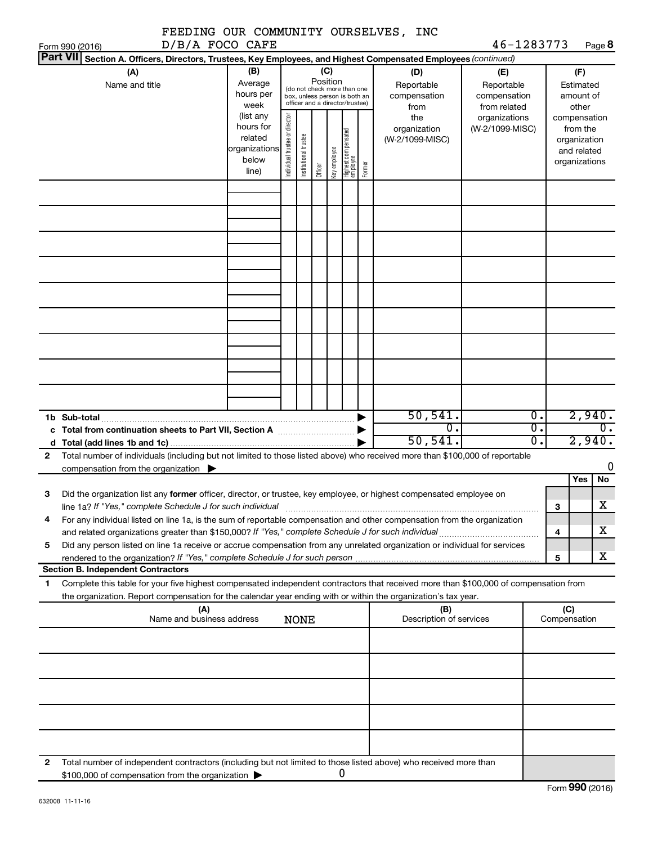|                                                                                                                                                                                                                                                             |                                                         |                                |                       |          |              |                                                                                                 |        | FEEDING OUR COMMUNITY OURSELVES, INC             |                                                                    |                                   |        |                                                          |
|-------------------------------------------------------------------------------------------------------------------------------------------------------------------------------------------------------------------------------------------------------------|---------------------------------------------------------|--------------------------------|-----------------------|----------|--------------|-------------------------------------------------------------------------------------------------|--------|--------------------------------------------------|--------------------------------------------------------------------|-----------------------------------|--------|----------------------------------------------------------|
| Form 990 (2016)<br><b>Part VII</b><br>Section A. Officers, Directors, Trustees, Key Employees, and Highest Compensated Employees (continued)                                                                                                                | D/B/A FOCO CAFE                                         |                                |                       |          |              |                                                                                                 |        |                                                  | 46-1283773                                                         |                                   |        | Page 8                                                   |
| (A)<br>Name and title                                                                                                                                                                                                                                       | (B)<br>Average<br>hours per<br>week<br>(list any        |                                |                       | Position | (C)          | (do not check more than one<br>box, unless person is both an<br>officer and a director/trustee) |        | (D)<br>Reportable<br>compensation<br>from<br>the | (E)<br>Reportable<br>compensation<br>from related<br>organizations |                                   |        | (F)<br>Estimated<br>amount of<br>other<br>compensation   |
|                                                                                                                                                                                                                                                             | hours for<br>related<br>organizations<br>below<br>line) | Individual trustee or director | Institutional trustee | Officer  | Key employee | Highest compensated<br>employee                                                                 | Former | organization<br>(W-2/1099-MISC)                  | (W-2/1099-MISC)                                                    |                                   |        | from the<br>organization<br>and related<br>organizations |
|                                                                                                                                                                                                                                                             |                                                         |                                |                       |          |              |                                                                                                 |        |                                                  |                                                                    |                                   |        |                                                          |
|                                                                                                                                                                                                                                                             |                                                         |                                |                       |          |              |                                                                                                 |        |                                                  |                                                                    |                                   |        |                                                          |
|                                                                                                                                                                                                                                                             |                                                         |                                |                       |          |              |                                                                                                 |        |                                                  |                                                                    |                                   |        |                                                          |
|                                                                                                                                                                                                                                                             |                                                         |                                |                       |          |              |                                                                                                 |        |                                                  |                                                                    |                                   |        |                                                          |
|                                                                                                                                                                                                                                                             |                                                         |                                |                       |          |              |                                                                                                 |        | 50, 541.                                         |                                                                    | $\overline{0}$ .                  |        | 2,940.                                                   |
| 1b Sub-total                                                                                                                                                                                                                                                |                                                         |                                |                       |          |              |                                                                                                 |        | $\overline{0}$ .<br>50, 541                      |                                                                    | $\overline{\mathfrak{o}}$ .<br>σ. |        | $\overline{0}$ .<br>2,940.                               |
| Total number of individuals (including but not limited to those listed above) who received more than \$100,000 of reportable<br>2<br>compensation from the organization $\blacktriangleright$                                                               |                                                         |                                |                       |          |              |                                                                                                 |        |                                                  |                                                                    |                                   |        | 0                                                        |
| Did the organization list any former officer, director, or trustee, key employee, or highest compensated employee on<br>З                                                                                                                                   |                                                         |                                |                       |          |              |                                                                                                 |        |                                                  |                                                                    |                                   |        | No<br>Yes                                                |
| line 1a? If "Yes," complete Schedule J for such individual manufactured content content from the content of the<br>For any individual listed on line 1a, is the sum of reportable compensation and other compensation from the organization<br>4            |                                                         |                                |                       |          |              |                                                                                                 |        |                                                  |                                                                    |                                   | З      | $\overline{\text{X}}$<br>x.                              |
| Did any person listed on line 1a receive or accrue compensation from any unrelated organization or individual for services<br>5                                                                                                                             |                                                         |                                |                       |          |              |                                                                                                 |        |                                                  |                                                                    |                                   | 4<br>5 | x                                                        |
| <b>Section B. Independent Contractors</b>                                                                                                                                                                                                                   |                                                         |                                |                       |          |              |                                                                                                 |        |                                                  |                                                                    |                                   |        |                                                          |
| Complete this table for your five highest compensated independent contractors that received more than \$100,000 of compensation from<br>1<br>the organization. Report compensation for the calendar year ending with or within the organization's tax year. |                                                         |                                |                       |          |              |                                                                                                 |        |                                                  |                                                                    |                                   |        |                                                          |
| (A)<br>Name and business address                                                                                                                                                                                                                            |                                                         |                                | <b>NONE</b>           |          |              |                                                                                                 |        | (B)<br>Description of services                   |                                                                    |                                   | (C)    | Compensation                                             |
|                                                                                                                                                                                                                                                             |                                                         |                                |                       |          |              |                                                                                                 |        |                                                  |                                                                    |                                   |        |                                                          |
|                                                                                                                                                                                                                                                             |                                                         |                                |                       |          |              |                                                                                                 |        |                                                  |                                                                    |                                   |        |                                                          |
|                                                                                                                                                                                                                                                             |                                                         |                                |                       |          |              |                                                                                                 |        |                                                  |                                                                    |                                   |        |                                                          |
|                                                                                                                                                                                                                                                             |                                                         |                                |                       |          |              |                                                                                                 |        |                                                  |                                                                    |                                   |        |                                                          |
| Total number of independent contractors (including but not limited to those listed above) who received more than<br>2<br>\$100,000 of compensation from the organization                                                                                    |                                                         |                                |                       |          |              | 0                                                                                               |        |                                                  |                                                                    |                                   |        |                                                          |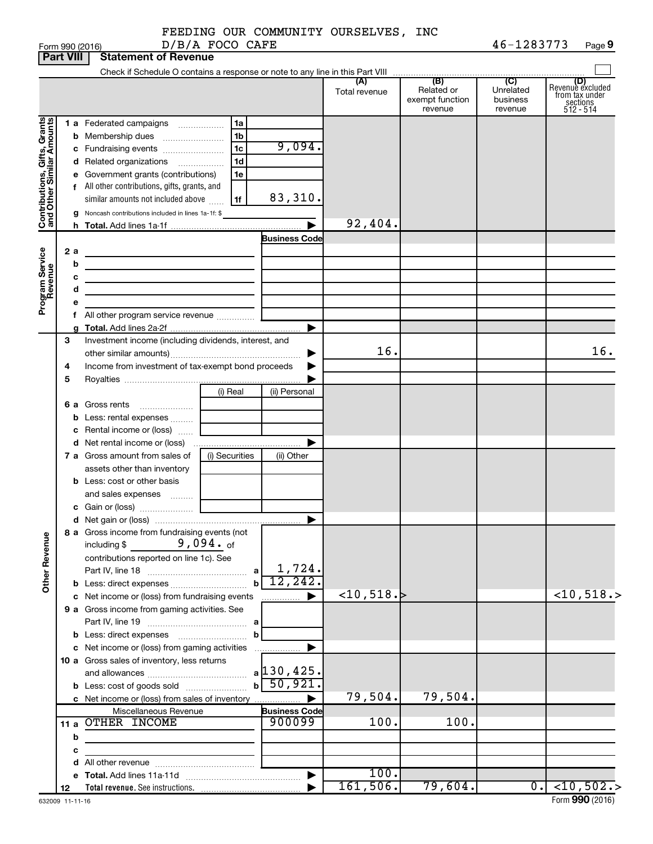|  | FEEDING OUR COMMUNITY OURSELVES, INC |  |
|--|--------------------------------------|--|
|  |                                      |  |

|                              | <b>Part VIII</b> | <b>Statement of Revenue</b>                                                                                           |                |                               |                            |                                                 |                                                    |                                                                    |
|------------------------------|------------------|-----------------------------------------------------------------------------------------------------------------------|----------------|-------------------------------|----------------------------|-------------------------------------------------|----------------------------------------------------|--------------------------------------------------------------------|
|                              |                  |                                                                                                                       |                |                               |                            |                                                 |                                                    |                                                                    |
|                              |                  |                                                                                                                       |                |                               | (A)<br>Total revenue       | (B)<br>Related or<br>exempt function<br>revenue | $\overline{C}$<br>Unrelated<br>business<br>revenue | (D)<br>Revenue excluded<br>trom tax under<br>sections<br>512 - 514 |
|                              |                  | 1 a Federated campaigns                                                                                               | 1a             |                               |                            |                                                 |                                                    |                                                                    |
|                              |                  | <b>b</b> Membership dues                                                                                              | 1 <sub>b</sub> |                               |                            |                                                 |                                                    |                                                                    |
|                              |                  | c Fundraising events                                                                                                  | 1 <sub>c</sub> | 9,094.                        |                            |                                                 |                                                    |                                                                    |
|                              |                  | d Related organizations                                                                                               | 1 <sub>d</sub> |                               |                            |                                                 |                                                    |                                                                    |
|                              |                  | e Government grants (contributions)                                                                                   | 1e             |                               |                            |                                                 |                                                    |                                                                    |
|                              |                  | f All other contributions, gifts, grants, and                                                                         |                |                               |                            |                                                 |                                                    |                                                                    |
|                              |                  | similar amounts not included above                                                                                    | 1f             | 83,310.                       |                            |                                                 |                                                    |                                                                    |
|                              |                  | g Noncash contributions included in lines 1a-1f: \$                                                                   |                |                               |                            |                                                 |                                                    |                                                                    |
| Contributions, Gifts, Grants |                  |                                                                                                                       |                |                               | 92,404.                    |                                                 |                                                    |                                                                    |
|                              |                  |                                                                                                                       |                | Business Code                 |                            |                                                 |                                                    |                                                                    |
|                              | 2 a              | the control of the control of the control of the control of the control of                                            |                |                               |                            |                                                 |                                                    |                                                                    |
| Program Service<br>Revenue   | b                | <u> 1989 - Johann Barbara, martin amerikan basal dan berasal dan berasal dalam basal dan berasal dalam berasal da</u> |                |                               |                            |                                                 |                                                    |                                                                    |
|                              | с                | the control of the control of the control of the control of the control of                                            |                |                               |                            |                                                 |                                                    |                                                                    |
|                              | d                | the contract of the contract of the contract of                                                                       |                |                               |                            |                                                 |                                                    |                                                                    |
|                              |                  |                                                                                                                       |                |                               |                            |                                                 |                                                    |                                                                    |
|                              |                  | f All other program service revenue                                                                                   |                |                               |                            |                                                 |                                                    |                                                                    |
|                              |                  |                                                                                                                       |                |                               |                            |                                                 |                                                    |                                                                    |
|                              | 3                | Investment income (including dividends, interest, and                                                                 |                |                               |                            |                                                 |                                                    |                                                                    |
|                              |                  |                                                                                                                       |                |                               | 16.                        |                                                 |                                                    | 16.                                                                |
|                              | 4                | Income from investment of tax-exempt bond proceeds                                                                    |                |                               |                            |                                                 |                                                    |                                                                    |
|                              | 5                |                                                                                                                       |                |                               |                            |                                                 |                                                    |                                                                    |
|                              |                  |                                                                                                                       | (i) Real       | (ii) Personal                 |                            |                                                 |                                                    |                                                                    |
|                              |                  | 6 a Gross rents                                                                                                       |                |                               |                            |                                                 |                                                    |                                                                    |
|                              |                  | <b>b</b> Less: rental expenses                                                                                        |                |                               |                            |                                                 |                                                    |                                                                    |
|                              |                  | c Rental income or (loss)                                                                                             |                |                               |                            |                                                 |                                                    |                                                                    |
|                              |                  |                                                                                                                       |                |                               |                            |                                                 |                                                    |                                                                    |
|                              |                  | 7 a Gross amount from sales of                                                                                        | (i) Securities | (ii) Other                    |                            |                                                 |                                                    |                                                                    |
|                              |                  | assets other than inventory                                                                                           |                |                               |                            |                                                 |                                                    |                                                                    |
|                              |                  | <b>b</b> Less: cost or other basis                                                                                    |                |                               |                            |                                                 |                                                    |                                                                    |
|                              |                  | and sales expenses                                                                                                    |                |                               |                            |                                                 |                                                    |                                                                    |
|                              |                  |                                                                                                                       |                |                               |                            |                                                 |                                                    |                                                                    |
|                              |                  |                                                                                                                       |                |                               |                            |                                                 |                                                    |                                                                    |
|                              |                  | 8 a Gross income from fundraising events (not                                                                         |                |                               |                            |                                                 |                                                    |                                                                    |
|                              |                  | $9,094.$ of<br>including \$                                                                                           |                |                               |                            |                                                 |                                                    |                                                                    |
| <b>Other Revenue</b>         |                  | contributions reported on line 1c). See                                                                               |                | 1,724.                        |                            |                                                 |                                                    |                                                                    |
|                              |                  |                                                                                                                       |                | a<br>12, 242.<br>$\mathbf{b}$ |                            |                                                 |                                                    |                                                                    |
|                              |                  | <b>b</b> Less: direct expenses                                                                                        |                |                               | $\langle 10, 518. \rangle$ |                                                 |                                                    | $<$ 10,518.>                                                       |
|                              |                  | c Net income or (loss) from fundraising events                                                                        |                |                               |                            |                                                 |                                                    |                                                                    |
|                              |                  | 9 a Gross income from gaming activities. See                                                                          |                |                               |                            |                                                 |                                                    |                                                                    |
|                              |                  |                                                                                                                       |                | b                             |                            |                                                 |                                                    |                                                                    |
|                              |                  | c Net income or (loss) from gaming activities                                                                         |                |                               |                            |                                                 |                                                    |                                                                    |
|                              |                  | 10 a Gross sales of inventory, less returns                                                                           |                |                               |                            |                                                 |                                                    |                                                                    |
|                              |                  |                                                                                                                       |                | $a$ 130, 425.                 |                            |                                                 |                                                    |                                                                    |
|                              |                  |                                                                                                                       |                | 50,921.<br>$\mathbf{b}$       |                            |                                                 |                                                    |                                                                    |
|                              |                  | c Net income or (loss) from sales of inventory                                                                        |                | 79,504.                       | 79,504.                    |                                                 |                                                    |                                                                    |
|                              |                  | Miscellaneous Revenue                                                                                                 |                | <b>Business Code</b>          |                            |                                                 |                                                    |                                                                    |
|                              |                  | 11 a OTHER INCOME                                                                                                     |                | 900099                        | 100.                       | 100.                                            |                                                    |                                                                    |
|                              | b                |                                                                                                                       |                |                               |                            |                                                 |                                                    |                                                                    |
|                              | с                | the company of the company of the company                                                                             |                |                               |                            |                                                 |                                                    |                                                                    |
|                              |                  |                                                                                                                       |                |                               |                            |                                                 |                                                    |                                                                    |
|                              |                  |                                                                                                                       |                |                               | 100.                       |                                                 |                                                    |                                                                    |
|                              | 12               |                                                                                                                       |                |                               | 161,506.                   | 79,604.                                         |                                                    | 0. < 10, 502.                                                      |
|                              |                  |                                                                                                                       |                |                               |                            |                                                 |                                                    |                                                                    |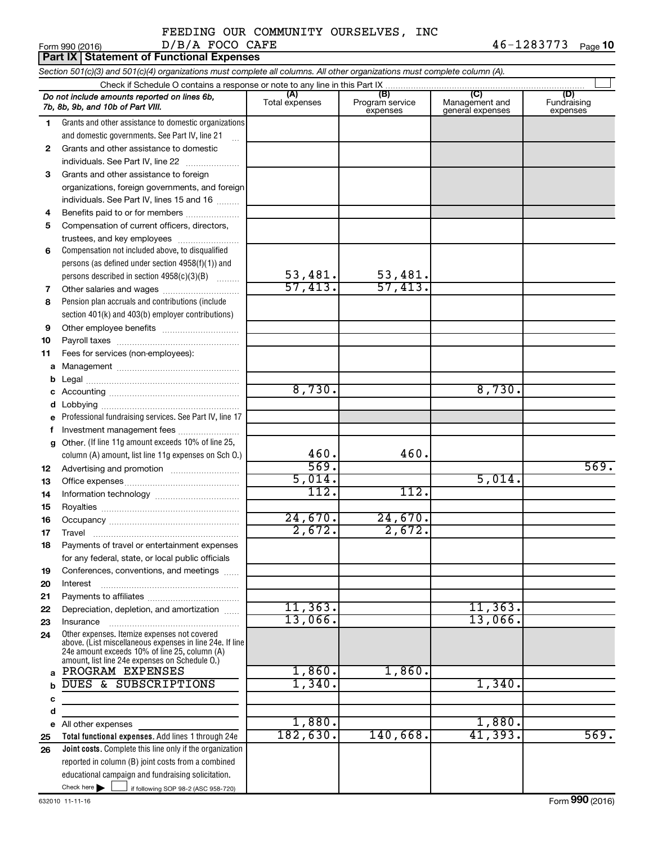#### FEEDING OUR COMMUNITY OURSELVES, INC  $D/B/A$  FOCO CAFE  $46-1283773$

|              | Form 990 (2016)<br>D/B/A FOCO CAFE                                                                                                                                                                          |                       |                                    |                                           | $40 - 1283113$<br>Page 10      |
|--------------|-------------------------------------------------------------------------------------------------------------------------------------------------------------------------------------------------------------|-----------------------|------------------------------------|-------------------------------------------|--------------------------------|
|              | <b>Part IX Statement of Functional Expenses</b>                                                                                                                                                             |                       |                                    |                                           |                                |
|              | Section 501(c)(3) and 501(c)(4) organizations must complete all columns. All other organizations must complete column (A).                                                                                  |                       |                                    |                                           |                                |
|              | Do not include amounts reported on lines 6b,<br>7b, 8b, 9b, and 10b of Part VIII.                                                                                                                           | (A)<br>Total expenses | (B)<br>Program service<br>expenses | (C)<br>Management and<br>general expenses | (D)<br>Fundraising<br>expenses |
| 1            | Grants and other assistance to domestic organizations                                                                                                                                                       |                       |                                    |                                           |                                |
|              | and domestic governments. See Part IV, line 21<br>$\ddotsc$                                                                                                                                                 |                       |                                    |                                           |                                |
| $\mathbf{2}$ | Grants and other assistance to domestic                                                                                                                                                                     |                       |                                    |                                           |                                |
|              | individuals. See Part IV, line 22                                                                                                                                                                           |                       |                                    |                                           |                                |
| 3            | Grants and other assistance to foreign                                                                                                                                                                      |                       |                                    |                                           |                                |
|              | organizations, foreign governments, and foreign                                                                                                                                                             |                       |                                    |                                           |                                |
|              | individuals. See Part IV, lines 15 and 16                                                                                                                                                                   |                       |                                    |                                           |                                |
| 4            | Benefits paid to or for members                                                                                                                                                                             |                       |                                    |                                           |                                |
| 5            | Compensation of current officers, directors,                                                                                                                                                                |                       |                                    |                                           |                                |
|              | trustees, and key employees                                                                                                                                                                                 |                       |                                    |                                           |                                |
| 6            | Compensation not included above, to disqualified                                                                                                                                                            |                       |                                    |                                           |                                |
|              | persons (as defined under section 4958(f)(1)) and                                                                                                                                                           |                       |                                    |                                           |                                |
|              | persons described in section 4958(c)(3)(B)                                                                                                                                                                  | 53,481.               | 53,481.                            |                                           |                                |
| 7            | Other salaries and wages                                                                                                                                                                                    | 57,413.               | 57,413.                            |                                           |                                |
| 8            | Pension plan accruals and contributions (include                                                                                                                                                            |                       |                                    |                                           |                                |
|              | section 401(k) and 403(b) employer contributions)                                                                                                                                                           |                       |                                    |                                           |                                |
| 9            |                                                                                                                                                                                                             |                       |                                    |                                           |                                |
| 10           |                                                                                                                                                                                                             |                       |                                    |                                           |                                |
| 11           | Fees for services (non-employees):                                                                                                                                                                          |                       |                                    |                                           |                                |
| a            |                                                                                                                                                                                                             |                       |                                    |                                           |                                |
| b            |                                                                                                                                                                                                             |                       |                                    |                                           |                                |
| с            |                                                                                                                                                                                                             | 8,730.                |                                    | 8,730.                                    |                                |
| d            |                                                                                                                                                                                                             |                       |                                    |                                           |                                |
| е            | Professional fundraising services. See Part IV, line 17                                                                                                                                                     |                       |                                    |                                           |                                |
| f            | Investment management fees                                                                                                                                                                                  |                       |                                    |                                           |                                |
| g            | Other. (If line 11g amount exceeds 10% of line 25,                                                                                                                                                          | 460.                  | 460.                               |                                           |                                |
|              | column (A) amount, list line 11g expenses on Sch O.)                                                                                                                                                        | 569.                  |                                    |                                           | 569.                           |
| 12           |                                                                                                                                                                                                             | 5,014.                |                                    | 5,014.                                    |                                |
| 13<br>14     |                                                                                                                                                                                                             | 112.                  | 112.                               |                                           |                                |
| 15           |                                                                                                                                                                                                             |                       |                                    |                                           |                                |
| 16           | Occupancy                                                                                                                                                                                                   | 24,670.               | 24,670.                            |                                           |                                |
| 17           | Travel                                                                                                                                                                                                      | 2,672.                | 2,672.                             |                                           |                                |
| 18           | Payments of travel or entertainment expenses                                                                                                                                                                |                       |                                    |                                           |                                |
|              | for any federal, state, or local public officials                                                                                                                                                           |                       |                                    |                                           |                                |
| 19           | Conferences, conventions, and meetings                                                                                                                                                                      |                       |                                    |                                           |                                |
| 20           | Interest                                                                                                                                                                                                    |                       |                                    |                                           |                                |
| 21           |                                                                                                                                                                                                             |                       |                                    |                                           |                                |
| 22           | Depreciation, depletion, and amortization                                                                                                                                                                   | 11, 363.              |                                    | 11, 363.                                  |                                |
| 23           | Insurance                                                                                                                                                                                                   | 13,066.               |                                    | 13,066.                                   |                                |
| 24           | Other expenses. Itemize expenses not covered<br>above. (List miscellaneous expenses in line 24e. If line<br>24e amount exceeds 10% of line 25, column (A)<br>amount, list line 24e expenses on Schedule O.) |                       |                                    |                                           |                                |
| a            | PROGRAM EXPENSES                                                                                                                                                                                            | 1,860.                | 1,860.                             |                                           |                                |
| b            | DUES & SUBSCRIPTIONS                                                                                                                                                                                        | 1,340.                |                                    | 1,340.                                    |                                |
| c            |                                                                                                                                                                                                             |                       |                                    |                                           |                                |
| d            |                                                                                                                                                                                                             | 1,880.                |                                    | 1,880.                                    |                                |
| е            | All other expenses<br>Total functional expenses. Add lines 1 through 24e                                                                                                                                    | 182,630.              | 140,668.                           | 41,393.                                   | 569.                           |
| 25<br>26     | Joint costs. Complete this line only if the organization                                                                                                                                                    |                       |                                    |                                           |                                |
|              | reported in column (B) joint costs from a combined                                                                                                                                                          |                       |                                    |                                           |                                |
|              | educational campaign and fundraising solicitation.                                                                                                                                                          |                       |                                    |                                           |                                |
|              | Check here $\blacktriangleright$<br>if following SOP 98-2 (ASC 958-720)                                                                                                                                     |                       |                                    |                                           |                                |
|              |                                                                                                                                                                                                             |                       |                                    |                                           |                                |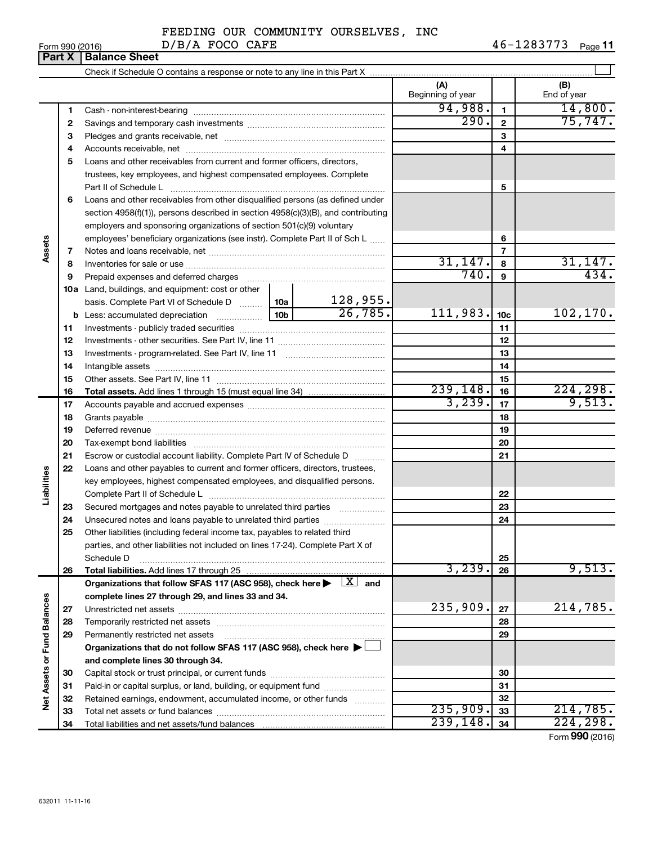**1 2 3**

**7 8 9**

**Assets**

**Liabilities**

# FEEDING OUR COMMUNITY OURSELVES, INC

**(A) (B)**

| Form 990 (2016) | D/B/A FOCO CAFE                                                            | 46-1283773 | Page 1 |
|-----------------|----------------------------------------------------------------------------|------------|--------|
|                 | <b>Part X   Balance Sheet</b>                                              |            |        |
|                 | Check if Schedule O contains a response or note to any line in this Part X |            |        |

**4** Accounts receivable, net ~~~~~~~~~~~~~~~~~~~~~~~~~~ **5** Loans and other receivables from current and former officers, directors, **6** Loans and other receivables from other disqualified persons (as defined under **10 a** Land, buildings, and equipment: cost or other **11** Investments - publicly traded securities ~~~~~~~~~~~~~~~~~~~ **1 2 3 4 5 6 7 8 9 10c 11 12 13 14 15 16 17 18 19 20 21 b** Less: accumulated depreciation  $\ldots$  [10b basis. Complete Part VI of Schedule D  $\frac{1}{10}$  10a **Total assets.**  Add lines 1 through 15 (must equal line 34) Beginning of year | | End of year Cash - non-interest-bearing ~~~~~~~~~~~~~~~~~~~~~~~~~ Savings and temporary cash investments ~~~~~~~~~~~~~~~~~~ Pledges and grants receivable, net ~~~~~~~~~~~~~~~~~~~~~ trustees, key employees, and highest compensated employees. Complete Part II of Schedule L ~~~~~~~~~~~~~~~~~~~~~~~~~~~~ section 4958(f)(1)), persons described in section 4958(c)(3)(B), and contributing employers and sponsoring organizations of section 501(c)(9) voluntary employees' beneficiary organizations (see instr). Complete Part II of Sch L ...... Notes and loans receivable, net ~~~~~~~~~~~~~~~~~~~~~~~ Inventories for sale or use ~~~~~~~~~~~~~~~~~~~~~~~~~~ Prepaid expenses and deferred charges ~~~~~~~~~~~~~~~~~~ Investments - other securities. See Part IV, line 11 ~~~~~~~~~~~~~~ Investments - program-related. See Part IV, line 11 ~~~~~~~~~~~~~ Intangible assets ~~~~~~~~~~~~~~~~~~~~~~~~~~~~~~ Other assets. See Part IV, line 11 ~~~~~~~~~~~~~~~~~~~~~~ Accounts payable and accrued expenses ~~~~~~~~~~~~~~~~~~ Grants payable ~~~~~~~~~~~~~~~~~~~~~~~~~~~~~~~ Deferred revenue ~~~~~~~~~~~~~~~~~~~~~~~~~~~~~~ Tax-exempt bond liabilities ~~~~~~~~~~~~~~~~~~~~~~~~~ Escrow or custodial account liability. Complete Part IV of Schedule D ........... Loans and other payables to current and former officers, directors, trustees, key employees, highest compensated employees, and disqualified persons.  $94,988.$  14,800.  $290. |2| 75,747$ 31,147. 31,147.  $740.$   $9$   $434.$ 128,955.  $26,785.$  111,983.  $10c$  102,170.  $239, 148.$   $16$   $224, 298.$  $3,239$ ,  $17$  9,513.

|                      |    | key employees, highest compensated employees, and disqualified persons.                                                           |          |    |                 |
|----------------------|----|-----------------------------------------------------------------------------------------------------------------------------------|----------|----|-----------------|
| Liabiit              |    |                                                                                                                                   |          | 22 |                 |
|                      | 23 | Secured mortgages and notes payable to unrelated third parties <i>manumum</i>                                                     |          | 23 |                 |
|                      | 24 |                                                                                                                                   |          | 24 |                 |
|                      | 25 | Other liabilities (including federal income tax, payables to related third                                                        |          |    |                 |
|                      |    | parties, and other liabilities not included on lines 17-24). Complete Part X of                                                   |          |    |                 |
|                      |    | Schedule D                                                                                                                        |          | 25 |                 |
|                      | 26 |                                                                                                                                   | 3,239.   | 26 | 9,513.          |
|                      |    | Organizations that follow SFAS 117 (ASC 958), check here $\blacktriangleright \begin{array}{c}   \underline{X}   \end{array}$ and |          |    |                 |
|                      |    | complete lines 27 through 29, and lines 33 and 34.                                                                                |          |    |                 |
| <b>Fund Balances</b> | 27 |                                                                                                                                   | 235,909. | 27 | 214,785.        |
|                      | 28 |                                                                                                                                   |          | 28 |                 |
|                      | 29 | Permanently restricted net assets                                                                                                 |          | 29 |                 |
|                      |    | Organizations that do not follow SFAS 117 (ASC 958), check here ▶ □                                                               |          |    |                 |
|                      |    | and complete lines 30 through 34.                                                                                                 |          |    |                 |
| Net Assets or        | 30 |                                                                                                                                   |          | 30 |                 |
|                      | 31 | Paid-in or capital surplus, or land, building, or equipment fund                                                                  |          | 31 |                 |
|                      | 32 | Retained earnings, endowment, accumulated income, or other funds                                                                  |          | 32 |                 |
|                      | 33 |                                                                                                                                   | 235,909. | 33 | 214,785.        |
|                      | 34 |                                                                                                                                   | 239,148. | 34 | 224, 298.       |
|                      |    |                                                                                                                                   |          |    | Form 990 (2016) |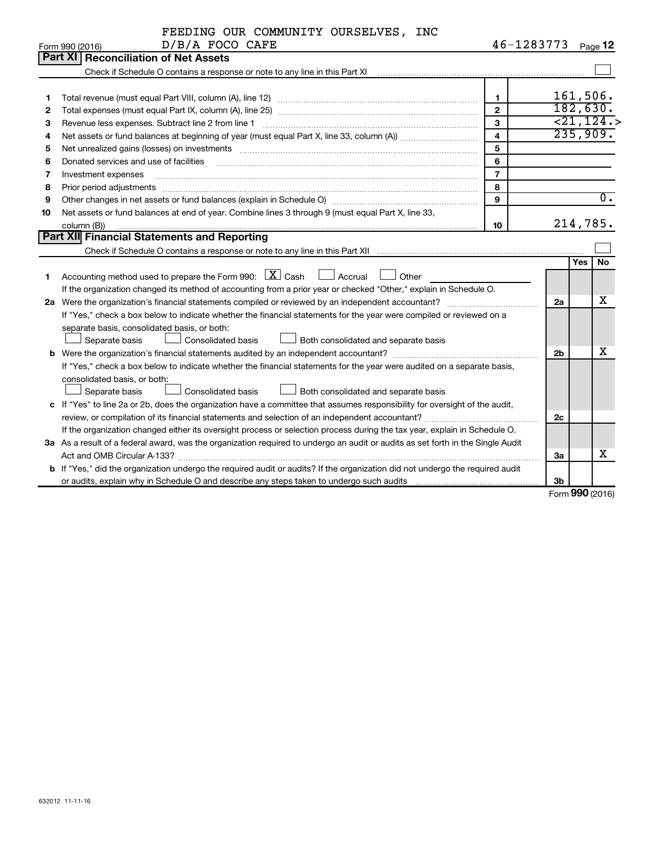| 46-1283773<br>Page 12<br>Form 990 (2016)<br>Part XI<br><b>Reconciliation of Net Assets</b><br>Check if Schedule O contains a response or note to any line in this Part XI [11] [12] Check if Schedule O contains a response or note to any line in this Part XI<br>161,506.<br>1<br>1<br>182,630.<br>$\mathbf{2}$<br>2<br>$\overline{21,124.}$<br>3<br>Revenue less expenses. Subtract line 2 from line 1<br>З<br>235,909.<br>$\overline{4}$<br>4<br>5<br>Net unrealized gains (losses) on investments [11] non-manufactured manufactured manufactured manufactured manufactured manufactured manufactured manufactured manufactured manufactured manufactured manufactured manufactured<br>5<br>Donated services and use of facilities<br>6<br>6<br>$\overline{7}$<br>7<br>Investment expenses<br>8<br>Prior period adjustments<br>8<br>$\overline{0}$ .<br>9<br>9<br>Net assets or fund balances at end of year. Combine lines 3 through 9 (must equal Part X, line 33,<br>10<br>214,785.<br>column (B))<br>10<br>Part XII Financial Statements and Reporting<br>Check if Schedule O contains a response or note to any line in this Part XII<br>No<br>Yes I<br>Accounting method used to prepare the Form 990: $X \subset X$ Cash<br><u>I</u> Accrual<br>Other<br>1<br>If the organization changed its method of accounting from a prior year or checked "Other," explain in Schedule O.<br>X<br>2a<br>If "Yes," check a box below to indicate whether the financial statements for the year were compiled or reviewed on a<br>separate basis, consolidated basis, or both:<br>Separate basis<br><b>Consolidated basis</b><br>Both consolidated and separate basis<br>х<br>2 <sub>b</sub><br>If "Yes," check a box below to indicate whether the financial statements for the year were audited on a separate basis,<br>consolidated basis, or both:<br><b>Consolidated basis</b><br>Both consolidated and separate basis<br>Separate basis<br>c If "Yes" to line 2a or 2b, does the organization have a committee that assumes responsibility for oversight of the audit,<br>2c<br>If the organization changed either its oversight process or selection process during the tax year, explain in Schedule O.<br>3a As a result of a federal award, was the organization required to undergo an audit or audits as set forth in the Single Audit<br>х<br>За<br>b If "Yes," did the organization undergo the required audit or audits? If the organization did not undergo the required audit | FEEDING OUR COMMUNITY OURSELVES, INC |  |  |
|-------------------------------------------------------------------------------------------------------------------------------------------------------------------------------------------------------------------------------------------------------------------------------------------------------------------------------------------------------------------------------------------------------------------------------------------------------------------------------------------------------------------------------------------------------------------------------------------------------------------------------------------------------------------------------------------------------------------------------------------------------------------------------------------------------------------------------------------------------------------------------------------------------------------------------------------------------------------------------------------------------------------------------------------------------------------------------------------------------------------------------------------------------------------------------------------------------------------------------------------------------------------------------------------------------------------------------------------------------------------------------------------------------------------------------------------------------------------------------------------------------------------------------------------------------------------------------------------------------------------------------------------------------------------------------------------------------------------------------------------------------------------------------------------------------------------------------------------------------------------------------------------------------------------------------------------------------------------------------------------------------------------------------------------------------------------------------------------------------------------------------------------------------------------------------------------------------------------------------------------------------------------------------------------------------------------------------------------------------------------------------------------------------------------------------------------------------------------------------------------------|--------------------------------------|--|--|
|                                                                                                                                                                                                                                                                                                                                                                                                                                                                                                                                                                                                                                                                                                                                                                                                                                                                                                                                                                                                                                                                                                                                                                                                                                                                                                                                                                                                                                                                                                                                                                                                                                                                                                                                                                                                                                                                                                                                                                                                                                                                                                                                                                                                                                                                                                                                                                                                                                                                                                 | D/B/A FOCO CAFE                      |  |  |
|                                                                                                                                                                                                                                                                                                                                                                                                                                                                                                                                                                                                                                                                                                                                                                                                                                                                                                                                                                                                                                                                                                                                                                                                                                                                                                                                                                                                                                                                                                                                                                                                                                                                                                                                                                                                                                                                                                                                                                                                                                                                                                                                                                                                                                                                                                                                                                                                                                                                                                 |                                      |  |  |
|                                                                                                                                                                                                                                                                                                                                                                                                                                                                                                                                                                                                                                                                                                                                                                                                                                                                                                                                                                                                                                                                                                                                                                                                                                                                                                                                                                                                                                                                                                                                                                                                                                                                                                                                                                                                                                                                                                                                                                                                                                                                                                                                                                                                                                                                                                                                                                                                                                                                                                 |                                      |  |  |
|                                                                                                                                                                                                                                                                                                                                                                                                                                                                                                                                                                                                                                                                                                                                                                                                                                                                                                                                                                                                                                                                                                                                                                                                                                                                                                                                                                                                                                                                                                                                                                                                                                                                                                                                                                                                                                                                                                                                                                                                                                                                                                                                                                                                                                                                                                                                                                                                                                                                                                 |                                      |  |  |
|                                                                                                                                                                                                                                                                                                                                                                                                                                                                                                                                                                                                                                                                                                                                                                                                                                                                                                                                                                                                                                                                                                                                                                                                                                                                                                                                                                                                                                                                                                                                                                                                                                                                                                                                                                                                                                                                                                                                                                                                                                                                                                                                                                                                                                                                                                                                                                                                                                                                                                 |                                      |  |  |
|                                                                                                                                                                                                                                                                                                                                                                                                                                                                                                                                                                                                                                                                                                                                                                                                                                                                                                                                                                                                                                                                                                                                                                                                                                                                                                                                                                                                                                                                                                                                                                                                                                                                                                                                                                                                                                                                                                                                                                                                                                                                                                                                                                                                                                                                                                                                                                                                                                                                                                 |                                      |  |  |
|                                                                                                                                                                                                                                                                                                                                                                                                                                                                                                                                                                                                                                                                                                                                                                                                                                                                                                                                                                                                                                                                                                                                                                                                                                                                                                                                                                                                                                                                                                                                                                                                                                                                                                                                                                                                                                                                                                                                                                                                                                                                                                                                                                                                                                                                                                                                                                                                                                                                                                 |                                      |  |  |
|                                                                                                                                                                                                                                                                                                                                                                                                                                                                                                                                                                                                                                                                                                                                                                                                                                                                                                                                                                                                                                                                                                                                                                                                                                                                                                                                                                                                                                                                                                                                                                                                                                                                                                                                                                                                                                                                                                                                                                                                                                                                                                                                                                                                                                                                                                                                                                                                                                                                                                 |                                      |  |  |
|                                                                                                                                                                                                                                                                                                                                                                                                                                                                                                                                                                                                                                                                                                                                                                                                                                                                                                                                                                                                                                                                                                                                                                                                                                                                                                                                                                                                                                                                                                                                                                                                                                                                                                                                                                                                                                                                                                                                                                                                                                                                                                                                                                                                                                                                                                                                                                                                                                                                                                 |                                      |  |  |
|                                                                                                                                                                                                                                                                                                                                                                                                                                                                                                                                                                                                                                                                                                                                                                                                                                                                                                                                                                                                                                                                                                                                                                                                                                                                                                                                                                                                                                                                                                                                                                                                                                                                                                                                                                                                                                                                                                                                                                                                                                                                                                                                                                                                                                                                                                                                                                                                                                                                                                 |                                      |  |  |
|                                                                                                                                                                                                                                                                                                                                                                                                                                                                                                                                                                                                                                                                                                                                                                                                                                                                                                                                                                                                                                                                                                                                                                                                                                                                                                                                                                                                                                                                                                                                                                                                                                                                                                                                                                                                                                                                                                                                                                                                                                                                                                                                                                                                                                                                                                                                                                                                                                                                                                 |                                      |  |  |
|                                                                                                                                                                                                                                                                                                                                                                                                                                                                                                                                                                                                                                                                                                                                                                                                                                                                                                                                                                                                                                                                                                                                                                                                                                                                                                                                                                                                                                                                                                                                                                                                                                                                                                                                                                                                                                                                                                                                                                                                                                                                                                                                                                                                                                                                                                                                                                                                                                                                                                 |                                      |  |  |
|                                                                                                                                                                                                                                                                                                                                                                                                                                                                                                                                                                                                                                                                                                                                                                                                                                                                                                                                                                                                                                                                                                                                                                                                                                                                                                                                                                                                                                                                                                                                                                                                                                                                                                                                                                                                                                                                                                                                                                                                                                                                                                                                                                                                                                                                                                                                                                                                                                                                                                 |                                      |  |  |
|                                                                                                                                                                                                                                                                                                                                                                                                                                                                                                                                                                                                                                                                                                                                                                                                                                                                                                                                                                                                                                                                                                                                                                                                                                                                                                                                                                                                                                                                                                                                                                                                                                                                                                                                                                                                                                                                                                                                                                                                                                                                                                                                                                                                                                                                                                                                                                                                                                                                                                 |                                      |  |  |
|                                                                                                                                                                                                                                                                                                                                                                                                                                                                                                                                                                                                                                                                                                                                                                                                                                                                                                                                                                                                                                                                                                                                                                                                                                                                                                                                                                                                                                                                                                                                                                                                                                                                                                                                                                                                                                                                                                                                                                                                                                                                                                                                                                                                                                                                                                                                                                                                                                                                                                 |                                      |  |  |
|                                                                                                                                                                                                                                                                                                                                                                                                                                                                                                                                                                                                                                                                                                                                                                                                                                                                                                                                                                                                                                                                                                                                                                                                                                                                                                                                                                                                                                                                                                                                                                                                                                                                                                                                                                                                                                                                                                                                                                                                                                                                                                                                                                                                                                                                                                                                                                                                                                                                                                 |                                      |  |  |
|                                                                                                                                                                                                                                                                                                                                                                                                                                                                                                                                                                                                                                                                                                                                                                                                                                                                                                                                                                                                                                                                                                                                                                                                                                                                                                                                                                                                                                                                                                                                                                                                                                                                                                                                                                                                                                                                                                                                                                                                                                                                                                                                                                                                                                                                                                                                                                                                                                                                                                 |                                      |  |  |
|                                                                                                                                                                                                                                                                                                                                                                                                                                                                                                                                                                                                                                                                                                                                                                                                                                                                                                                                                                                                                                                                                                                                                                                                                                                                                                                                                                                                                                                                                                                                                                                                                                                                                                                                                                                                                                                                                                                                                                                                                                                                                                                                                                                                                                                                                                                                                                                                                                                                                                 |                                      |  |  |
|                                                                                                                                                                                                                                                                                                                                                                                                                                                                                                                                                                                                                                                                                                                                                                                                                                                                                                                                                                                                                                                                                                                                                                                                                                                                                                                                                                                                                                                                                                                                                                                                                                                                                                                                                                                                                                                                                                                                                                                                                                                                                                                                                                                                                                                                                                                                                                                                                                                                                                 |                                      |  |  |
|                                                                                                                                                                                                                                                                                                                                                                                                                                                                                                                                                                                                                                                                                                                                                                                                                                                                                                                                                                                                                                                                                                                                                                                                                                                                                                                                                                                                                                                                                                                                                                                                                                                                                                                                                                                                                                                                                                                                                                                                                                                                                                                                                                                                                                                                                                                                                                                                                                                                                                 |                                      |  |  |
|                                                                                                                                                                                                                                                                                                                                                                                                                                                                                                                                                                                                                                                                                                                                                                                                                                                                                                                                                                                                                                                                                                                                                                                                                                                                                                                                                                                                                                                                                                                                                                                                                                                                                                                                                                                                                                                                                                                                                                                                                                                                                                                                                                                                                                                                                                                                                                                                                                                                                                 |                                      |  |  |
|                                                                                                                                                                                                                                                                                                                                                                                                                                                                                                                                                                                                                                                                                                                                                                                                                                                                                                                                                                                                                                                                                                                                                                                                                                                                                                                                                                                                                                                                                                                                                                                                                                                                                                                                                                                                                                                                                                                                                                                                                                                                                                                                                                                                                                                                                                                                                                                                                                                                                                 |                                      |  |  |
|                                                                                                                                                                                                                                                                                                                                                                                                                                                                                                                                                                                                                                                                                                                                                                                                                                                                                                                                                                                                                                                                                                                                                                                                                                                                                                                                                                                                                                                                                                                                                                                                                                                                                                                                                                                                                                                                                                                                                                                                                                                                                                                                                                                                                                                                                                                                                                                                                                                                                                 |                                      |  |  |
|                                                                                                                                                                                                                                                                                                                                                                                                                                                                                                                                                                                                                                                                                                                                                                                                                                                                                                                                                                                                                                                                                                                                                                                                                                                                                                                                                                                                                                                                                                                                                                                                                                                                                                                                                                                                                                                                                                                                                                                                                                                                                                                                                                                                                                                                                                                                                                                                                                                                                                 |                                      |  |  |
|                                                                                                                                                                                                                                                                                                                                                                                                                                                                                                                                                                                                                                                                                                                                                                                                                                                                                                                                                                                                                                                                                                                                                                                                                                                                                                                                                                                                                                                                                                                                                                                                                                                                                                                                                                                                                                                                                                                                                                                                                                                                                                                                                                                                                                                                                                                                                                                                                                                                                                 |                                      |  |  |
|                                                                                                                                                                                                                                                                                                                                                                                                                                                                                                                                                                                                                                                                                                                                                                                                                                                                                                                                                                                                                                                                                                                                                                                                                                                                                                                                                                                                                                                                                                                                                                                                                                                                                                                                                                                                                                                                                                                                                                                                                                                                                                                                                                                                                                                                                                                                                                                                                                                                                                 |                                      |  |  |
|                                                                                                                                                                                                                                                                                                                                                                                                                                                                                                                                                                                                                                                                                                                                                                                                                                                                                                                                                                                                                                                                                                                                                                                                                                                                                                                                                                                                                                                                                                                                                                                                                                                                                                                                                                                                                                                                                                                                                                                                                                                                                                                                                                                                                                                                                                                                                                                                                                                                                                 |                                      |  |  |
|                                                                                                                                                                                                                                                                                                                                                                                                                                                                                                                                                                                                                                                                                                                                                                                                                                                                                                                                                                                                                                                                                                                                                                                                                                                                                                                                                                                                                                                                                                                                                                                                                                                                                                                                                                                                                                                                                                                                                                                                                                                                                                                                                                                                                                                                                                                                                                                                                                                                                                 |                                      |  |  |
|                                                                                                                                                                                                                                                                                                                                                                                                                                                                                                                                                                                                                                                                                                                                                                                                                                                                                                                                                                                                                                                                                                                                                                                                                                                                                                                                                                                                                                                                                                                                                                                                                                                                                                                                                                                                                                                                                                                                                                                                                                                                                                                                                                                                                                                                                                                                                                                                                                                                                                 |                                      |  |  |
|                                                                                                                                                                                                                                                                                                                                                                                                                                                                                                                                                                                                                                                                                                                                                                                                                                                                                                                                                                                                                                                                                                                                                                                                                                                                                                                                                                                                                                                                                                                                                                                                                                                                                                                                                                                                                                                                                                                                                                                                                                                                                                                                                                                                                                                                                                                                                                                                                                                                                                 |                                      |  |  |
|                                                                                                                                                                                                                                                                                                                                                                                                                                                                                                                                                                                                                                                                                                                                                                                                                                                                                                                                                                                                                                                                                                                                                                                                                                                                                                                                                                                                                                                                                                                                                                                                                                                                                                                                                                                                                                                                                                                                                                                                                                                                                                                                                                                                                                                                                                                                                                                                                                                                                                 |                                      |  |  |
|                                                                                                                                                                                                                                                                                                                                                                                                                                                                                                                                                                                                                                                                                                                                                                                                                                                                                                                                                                                                                                                                                                                                                                                                                                                                                                                                                                                                                                                                                                                                                                                                                                                                                                                                                                                                                                                                                                                                                                                                                                                                                                                                                                                                                                                                                                                                                                                                                                                                                                 |                                      |  |  |
|                                                                                                                                                                                                                                                                                                                                                                                                                                                                                                                                                                                                                                                                                                                                                                                                                                                                                                                                                                                                                                                                                                                                                                                                                                                                                                                                                                                                                                                                                                                                                                                                                                                                                                                                                                                                                                                                                                                                                                                                                                                                                                                                                                                                                                                                                                                                                                                                                                                                                                 |                                      |  |  |
|                                                                                                                                                                                                                                                                                                                                                                                                                                                                                                                                                                                                                                                                                                                                                                                                                                                                                                                                                                                                                                                                                                                                                                                                                                                                                                                                                                                                                                                                                                                                                                                                                                                                                                                                                                                                                                                                                                                                                                                                                                                                                                                                                                                                                                                                                                                                                                                                                                                                                                 |                                      |  |  |
| 3b<br>$\mathbf{A}$                                                                                                                                                                                                                                                                                                                                                                                                                                                                                                                                                                                                                                                                                                                                                                                                                                                                                                                                                                                                                                                                                                                                                                                                                                                                                                                                                                                                                                                                                                                                                                                                                                                                                                                                                                                                                                                                                                                                                                                                                                                                                                                                                                                                                                                                                                                                                                                                                                                                              |                                      |  |  |

Form (2016) **990**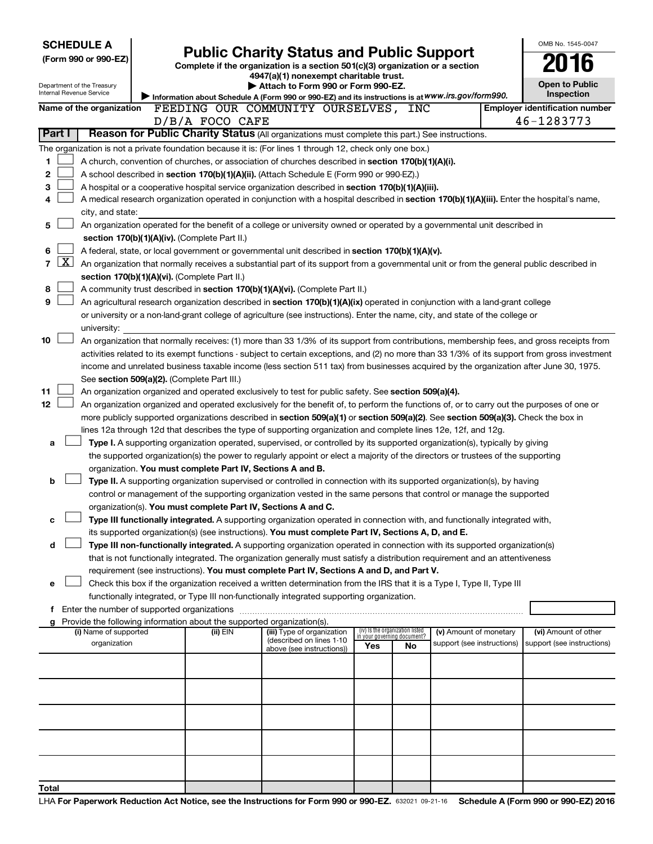|                   | <b>SCHEDULE A</b>                             |                                                                                    |                                                                                                                                                                                                                                                                 |                                    |     |                            | OMB No. 1545-0047                                                                                                                             |
|-------------------|-----------------------------------------------|------------------------------------------------------------------------------------|-----------------------------------------------------------------------------------------------------------------------------------------------------------------------------------------------------------------------------------------------------------------|------------------------------------|-----|----------------------------|-----------------------------------------------------------------------------------------------------------------------------------------------|
|                   | (Form 990 or 990-EZ)                          |                                                                                    | <b>Public Charity Status and Public Support</b>                                                                                                                                                                                                                 |                                    |     |                            | 016                                                                                                                                           |
|                   |                                               |                                                                                    | Complete if the organization is a section 501(c)(3) organization or a section<br>4947(a)(1) nonexempt charitable trust.                                                                                                                                         |                                    |     |                            |                                                                                                                                               |
|                   | Department of the Treasury                    |                                                                                    | Attach to Form 990 or Form 990-EZ.                                                                                                                                                                                                                              |                                    |     |                            | <b>Open to Public</b>                                                                                                                         |
|                   | Internal Revenue Service                      |                                                                                    | Information about Schedule A (Form 990 or 990-EZ) and its instructions is at WWW.irs.gov/form990.                                                                                                                                                               |                                    |     |                            | Inspection                                                                                                                                    |
|                   | Name of the organization                      |                                                                                    | FEEDING OUR COMMUNITY OURSELVES, INC                                                                                                                                                                                                                            |                                    |     |                            | <b>Employer identification number</b>                                                                                                         |
|                   |                                               | D/B/A FOCO CAFE                                                                    |                                                                                                                                                                                                                                                                 |                                    |     |                            | 46-1283773                                                                                                                                    |
| Part I            |                                               |                                                                                    | Reason for Public Charity Status (All organizations must complete this part.) See instructions.                                                                                                                                                                 |                                    |     |                            |                                                                                                                                               |
|                   |                                               |                                                                                    | The organization is not a private foundation because it is: (For lines 1 through 12, check only one box.)                                                                                                                                                       |                                    |     |                            |                                                                                                                                               |
| 1                 |                                               |                                                                                    | A church, convention of churches, or association of churches described in section $170(b)(1)(A)(i)$ .                                                                                                                                                           |                                    |     |                            |                                                                                                                                               |
| 2                 |                                               |                                                                                    | A school described in section 170(b)(1)(A)(ii). (Attach Schedule E (Form 990 or 990-EZ).)                                                                                                                                                                       |                                    |     |                            |                                                                                                                                               |
| з                 |                                               |                                                                                    | A hospital or a cooperative hospital service organization described in section 170(b)(1)(A)(iii).                                                                                                                                                               |                                    |     |                            |                                                                                                                                               |
| 4                 |                                               |                                                                                    | A medical research organization operated in conjunction with a hospital described in section 170(b)(1)(A)(iii). Enter the hospital's name,                                                                                                                      |                                    |     |                            |                                                                                                                                               |
|                   | city, and state:                              |                                                                                    |                                                                                                                                                                                                                                                                 |                                    |     |                            |                                                                                                                                               |
| 5                 |                                               |                                                                                    | An organization operated for the benefit of a college or university owned or operated by a governmental unit described in                                                                                                                                       |                                    |     |                            |                                                                                                                                               |
|                   |                                               | section 170(b)(1)(A)(iv). (Complete Part II.)                                      |                                                                                                                                                                                                                                                                 |                                    |     |                            |                                                                                                                                               |
| 6                 |                                               |                                                                                    | A federal, state, or local government or governmental unit described in section 170(b)(1)(A)(v).                                                                                                                                                                |                                    |     |                            |                                                                                                                                               |
| $\mathbf{X}$<br>7 |                                               |                                                                                    | An organization that normally receives a substantial part of its support from a governmental unit or from the general public described in                                                                                                                       |                                    |     |                            |                                                                                                                                               |
|                   |                                               | section 170(b)(1)(A)(vi). (Complete Part II.)                                      |                                                                                                                                                                                                                                                                 |                                    |     |                            |                                                                                                                                               |
| 8                 |                                               |                                                                                    | A community trust described in section 170(b)(1)(A)(vi). (Complete Part II.)                                                                                                                                                                                    |                                    |     |                            |                                                                                                                                               |
| 9                 |                                               |                                                                                    | An agricultural research organization described in section 170(b)(1)(A)(ix) operated in conjunction with a land-grant college<br>or university or a non-land-grant college of agriculture (see instructions). Enter the name, city, and state of the college or |                                    |     |                            |                                                                                                                                               |
|                   | university:                                   |                                                                                    |                                                                                                                                                                                                                                                                 |                                    |     |                            |                                                                                                                                               |
| 10                |                                               |                                                                                    |                                                                                                                                                                                                                                                                 |                                    |     |                            | An organization that normally receives: (1) more than 33 1/3% of its support from contributions, membership fees, and gross receipts from     |
|                   |                                               |                                                                                    |                                                                                                                                                                                                                                                                 |                                    |     |                            | activities related to its exempt functions - subject to certain exceptions, and (2) no more than 33 1/3% of its support from gross investment |
|                   |                                               |                                                                                    | income and unrelated business taxable income (less section 511 tax) from businesses acquired by the organization after June 30, 1975.                                                                                                                           |                                    |     |                            |                                                                                                                                               |
|                   |                                               | See section 509(a)(2). (Complete Part III.)                                        |                                                                                                                                                                                                                                                                 |                                    |     |                            |                                                                                                                                               |
| 11                |                                               |                                                                                    | An organization organized and operated exclusively to test for public safety. See section 509(a)(4).                                                                                                                                                            |                                    |     |                            |                                                                                                                                               |
| 12                |                                               |                                                                                    | An organization organized and operated exclusively for the benefit of, to perform the functions of, or to carry out the purposes of one or                                                                                                                      |                                    |     |                            |                                                                                                                                               |
|                   |                                               |                                                                                    | more publicly supported organizations described in section 509(a)(1) or section 509(a)(2). See section 509(a)(3). Check the box in                                                                                                                              |                                    |     |                            |                                                                                                                                               |
|                   |                                               |                                                                                    | lines 12a through 12d that describes the type of supporting organization and complete lines 12e, 12f, and 12g.                                                                                                                                                  |                                    |     |                            |                                                                                                                                               |
| a                 |                                               |                                                                                    | Type I. A supporting organization operated, supervised, or controlled by its supported organization(s), typically by giving                                                                                                                                     |                                    |     |                            |                                                                                                                                               |
|                   |                                               |                                                                                    | the supported organization(s) the power to regularly appoint or elect a majority of the directors or trustees of the supporting                                                                                                                                 |                                    |     |                            |                                                                                                                                               |
|                   |                                               | organization. You must complete Part IV, Sections A and B.                         |                                                                                                                                                                                                                                                                 |                                    |     |                            |                                                                                                                                               |
| b                 |                                               |                                                                                    | Type II. A supporting organization supervised or controlled in connection with its supported organization(s), by having                                                                                                                                         |                                    |     |                            |                                                                                                                                               |
|                   |                                               |                                                                                    | control or management of the supporting organization vested in the same persons that control or manage the supported                                                                                                                                            |                                    |     |                            |                                                                                                                                               |
|                   |                                               | organization(s). You must complete Part IV, Sections A and C.                      |                                                                                                                                                                                                                                                                 |                                    |     |                            |                                                                                                                                               |
| с                 |                                               |                                                                                    | Type III functionally integrated. A supporting organization operated in connection with, and functionally integrated with,                                                                                                                                      |                                    |     |                            |                                                                                                                                               |
|                   |                                               |                                                                                    | its supported organization(s) (see instructions). You must complete Part IV, Sections A, D, and E.                                                                                                                                                              |                                    |     |                            |                                                                                                                                               |
| d                 |                                               |                                                                                    | Type III non-functionally integrated. A supporting organization operated in connection with its supported organization(s)                                                                                                                                       |                                    |     |                            |                                                                                                                                               |
|                   |                                               |                                                                                    | that is not functionally integrated. The organization generally must satisfy a distribution requirement and an attentiveness                                                                                                                                    |                                    |     |                            |                                                                                                                                               |
|                   |                                               |                                                                                    | requirement (see instructions). You must complete Part IV, Sections A and D, and Part V.                                                                                                                                                                        |                                    |     |                            |                                                                                                                                               |
| е                 |                                               |                                                                                    | Check this box if the organization received a written determination from the IRS that it is a Type I, Type II, Type III                                                                                                                                         |                                    |     |                            |                                                                                                                                               |
|                   |                                               |                                                                                    | functionally integrated, or Type III non-functionally integrated supporting organization.                                                                                                                                                                       |                                    |     |                            |                                                                                                                                               |
|                   | f Enter the number of supported organizations |                                                                                    |                                                                                                                                                                                                                                                                 |                                    |     |                            |                                                                                                                                               |
|                   | (i) Name of supported                         | Provide the following information about the supported organization(s).<br>(ii) EIN | (iii) Type of organization                                                                                                                                                                                                                                      | (iv) Is the organization listed    |     | (v) Amount of monetary     | (vi) Amount of other                                                                                                                          |
|                   | organization                                  |                                                                                    | (described on lines 1-10                                                                                                                                                                                                                                        | in your governing document?<br>Yes | No. | support (see instructions) | support (see instructions)                                                                                                                    |
|                   |                                               |                                                                                    | above (see instructions))                                                                                                                                                                                                                                       |                                    |     |                            |                                                                                                                                               |
|                   |                                               |                                                                                    |                                                                                                                                                                                                                                                                 |                                    |     |                            |                                                                                                                                               |
|                   |                                               |                                                                                    |                                                                                                                                                                                                                                                                 |                                    |     |                            |                                                                                                                                               |
|                   |                                               |                                                                                    |                                                                                                                                                                                                                                                                 |                                    |     |                            |                                                                                                                                               |
|                   |                                               |                                                                                    |                                                                                                                                                                                                                                                                 |                                    |     |                            |                                                                                                                                               |
|                   |                                               |                                                                                    |                                                                                                                                                                                                                                                                 |                                    |     |                            |                                                                                                                                               |
|                   |                                               |                                                                                    |                                                                                                                                                                                                                                                                 |                                    |     |                            |                                                                                                                                               |
|                   |                                               |                                                                                    |                                                                                                                                                                                                                                                                 |                                    |     |                            |                                                                                                                                               |
|                   |                                               |                                                                                    |                                                                                                                                                                                                                                                                 |                                    |     |                            |                                                                                                                                               |
|                   |                                               |                                                                                    |                                                                                                                                                                                                                                                                 |                                    |     |                            |                                                                                                                                               |
| Total             |                                               |                                                                                    |                                                                                                                                                                                                                                                                 |                                    |     |                            |                                                                                                                                               |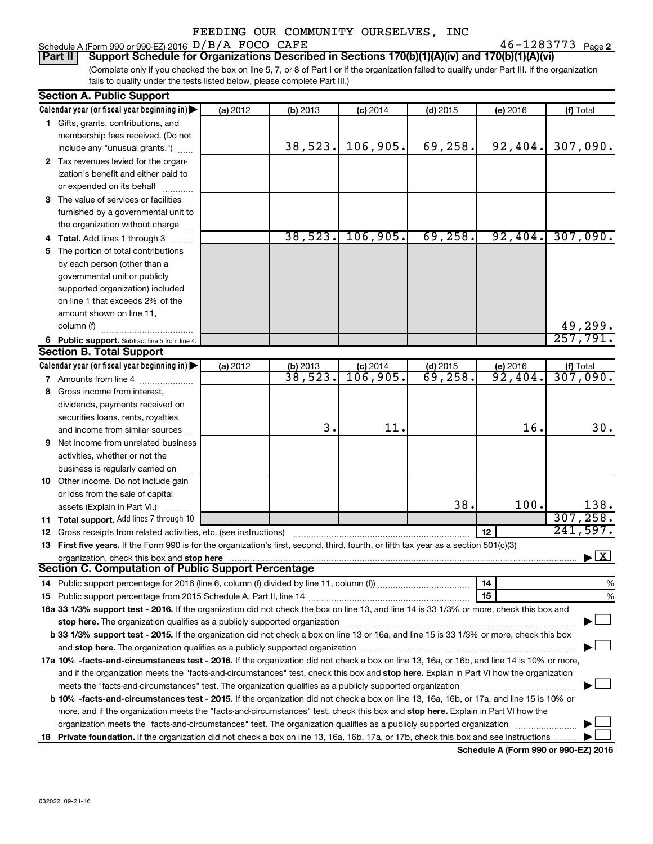#### Schedule A (Form 990 or 990-EZ) 2016  $D/B/A$  FOCO CAFE  $46-1283773$  Page

46-1283773 Page 2

(Complete only if you checked the box on line 5, 7, or 8 of Part I or if the organization failed to qualify under Part III. If the organization fails to qualify under the tests listed below, please complete Part III.) **Part II Support Schedule for Organizations Described in Sections 170(b)(1)(A)(iv) and 170(b)(1)(A)(vi)**

|    | <b>Section A. Public Support</b>                                                                                                           |          |                      |            |            |          |                                          |
|----|--------------------------------------------------------------------------------------------------------------------------------------------|----------|----------------------|------------|------------|----------|------------------------------------------|
|    | Calendar year (or fiscal year beginning in)                                                                                                | (a) 2012 | (b) 2013             | $(c)$ 2014 | $(d)$ 2015 | (e) 2016 | (f) Total                                |
|    | 1 Gifts, grants, contributions, and                                                                                                        |          |                      |            |            |          |                                          |
|    | membership fees received. (Do not                                                                                                          |          |                      |            |            |          |                                          |
|    | include any "unusual grants.")                                                                                                             |          | 38,523.              | 106,905.   | 69,258.    | 92,404.  | 307,090.                                 |
|    | 2 Tax revenues levied for the organ-                                                                                                       |          |                      |            |            |          |                                          |
|    | ization's benefit and either paid to                                                                                                       |          |                      |            |            |          |                                          |
|    | or expended on its behalf                                                                                                                  |          |                      |            |            |          |                                          |
|    | 3 The value of services or facilities                                                                                                      |          |                      |            |            |          |                                          |
|    | furnished by a governmental unit to                                                                                                        |          |                      |            |            |          |                                          |
|    | the organization without charge                                                                                                            |          |                      |            |            |          |                                          |
|    | 4 Total. Add lines 1 through 3                                                                                                             |          | 38,523.              | 106,905.   | 69, 258.   | 92,404.  | 307,090.                                 |
| 5. | The portion of total contributions                                                                                                         |          |                      |            |            |          |                                          |
|    | by each person (other than a                                                                                                               |          |                      |            |            |          |                                          |
|    | governmental unit or publicly                                                                                                              |          |                      |            |            |          |                                          |
|    | supported organization) included                                                                                                           |          |                      |            |            |          |                                          |
|    | on line 1 that exceeds 2% of the                                                                                                           |          |                      |            |            |          |                                          |
|    | amount shown on line 11,                                                                                                                   |          |                      |            |            |          |                                          |
|    | column (f)                                                                                                                                 |          |                      |            |            |          |                                          |
|    | 6 Public support. Subtract line 5 from line 4.                                                                                             |          |                      |            |            |          | $\frac{49,299}{257,791}$                 |
|    | <b>Section B. Total Support</b>                                                                                                            |          |                      |            |            |          |                                          |
|    | Calendar year (or fiscal year beginning in) $\blacktriangleright$                                                                          | (a) 2012 |                      | $(c)$ 2014 | $(d)$ 2015 | (e) 2016 |                                          |
|    | 7 Amounts from line 4                                                                                                                      |          | (b) 2013<br>38, 523. | 106,905.   | 69,258.    | 92,404.  | $\frac{f(f) \text{ Total}}{307,090.}$    |
| 8  | Gross income from interest,                                                                                                                |          |                      |            |            |          |                                          |
|    | dividends, payments received on                                                                                                            |          |                      |            |            |          |                                          |
|    | securities loans, rents, royalties                                                                                                         |          |                      |            |            |          |                                          |
|    | and income from similar sources                                                                                                            |          | 3.                   | 11.        |            | 16.      | 30.                                      |
| 9  | Net income from unrelated business                                                                                                         |          |                      |            |            |          |                                          |
|    | activities, whether or not the                                                                                                             |          |                      |            |            |          |                                          |
|    | business is regularly carried on                                                                                                           |          |                      |            |            |          |                                          |
|    | 10 Other income. Do not include gain                                                                                                       |          |                      |            |            |          |                                          |
|    | or loss from the sale of capital                                                                                                           |          |                      |            |            |          |                                          |
|    | assets (Explain in Part VI.)                                                                                                               |          |                      |            | 38.        | 100.     | 138.                                     |
|    | 11 Total support. Add lines 7 through 10                                                                                                   |          |                      |            |            |          | 307, 258.                                |
|    | <b>12</b> Gross receipts from related activities, etc. (see instructions)                                                                  |          |                      |            |            | 12       | 241,597.                                 |
|    | 13 First five years. If the Form 990 is for the organization's first, second, third, fourth, or fifth tax year as a section 501(c)(3)      |          |                      |            |            |          |                                          |
|    | organization, check this box and stop here                                                                                                 |          |                      |            |            |          | $\blacktriangleright$ $\boxed{\text{X}}$ |
|    | <b>Section C. Computation of Public Support Percentage</b>                                                                                 |          |                      |            |            |          |                                          |
|    |                                                                                                                                            |          |                      |            |            | 14       | %                                        |
|    |                                                                                                                                            |          |                      |            |            | 15       | %                                        |
|    | 16a 33 1/3% support test - 2016. If the organization did not check the box on line 13, and line 14 is 33 1/3% or more, check this box and  |          |                      |            |            |          |                                          |
|    |                                                                                                                                            |          |                      |            |            |          |                                          |
|    | b 33 1/3% support test - 2015. If the organization did not check a box on line 13 or 16a, and line 15 is 33 1/3% or more, check this box   |          |                      |            |            |          |                                          |
|    |                                                                                                                                            |          |                      |            |            |          |                                          |
|    | 17a 10% -facts-and-circumstances test - 2016. If the organization did not check a box on line 13, 16a, or 16b, and line 14 is 10% or more, |          |                      |            |            |          |                                          |
|    | and if the organization meets the "facts-and-circumstances" test, check this box and stop here. Explain in Part VI how the organization    |          |                      |            |            |          |                                          |
|    | meets the "facts-and-circumstances" test. The organization qualifies as a publicly supported organization <i>manumumumum</i>               |          |                      |            |            |          |                                          |
|    | b 10% -facts-and-circumstances test - 2015. If the organization did not check a box on line 13, 16a, 16b, or 17a, and line 15 is 10% or    |          |                      |            |            |          |                                          |
|    | more, and if the organization meets the "facts-and-circumstances" test, check this box and stop here. Explain in Part VI how the           |          |                      |            |            |          |                                          |
|    | organization meets the "facts-and-circumstances" test. The organization qualifies as a publicly supported organization                     |          |                      |            |            |          |                                          |
|    |                                                                                                                                            |          |                      |            |            |          |                                          |
| 18 | <b>Private foundation.</b> If the organization did not check a box on line 13, 16a, 16b, 17a, or 17b, check this box and see instructions  |          |                      |            |            |          |                                          |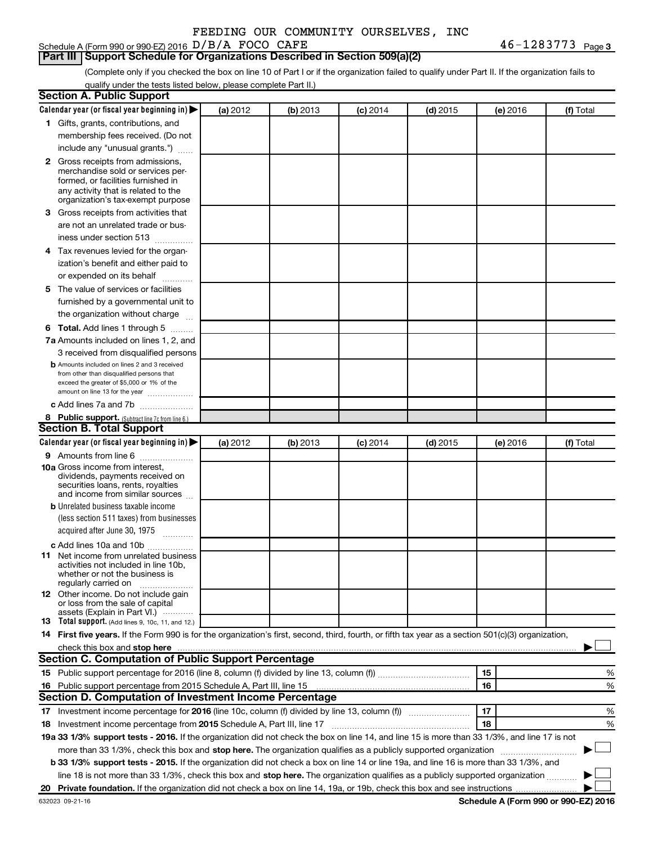|  |  |  | FEEDING OUR COMMUNITY OURSELVES, INC |  |
|--|--|--|--------------------------------------|--|
|--|--|--|--------------------------------------|--|

## Schedule A (Form 990 or 990-EZ) 2016  $D/B/A$  FOCO CAFE  $46-1283773$  Page

# **Part III Support Schedule for Organizations Described in Section 509(a)(2)**

(Complete only if you checked the box on line 10 of Part I or if the organization failed to qualify under Part II. If the organization fails to qualify under the tests listed below, please complete Part II.)

| <b>Section A. Public Support</b>                                                                                                                    |          |          |                 |            |          |           |
|-----------------------------------------------------------------------------------------------------------------------------------------------------|----------|----------|-----------------|------------|----------|-----------|
| Calendar year (or fiscal year beginning in)                                                                                                         | (a) 2012 | (b) 2013 | $(c)$ 2014      | $(d)$ 2015 | (e) 2016 | (f) Total |
| 1 Gifts, grants, contributions, and                                                                                                                 |          |          |                 |            |          |           |
| membership fees received. (Do not                                                                                                                   |          |          |                 |            |          |           |
| include any "unusual grants.")                                                                                                                      |          |          |                 |            |          |           |
| 2 Gross receipts from admissions,                                                                                                                   |          |          |                 |            |          |           |
| merchandise sold or services per-                                                                                                                   |          |          |                 |            |          |           |
| formed, or facilities furnished in                                                                                                                  |          |          |                 |            |          |           |
| any activity that is related to the<br>organization's tax-exempt purpose                                                                            |          |          |                 |            |          |           |
| 3 Gross receipts from activities that                                                                                                               |          |          |                 |            |          |           |
| are not an unrelated trade or bus-                                                                                                                  |          |          |                 |            |          |           |
| iness under section 513                                                                                                                             |          |          |                 |            |          |           |
| 4 Tax revenues levied for the organ-                                                                                                                |          |          |                 |            |          |           |
| ization's benefit and either paid to                                                                                                                |          |          |                 |            |          |           |
| or expended on its behalf                                                                                                                           |          |          |                 |            |          |           |
| 5 The value of services or facilities                                                                                                               |          |          |                 |            |          |           |
| furnished by a governmental unit to                                                                                                                 |          |          |                 |            |          |           |
| the organization without charge                                                                                                                     |          |          |                 |            |          |           |
| <b>6 Total.</b> Add lines 1 through 5                                                                                                               |          |          |                 |            |          |           |
| 7a Amounts included on lines 1, 2, and                                                                                                              |          |          |                 |            |          |           |
| 3 received from disqualified persons                                                                                                                |          |          |                 |            |          |           |
| <b>b</b> Amounts included on lines 2 and 3 received                                                                                                 |          |          |                 |            |          |           |
| from other than disqualified persons that                                                                                                           |          |          |                 |            |          |           |
| exceed the greater of \$5,000 or 1% of the                                                                                                          |          |          |                 |            |          |           |
| amount on line 13 for the year                                                                                                                      |          |          |                 |            |          |           |
| c Add lines 7a and 7b                                                                                                                               |          |          |                 |            |          |           |
| 8 Public support. (Subtract line 7c from line 6.)<br><b>Section B. Total Support</b>                                                                |          |          |                 |            |          |           |
| Calendar year (or fiscal year beginning in)                                                                                                         | (a) 2012 | (b) 2013 |                 | $(d)$ 2015 |          | (f) Total |
| 9 Amounts from line 6                                                                                                                               |          |          | <b>(c)</b> 2014 |            | (e) 2016 |           |
| <b>10a</b> Gross income from interest,                                                                                                              |          |          |                 |            |          |           |
| dividends, payments received on                                                                                                                     |          |          |                 |            |          |           |
| securities loans, rents, royalties                                                                                                                  |          |          |                 |            |          |           |
| and income from similar sources                                                                                                                     |          |          |                 |            |          |           |
| <b>b</b> Unrelated business taxable income                                                                                                          |          |          |                 |            |          |           |
| (less section 511 taxes) from businesses                                                                                                            |          |          |                 |            |          |           |
| acquired after June 30, 1975<br>$\frac{1}{2}$                                                                                                       |          |          |                 |            |          |           |
| c Add lines 10a and 10b                                                                                                                             |          |          |                 |            |          |           |
| 11 Net income from unrelated business<br>activities not included in line 10b.                                                                       |          |          |                 |            |          |           |
| whether or not the business is                                                                                                                      |          |          |                 |            |          |           |
| regularly carried on                                                                                                                                |          |          |                 |            |          |           |
| <b>12</b> Other income. Do not include gain<br>or loss from the sale of capital                                                                     |          |          |                 |            |          |           |
| assets (Explain in Part VI.)                                                                                                                        |          |          |                 |            |          |           |
| <b>13</b> Total support. (Add lines 9, 10c, 11, and 12.)                                                                                            |          |          |                 |            |          |           |
| 14 First five years. If the Form 990 is for the organization's first, second, third, fourth, or fifth tax year as a section 501(c)(3) organization, |          |          |                 |            |          |           |
|                                                                                                                                                     |          |          |                 |            |          |           |
| Section C. Computation of Public Support Percentage                                                                                                 |          |          |                 |            |          |           |
|                                                                                                                                                     |          |          |                 |            | 15       | %         |
| 16 Public support percentage from 2015 Schedule A, Part III, line 15                                                                                |          |          |                 |            | 16       | %         |
| Section D. Computation of Investment Income Percentage                                                                                              |          |          |                 |            |          |           |
| 17 Investment income percentage for 2016 (line 10c, column (f) divided by line 13, column (f))                                                      |          |          |                 |            | 17       | %         |
| 18 Investment income percentage from 2015 Schedule A, Part III, line 17                                                                             |          |          |                 |            | 18       | %         |
| 19a 33 1/3% support tests - 2016. If the organization did not check the box on line 14, and line 15 is more than 33 1/3%, and line 17 is not        |          |          |                 |            |          |           |
| more than 33 1/3%, check this box and stop here. The organization qualifies as a publicly supported organization                                    |          |          |                 |            |          |           |
| b 33 1/3% support tests - 2015. If the organization did not check a box on line 14 or line 19a, and line 16 is more than 33 1/3%, and               |          |          |                 |            |          |           |
| line 18 is not more than 33 1/3%, check this box and stop here. The organization qualifies as a publicly supported organization                     |          |          |                 |            |          |           |
|                                                                                                                                                     |          |          |                 |            |          |           |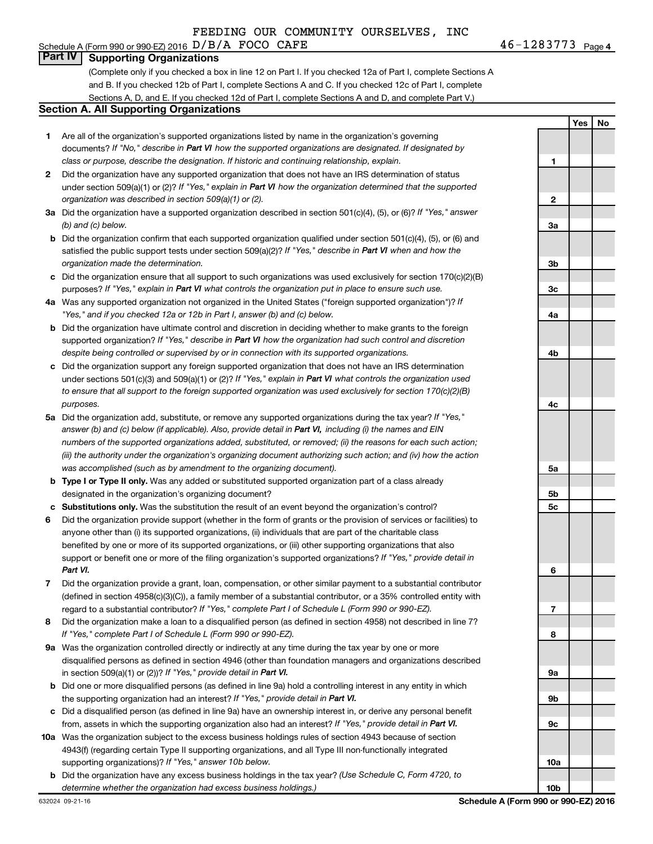# **Part IV Supporting Organizations**

(Complete only if you checked a box in line 12 on Part I. If you checked 12a of Part I, complete Sections A and B. If you checked 12b of Part I, complete Sections A and C. If you checked 12c of Part I, complete Sections A, D, and E. If you checked 12d of Part I, complete Sections A and D, and complete Part V.)

#### **Section A. All Supporting Organizations**

- **1** Are all of the organization's supported organizations listed by name in the organization's governing documents? If "No," describe in Part VI how the supported organizations are designated. If designated by *class or purpose, describe the designation. If historic and continuing relationship, explain.*
- **2** Did the organization have any supported organization that does not have an IRS determination of status under section 509(a)(1) or (2)? If "Yes," explain in Part VI how the organization determined that the supported *organization was described in section 509(a)(1) or (2).*
- **3a** Did the organization have a supported organization described in section 501(c)(4), (5), or (6)? If "Yes," answer *(b) and (c) below.*
- **b** Did the organization confirm that each supported organization qualified under section 501(c)(4), (5), or (6) and satisfied the public support tests under section 509(a)(2)? If "Yes," describe in Part VI when and how the *organization made the determination.*
- **c** Did the organization ensure that all support to such organizations was used exclusively for section 170(c)(2)(B) purposes? If "Yes," explain in Part VI what controls the organization put in place to ensure such use.
- **4 a** *If* Was any supported organization not organized in the United States ("foreign supported organization")? *"Yes," and if you checked 12a or 12b in Part I, answer (b) and (c) below.*
- **b** Did the organization have ultimate control and discretion in deciding whether to make grants to the foreign supported organization? If "Yes," describe in Part VI how the organization had such control and discretion *despite being controlled or supervised by or in connection with its supported organizations.*
- **c** Did the organization support any foreign supported organization that does not have an IRS determination under sections 501(c)(3) and 509(a)(1) or (2)? If "Yes," explain in Part VI what controls the organization used *to ensure that all support to the foreign supported organization was used exclusively for section 170(c)(2)(B) purposes.*
- **5a** Did the organization add, substitute, or remove any supported organizations during the tax year? If "Yes," answer (b) and (c) below (if applicable). Also, provide detail in Part VI, including (i) the names and EIN *numbers of the supported organizations added, substituted, or removed; (ii) the reasons for each such action; (iii) the authority under the organization's organizing document authorizing such action; and (iv) how the action was accomplished (such as by amendment to the organizing document).*
- **b** Type I or Type II only. Was any added or substituted supported organization part of a class already designated in the organization's organizing document?
- **c Substitutions only.**  Was the substitution the result of an event beyond the organization's control?
- **6** Did the organization provide support (whether in the form of grants or the provision of services or facilities) to support or benefit one or more of the filing organization's supported organizations? If "Yes," provide detail in anyone other than (i) its supported organizations, (ii) individuals that are part of the charitable class benefited by one or more of its supported organizations, or (iii) other supporting organizations that also *Part VI.*
- **7** Did the organization provide a grant, loan, compensation, or other similar payment to a substantial contributor regard to a substantial contributor? If "Yes," complete Part I of Schedule L (Form 990 or 990-EZ). (defined in section 4958(c)(3)(C)), a family member of a substantial contributor, or a 35% controlled entity with
- **8** Did the organization make a loan to a disqualified person (as defined in section 4958) not described in line 7? *If "Yes," complete Part I of Schedule L (Form 990 or 990-EZ).*
- **9 a** Was the organization controlled directly or indirectly at any time during the tax year by one or more in section 509(a)(1) or (2))? If "Yes," provide detail in Part VI. disqualified persons as defined in section 4946 (other than foundation managers and organizations described
- **b** Did one or more disqualified persons (as defined in line 9a) hold a controlling interest in any entity in which the supporting organization had an interest? If "Yes," provide detail in Part VI.
- **c** Did a disqualified person (as defined in line 9a) have an ownership interest in, or derive any personal benefit from, assets in which the supporting organization also had an interest? If "Yes," provide detail in Part VI.
- **10 a** Was the organization subject to the excess business holdings rules of section 4943 because of section supporting organizations)? If "Yes," answer 10b below. 4943(f) (regarding certain Type II supporting organizations, and all Type III non-functionally integrated
- **b** Did the organization have any excess business holdings in the tax year? (Use Schedule C, Form 4720, to *determine whether the organization had excess business holdings.)*

**Yes No 1 2 3a 3b 3c 4a 4b 4c 5a 5b 5c 6 7 8 9a 9b 9c 10a 10b**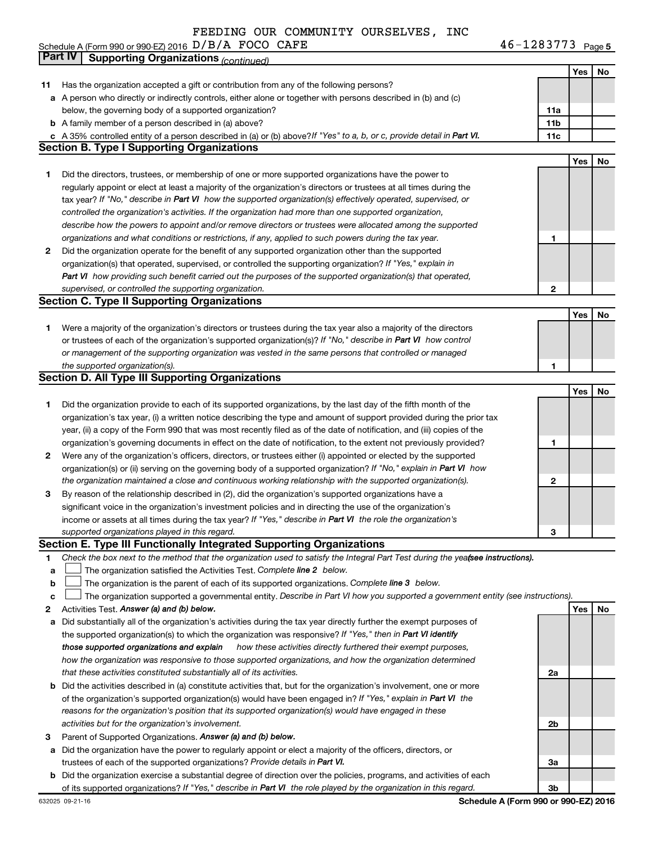46-1283773 Page 5 Schedule A (Form 990 or 990-EZ) 2016 D / B / A FOCO CAFE  $46-1283113$  Page D/B/A FOCO CAFE 46-1283773

|    | <b>Part IV   Supporting Organizations (continued)</b>                                                                           |                 |     |    |
|----|---------------------------------------------------------------------------------------------------------------------------------|-----------------|-----|----|
|    |                                                                                                                                 |                 | Yes | No |
| 11 | Has the organization accepted a gift or contribution from any of the following persons?                                         |                 |     |    |
|    | a A person who directly or indirectly controls, either alone or together with persons described in (b) and (c)                  |                 |     |    |
|    | below, the governing body of a supported organization?                                                                          | 11a             |     |    |
|    | <b>b</b> A family member of a person described in (a) above?                                                                    | 11 <sub>b</sub> |     |    |
|    | c A 35% controlled entity of a person described in (a) or (b) above? If "Yes" to a, b, or c, provide detail in Part VI.         | 11c             |     |    |
|    | <b>Section B. Type I Supporting Organizations</b>                                                                               |                 |     |    |
|    |                                                                                                                                 |                 | Yes | No |
| 1  | Did the directors, trustees, or membership of one or more supported organizations have the power to                             |                 |     |    |
|    |                                                                                                                                 |                 |     |    |
|    | regularly appoint or elect at least a majority of the organization's directors or trustees at all times during the              |                 |     |    |
|    | tax year? If "No," describe in Part VI how the supported organization(s) effectively operated, supervised, or                   |                 |     |    |
|    | controlled the organization's activities. If the organization had more than one supported organization,                         |                 |     |    |
|    | describe how the powers to appoint and/or remove directors or trustees were allocated among the supported                       |                 |     |    |
|    | organizations and what conditions or restrictions, if any, applied to such powers during the tax year.                          | 1               |     |    |
| 2  | Did the organization operate for the benefit of any supported organization other than the supported                             |                 |     |    |
|    | organization(s) that operated, supervised, or controlled the supporting organization? If "Yes," explain in                      |                 |     |    |
|    | Part VI how providing such benefit carried out the purposes of the supported organization(s) that operated,                     |                 |     |    |
|    | supervised, or controlled the supporting organization.                                                                          | 2               |     |    |
|    | <b>Section C. Type II Supporting Organizations</b>                                                                              |                 |     |    |
|    |                                                                                                                                 |                 | Yes | No |
| 1  | Were a majority of the organization's directors or trustees during the tax year also a majority of the directors                |                 |     |    |
|    | or trustees of each of the organization's supported organization(s)? If "No," describe in Part VI how control                   |                 |     |    |
|    | or management of the supporting organization was vested in the same persons that controlled or managed                          |                 |     |    |
|    | the supported organization(s).                                                                                                  | 1               |     |    |
|    | <b>Section D. All Type III Supporting Organizations</b>                                                                         |                 |     |    |
|    |                                                                                                                                 |                 | Yes | No |
| 1  | Did the organization provide to each of its supported organizations, by the last day of the fifth month of the                  |                 |     |    |
|    | organization's tax year, (i) a written notice describing the type and amount of support provided during the prior tax           |                 |     |    |
|    | year, (ii) a copy of the Form 990 that was most recently filed as of the date of notification, and (iii) copies of the          |                 |     |    |
|    | organization's governing documents in effect on the date of notification, to the extent not previously provided?                | 1               |     |    |
| 2  | Were any of the organization's officers, directors, or trustees either (i) appointed or elected by the supported                |                 |     |    |
|    | organization(s) or (ii) serving on the governing body of a supported organization? If "No," explain in Part VI how              |                 |     |    |
|    | the organization maintained a close and continuous working relationship with the supported organization(s).                     | 2               |     |    |
| 3  | By reason of the relationship described in (2), did the organization's supported organizations have a                           |                 |     |    |
|    | significant voice in the organization's investment policies and in directing the use of the organization's                      |                 |     |    |
|    | income or assets at all times during the tax year? If "Yes," describe in Part VI the role the organization's                    |                 |     |    |
|    | supported organizations played in this regard.                                                                                  | 3               |     |    |
|    | Section E. Type III Functionally Integrated Supporting Organizations                                                            |                 |     |    |
| 1  | Check the box next to the method that the organization used to satisfy the Integral Part Test during the yeafsee instructions). |                 |     |    |
| a  | The organization satisfied the Activities Test. Complete line 2 below.                                                          |                 |     |    |
| b  | The organization is the parent of each of its supported organizations. Complete line 3 below.                                   |                 |     |    |
| c  | The organization supported a governmental entity. Describe in Part VI how you supported a government entity (see instructions). |                 |     |    |
| 2  | Activities Test. Answer (a) and (b) below.                                                                                      |                 | Yes | No |
| а  | Did substantially all of the organization's activities during the tax year directly further the exempt purposes of              |                 |     |    |
|    | the supported organization(s) to which the organization was responsive? If "Yes," then in Part VI identify                      |                 |     |    |
|    | how these activities directly furthered their exempt purposes,<br>those supported organizations and explain                     |                 |     |    |
|    | how the organization was responsive to those supported organizations, and how the organization determined                       |                 |     |    |
|    | that these activities constituted substantially all of its activities.                                                          | 2a              |     |    |
| b  | Did the activities described in (a) constitute activities that, but for the organization's involvement, one or more             |                 |     |    |
|    | of the organization's supported organization(s) would have been engaged in? If "Yes," explain in Part VI the                    |                 |     |    |
|    | reasons for the organization's position that its supported organization(s) would have engaged in these                          |                 |     |    |
|    | activities but for the organization's involvement.                                                                              | 2b              |     |    |
| 3  | Parent of Supported Organizations. Answer (a) and (b) below.                                                                    |                 |     |    |
| а  | Did the organization have the power to regularly appoint or elect a majority of the officers, directors, or                     |                 |     |    |
|    | trustees of each of the supported organizations? Provide details in Part VI.                                                    | За              |     |    |
| b  | Did the organization exercise a substantial degree of direction over the policies, programs, and activities of each             |                 |     |    |
|    | of its supported organizations? If "Yes," describe in Part VI the role played by the organization in this regard.               | Зb              |     |    |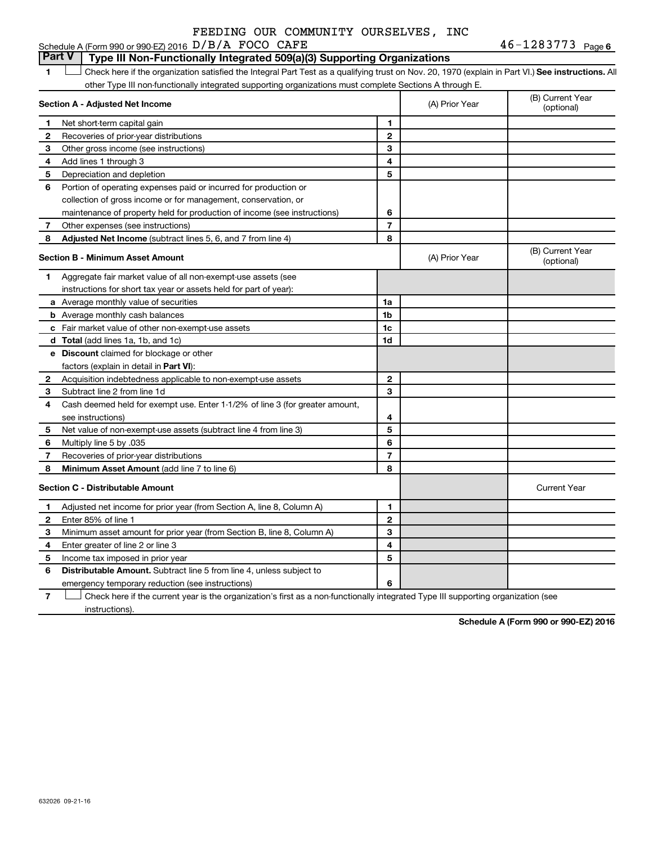#### **1 Letter or if the organization satisfied the Integral Part Test as a qualifying trust on Nov. 20, 1970 (explain in Part VI.) See instructions. All Section A - Adjusted Net Income 1 2 3 4 5 6 7 8 1 2 3 4 5 6 7 Adjusted Net Income** (subtract lines 5, 6, and 7 from line 4) **8 8 Section B - Minimum Asset Amount 1 2 3 4 5 6 7 8 a** Average monthly value of securities **b** Average monthly cash balances **c** Fair market value of other non-exempt-use assets **d Total**  (add lines 1a, 1b, and 1c) **e Discount** claimed for blockage or other **1a 1b 1c 1d 2 3 4 5 6 7 8** factors (explain in detail in Part VI): **Minimum Asset Amount**  (add line 7 to line 6) **Section C - Distributable Amount 1 2 3 4 5 6 1 2 3 4 5 6** Distributable Amount. Subtract line 5 from line 4, unless subject to other Type III non-functionally integrated supporting organizations must complete Sections A through E. (B) Current Year<br>(optional) (A) Prior Year Net short-term capital gain Recoveries of prior-year distributions Other gross income (see instructions) Add lines 1 through 3 Depreciation and depletion Portion of operating expenses paid or incurred for production or collection of gross income or for management, conservation, or maintenance of property held for production of income (see instructions) Other expenses (see instructions) (B) Current Year  $(A)$  Prior Year  $\left\{\n\begin{array}{ccc}\n\end{array}\n\right\}$  (optional) Aggregate fair market value of all non-exempt-use assets (see instructions for short tax year or assets held for part of year): Acquisition indebtedness applicable to non-exempt-use assets Subtract line 2 from line 1d Cash deemed held for exempt use. Enter 1-1/2% of line 3 (for greater amount, see instructions) Net value of non-exempt-use assets (subtract line 4 from line 3) Multiply line 5 by .035 Recoveries of prior-year distributions Current Year Adjusted net income for prior year (from Section A, line 8, Column A) Enter 85% of line 1 Minimum asset amount for prior year (from Section B, line 8, Column A) Enter greater of line 2 or line 3 Income tax imposed in prior year emergency temporary reduction (see instructions) **Part V Type III Non-Functionally Integrated 509(a)(3) Supporting Organizations**   $\Box$

**7** Check here if the current year is the organization's first as a non-functionally integrated Type III supporting organization (see † instructions).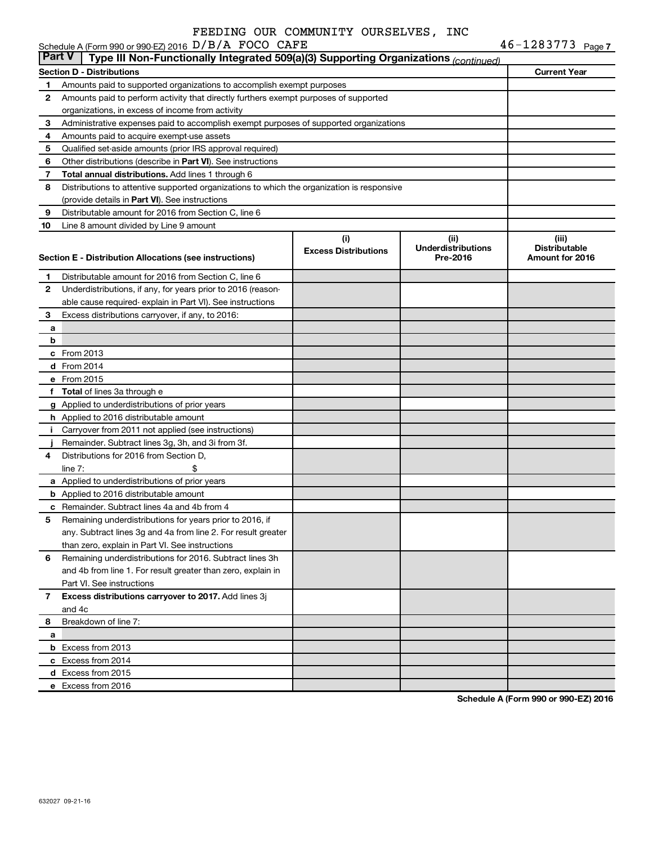|               | Schedule A (Form 990 or 990-EZ) 2016 D/B/A FOCO CAFE                                       |                             |                           | $46 - 1283773$ Page 7 |
|---------------|--------------------------------------------------------------------------------------------|-----------------------------|---------------------------|-----------------------|
| <b>Part V</b> | Type III Non-Functionally Integrated 509(a)(3) Supporting Organizations (continued)        |                             |                           |                       |
|               | Section D - Distributions                                                                  |                             |                           | <b>Current Year</b>   |
| 1             | Amounts paid to supported organizations to accomplish exempt purposes                      |                             |                           |                       |
| 2             | Amounts paid to perform activity that directly furthers exempt purposes of supported       |                             |                           |                       |
|               | organizations, in excess of income from activity                                           |                             |                           |                       |
| 3             | Administrative expenses paid to accomplish exempt purposes of supported organizations      |                             |                           |                       |
| 4             | Amounts paid to acquire exempt-use assets                                                  |                             |                           |                       |
| 5             | Qualified set-aside amounts (prior IRS approval required)                                  |                             |                           |                       |
| 6             | Other distributions (describe in <b>Part VI</b> ). See instructions                        |                             |                           |                       |
| 7             | Total annual distributions. Add lines 1 through 6                                          |                             |                           |                       |
| 8             | Distributions to attentive supported organizations to which the organization is responsive |                             |                           |                       |
|               | (provide details in Part VI). See instructions                                             |                             |                           |                       |
| 9             | Distributable amount for 2016 from Section C, line 6                                       |                             |                           |                       |
| 10            | Line 8 amount divided by Line 9 amount                                                     |                             |                           |                       |
|               |                                                                                            | (i)                         | (ii)                      | (iii)                 |
|               |                                                                                            | <b>Excess Distributions</b> | <b>Underdistributions</b> | <b>Distributable</b>  |
|               | Section E - Distribution Allocations (see instructions)                                    |                             | Pre-2016                  | Amount for 2016       |
| 1             | Distributable amount for 2016 from Section C, line 6                                       |                             |                           |                       |
| 2             | Underdistributions, if any, for years prior to 2016 (reason-                               |                             |                           |                       |
|               | able cause required-explain in Part VI). See instructions                                  |                             |                           |                       |
| 3             | Excess distributions carryover, if any, to 2016:                                           |                             |                           |                       |
| а             |                                                                                            |                             |                           |                       |
| b             |                                                                                            |                             |                           |                       |
|               | c From 2013                                                                                |                             |                           |                       |
|               | <b>d</b> From 2014                                                                         |                             |                           |                       |
|               | e From 2015                                                                                |                             |                           |                       |
|               | f Total of lines 3a through e                                                              |                             |                           |                       |
|               | g Applied to underdistributions of prior years                                             |                             |                           |                       |
|               | <b>h</b> Applied to 2016 distributable amount                                              |                             |                           |                       |
| Ť.            | Carryover from 2011 not applied (see instructions)                                         |                             |                           |                       |
|               | Remainder. Subtract lines 3g, 3h, and 3i from 3f.                                          |                             |                           |                       |
| 4             | Distributions for 2016 from Section D,                                                     |                             |                           |                       |
|               | line $7:$                                                                                  |                             |                           |                       |
|               | a Applied to underdistributions of prior years                                             |                             |                           |                       |
|               | <b>b</b> Applied to 2016 distributable amount                                              |                             |                           |                       |
|               | <b>c</b> Remainder. Subtract lines 4a and 4b from 4                                        |                             |                           |                       |
|               | 5 Remaining underdistributions for years prior to 2016, if                                 |                             |                           |                       |
|               | any. Subtract lines 3q and 4a from line 2. For result greater                              |                             |                           |                       |
|               | than zero, explain in Part VI. See instructions                                            |                             |                           |                       |
| 6             | Remaining underdistributions for 2016. Subtract lines 3h                                   |                             |                           |                       |
|               | and 4b from line 1. For result greater than zero, explain in                               |                             |                           |                       |
|               | Part VI. See instructions                                                                  |                             |                           |                       |
| 7             | Excess distributions carryover to 2017. Add lines 3j                                       |                             |                           |                       |
|               | and 4c                                                                                     |                             |                           |                       |
| 8             | Breakdown of line 7:                                                                       |                             |                           |                       |
| а             |                                                                                            |                             |                           |                       |
|               | <b>b</b> Excess from 2013                                                                  |                             |                           |                       |
|               | c Excess from 2014                                                                         |                             |                           |                       |
|               | d Excess from 2015                                                                         |                             |                           |                       |
|               | e Excess from 2016                                                                         |                             |                           |                       |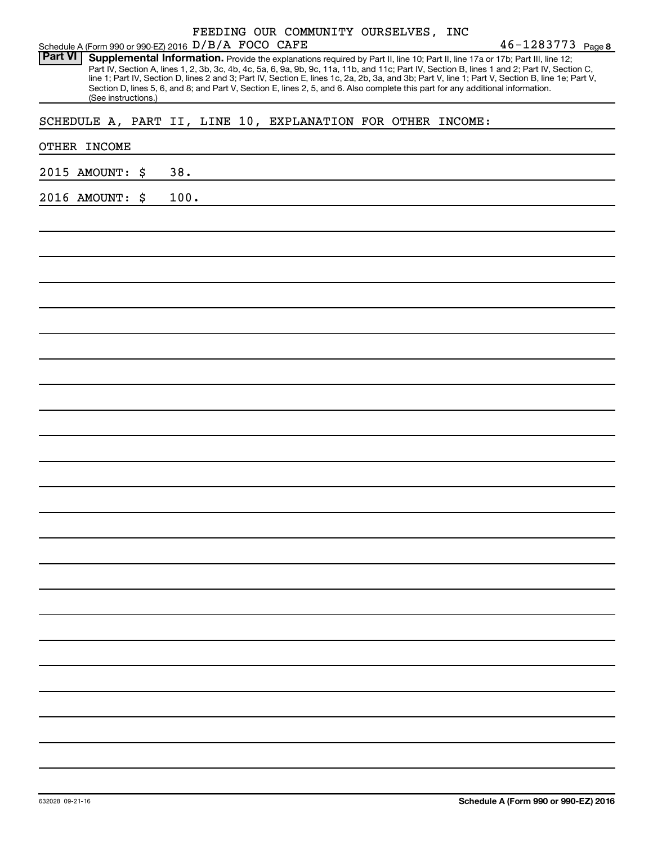|                 |  | Schedule A (Form 990 or 990-EZ) 2016 D/B/A FOCO CAFE |      |  |  |  | FEEDING OUR COMMUNITY OURSELVES, INC |                                                             | $46 - 1283773$ Page 8                                                                                                                                                                                                                                                                                                                                                                                                                                                                                                                                                |
|-----------------|--|------------------------------------------------------|------|--|--|--|--------------------------------------|-------------------------------------------------------------|----------------------------------------------------------------------------------------------------------------------------------------------------------------------------------------------------------------------------------------------------------------------------------------------------------------------------------------------------------------------------------------------------------------------------------------------------------------------------------------------------------------------------------------------------------------------|
| <b>Part VI</b>  |  | (See instructions.)                                  |      |  |  |  |                                      |                                                             | Supplemental Information. Provide the explanations required by Part II, line 10; Part II, line 17a or 17b; Part III, line 12;<br>Part IV, Section A, lines 1, 2, 3b, 3c, 4b, 4c, 5a, 6, 9a, 9b, 9c, 11a, 11b, and 11c; Part IV, Section B, lines 1 and 2; Part IV, Section C,<br>line 1; Part IV, Section D, lines 2 and 3; Part IV, Section E, lines 1c, 2a, 2b, 3a, and 3b; Part V, line 1; Part V, Section B, line 1e; Part V,<br>Section D, lines 5, 6, and 8; and Part V, Section E, lines 2, 5, and 6. Also complete this part for any additional information. |
|                 |  |                                                      |      |  |  |  |                                      | SCHEDULE A, PART II, LINE 10, EXPLANATION FOR OTHER INCOME: |                                                                                                                                                                                                                                                                                                                                                                                                                                                                                                                                                                      |
| OTHER INCOME    |  |                                                      |      |  |  |  |                                      |                                                             |                                                                                                                                                                                                                                                                                                                                                                                                                                                                                                                                                                      |
| 2015 AMOUNT: \$ |  |                                                      | 38.  |  |  |  |                                      |                                                             |                                                                                                                                                                                                                                                                                                                                                                                                                                                                                                                                                                      |
| 2016 AMOUNT: \$ |  |                                                      | 100. |  |  |  |                                      |                                                             |                                                                                                                                                                                                                                                                                                                                                                                                                                                                                                                                                                      |
|                 |  |                                                      |      |  |  |  |                                      |                                                             |                                                                                                                                                                                                                                                                                                                                                                                                                                                                                                                                                                      |
|                 |  |                                                      |      |  |  |  |                                      |                                                             |                                                                                                                                                                                                                                                                                                                                                                                                                                                                                                                                                                      |
|                 |  |                                                      |      |  |  |  |                                      |                                                             |                                                                                                                                                                                                                                                                                                                                                                                                                                                                                                                                                                      |
|                 |  |                                                      |      |  |  |  |                                      |                                                             |                                                                                                                                                                                                                                                                                                                                                                                                                                                                                                                                                                      |
|                 |  |                                                      |      |  |  |  |                                      |                                                             |                                                                                                                                                                                                                                                                                                                                                                                                                                                                                                                                                                      |
|                 |  |                                                      |      |  |  |  |                                      |                                                             |                                                                                                                                                                                                                                                                                                                                                                                                                                                                                                                                                                      |
|                 |  |                                                      |      |  |  |  |                                      |                                                             |                                                                                                                                                                                                                                                                                                                                                                                                                                                                                                                                                                      |
|                 |  |                                                      |      |  |  |  |                                      |                                                             |                                                                                                                                                                                                                                                                                                                                                                                                                                                                                                                                                                      |
|                 |  |                                                      |      |  |  |  |                                      |                                                             |                                                                                                                                                                                                                                                                                                                                                                                                                                                                                                                                                                      |
|                 |  |                                                      |      |  |  |  |                                      |                                                             |                                                                                                                                                                                                                                                                                                                                                                                                                                                                                                                                                                      |
|                 |  |                                                      |      |  |  |  |                                      |                                                             |                                                                                                                                                                                                                                                                                                                                                                                                                                                                                                                                                                      |
|                 |  |                                                      |      |  |  |  |                                      |                                                             |                                                                                                                                                                                                                                                                                                                                                                                                                                                                                                                                                                      |
|                 |  |                                                      |      |  |  |  |                                      |                                                             |                                                                                                                                                                                                                                                                                                                                                                                                                                                                                                                                                                      |
|                 |  |                                                      |      |  |  |  |                                      |                                                             |                                                                                                                                                                                                                                                                                                                                                                                                                                                                                                                                                                      |
|                 |  |                                                      |      |  |  |  |                                      |                                                             |                                                                                                                                                                                                                                                                                                                                                                                                                                                                                                                                                                      |
|                 |  |                                                      |      |  |  |  |                                      |                                                             |                                                                                                                                                                                                                                                                                                                                                                                                                                                                                                                                                                      |
|                 |  |                                                      |      |  |  |  |                                      |                                                             |                                                                                                                                                                                                                                                                                                                                                                                                                                                                                                                                                                      |
|                 |  |                                                      |      |  |  |  |                                      |                                                             |                                                                                                                                                                                                                                                                                                                                                                                                                                                                                                                                                                      |
|                 |  |                                                      |      |  |  |  |                                      |                                                             |                                                                                                                                                                                                                                                                                                                                                                                                                                                                                                                                                                      |
|                 |  |                                                      |      |  |  |  |                                      |                                                             |                                                                                                                                                                                                                                                                                                                                                                                                                                                                                                                                                                      |
|                 |  |                                                      |      |  |  |  |                                      |                                                             |                                                                                                                                                                                                                                                                                                                                                                                                                                                                                                                                                                      |
|                 |  |                                                      |      |  |  |  |                                      |                                                             |                                                                                                                                                                                                                                                                                                                                                                                                                                                                                                                                                                      |
|                 |  |                                                      |      |  |  |  |                                      |                                                             |                                                                                                                                                                                                                                                                                                                                                                                                                                                                                                                                                                      |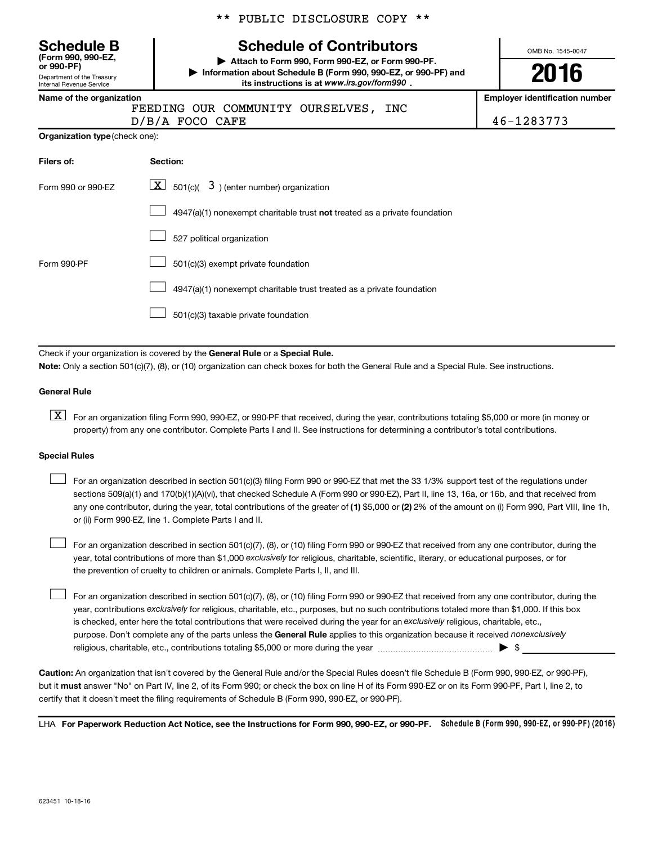| <b>Schedule B</b><br>(Form 990, 990-EZ,<br>or 990-PF) |
|-------------------------------------------------------|
| Department of the Treasury                            |
| Internal Revenue Service                              |

\*\* PUBLIC DISCLOSURE COPY \*\*

# **Schedule of Contributors**

**or 990-PF) | Attach to Form 990, Form 990-EZ, or Form 990-PF. | Information about Schedule B (Form 990, 990-EZ, or 990-PF) and** its instructions is at www.irs.gov/form990.

OMB No. 1545-0047

**2016**

**Name of the organization Employer identification number**

FEEDING OUR COMMUNITY OURSELVES, INC

 $D/B/A$  FOCO CAFE  $\vert$  46-1283773

|  | <b>Organization type</b> (check one): |
|--|---------------------------------------|
|--|---------------------------------------|

| Filers of:         | Section:                                                                  |
|--------------------|---------------------------------------------------------------------------|
| Form 990 or 990-EZ | $\boxed{\textbf{X}}$ 501(c)( 3) (enter number) organization               |
|                    | 4947(a)(1) nonexempt charitable trust not treated as a private foundation |
|                    | 527 political organization                                                |
| Form 990-PF        | 501(c)(3) exempt private foundation                                       |
|                    | 4947(a)(1) nonexempt charitable trust treated as a private foundation     |
|                    | 501(c)(3) taxable private foundation                                      |

Check if your organization is covered by the General Rule or a Special Rule.

**Note:**  Only a section 501(c)(7), (8), or (10) organization can check boxes for both the General Rule and a Special Rule. See instructions.

#### **General Rule**

**K** For an organization filing Form 990, 990-EZ, or 990-PF that received, during the year, contributions totaling \$5,000 or more (in money or property) from any one contributor. Complete Parts I and II. See instructions for determining a contributor's total contributions.

#### **Special Rules**

 $\Box$ 

any one contributor, during the year, total contributions of the greater of **(1)** \$5,000 or **(2)** 2% of the amount on (i) Form 990, Part VIII, line 1h, For an organization described in section 501(c)(3) filing Form 990 or 990-EZ that met the 33 1/3% support test of the regulations under sections 509(a)(1) and 170(b)(1)(A)(vi), that checked Schedule A (Form 990 or 990-EZ), Part II, line 13, 16a, or 16b, and that received from or (ii) Form 990-EZ, line 1. Complete Parts I and II.  $\Box$ 

year, total contributions of more than \$1,000 *exclusively* for religious, charitable, scientific, literary, or educational purposes, or for For an organization described in section 501(c)(7), (8), or (10) filing Form 990 or 990-EZ that received from any one contributor, during the the prevention of cruelty to children or animals. Complete Parts I, II, and III.  $\Box$ 

purpose. Don't complete any of the parts unless the General Rule applies to this organization because it received nonexclusively year, contributions exclusively for religious, charitable, etc., purposes, but no such contributions totaled more than \$1,000. If this box is checked, enter here the total contributions that were received during the year for an exclusively religious, charitable, etc., For an organization described in section 501(c)(7), (8), or (10) filing Form 990 or 990-EZ that received from any one contributor, during the religious, charitable, etc., contributions totaling \$5,000 or more during the year  $\ldots$  $\ldots$  $\ldots$  $\ldots$  $\ldots$  $\ldots$ 

**Caution:**  An organization that isn't covered by the General Rule and/or the Special Rules doesn't file Schedule B (Form 990, 990-EZ, or 990-PF),  **must** but it answer "No" on Part IV, line 2, of its Form 990; or check the box on line H of its Form 990-EZ or on its Form 990-PF, Part I, line 2, to certify that it doesn't meet the filing requirements of Schedule B (Form 990, 990-EZ, or 990-PF).

LHA For Paperwork Reduction Act Notice, see the Instructions for Form 990, 990-EZ, or 990-PF. Schedule B (Form 990, 990-EZ, or 990-PF) (2016)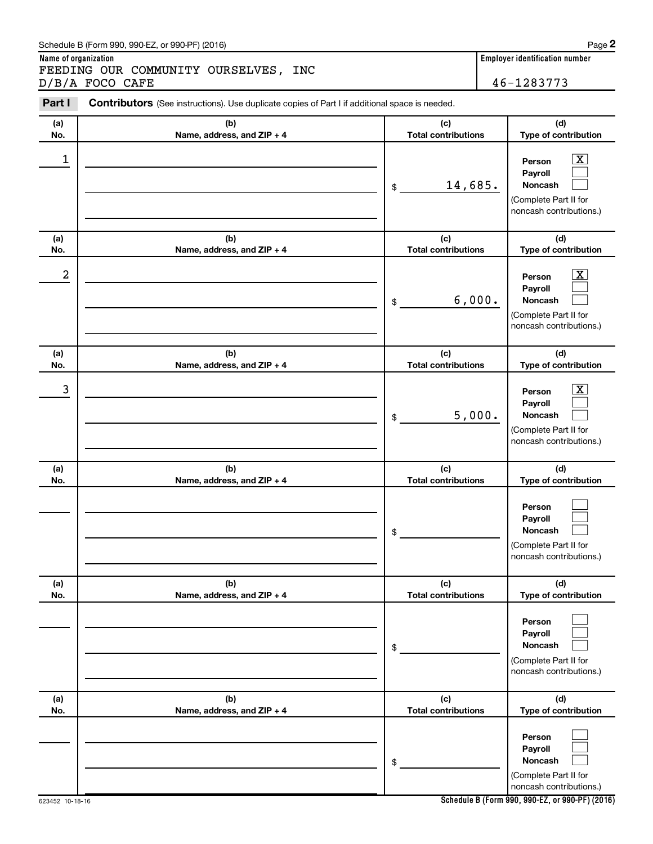#### Schedule B (Form 990, 990-EZ, or 990-PF) (2016)

**Name of organization Employer identification number** FEEDING OUR COMMUNITY OURSELVES, INC

|                  | D/B/A FOCO CAFE                                                                                |                                   | 46-1283773                                                                       |
|------------------|------------------------------------------------------------------------------------------------|-----------------------------------|----------------------------------------------------------------------------------|
| Part I           | Contributors (See instructions). Use duplicate copies of Part I if additional space is needed. |                                   |                                                                                  |
| (a)<br>No.       | (b)<br>Name, address, and ZIP + 4                                                              | (c)<br><b>Total contributions</b> | (d)<br>Type of contribution                                                      |
| $\mathbf 1$      |                                                                                                | 14,685.<br>\$                     | Person<br>Payroll<br>Noncash<br>(Complete Part II for<br>noncash contributions.) |
| (a)<br>No.       | (b)<br>Name, address, and ZIP + 4                                                              | (c)<br><b>Total contributions</b> | (d)<br>Type of contribution                                                      |
| $\boldsymbol{2}$ |                                                                                                | 6,000.<br>\$                      | Person<br>Payroll<br>Noncash<br>(Complete Part II for<br>noncash contributions.) |
| (a)<br>No.       | (b)<br>Name, address, and ZIP + 4                                                              | (c)<br><b>Total contributions</b> | (d)<br>Type of contribution                                                      |
| 3                |                                                                                                | 5,000.<br>\$                      | Person<br>Payroll<br>Noncash<br>(Complete Part II for<br>noncash contributions.) |
| (a)<br>No.       | (b)<br>Name, address, and ZIP + 4                                                              | (c)<br><b>Total contributions</b> | (d)<br>Type of contribution                                                      |
|                  |                                                                                                | \$                                | Person<br>Payroll<br>Noncash<br>(Complete Part II for<br>noncash contributions.) |
| (a)<br>No.       | (b)<br>Name, address, and ZIP + 4                                                              | (c)<br><b>Total contributions</b> | (d)<br>Type of contribution                                                      |
|                  |                                                                                                | \$                                | Person<br>Payroll<br>Noncash<br>(Complete Part II for<br>noncash contributions.) |
| (a)<br>No.       | (b)<br>Name, address, and ZIP + 4                                                              | (c)<br><b>Total contributions</b> | (d)<br>Type of contribution                                                      |
|                  |                                                                                                | \$                                | Person<br>Payroll<br>Noncash<br>(Complete Part II for<br>noncash contributions.) |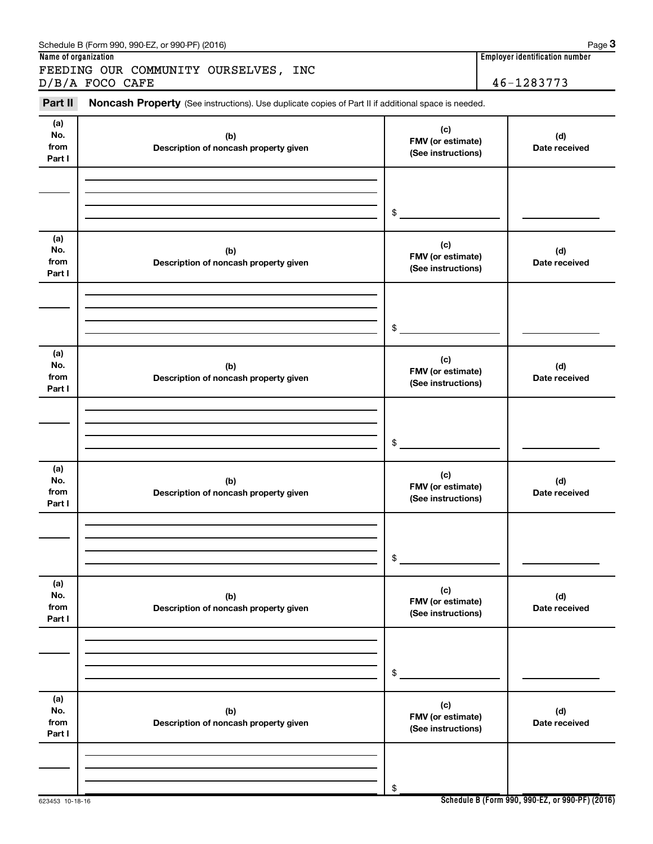| Name of organization         | FEEDING OUR COMMUNITY OURSELVES, INC                                                                | <b>Employer identification number</b>          |                      |  |
|------------------------------|-----------------------------------------------------------------------------------------------------|------------------------------------------------|----------------------|--|
|                              | D/B/A FOCO CAFE                                                                                     |                                                | 46-1283773           |  |
| Part II                      | Noncash Property (See instructions). Use duplicate copies of Part II if additional space is needed. |                                                |                      |  |
| (a)<br>No.<br>from<br>Part I | (b)<br>Description of noncash property given                                                        | (c)<br>FMV (or estimate)<br>(See instructions) | (d)<br>Date received |  |
|                              |                                                                                                     | \$                                             |                      |  |
| (a)<br>No.<br>from<br>Part I | (b)<br>Description of noncash property given                                                        | (c)<br>FMV (or estimate)<br>(See instructions) | (d)<br>Date received |  |
|                              |                                                                                                     | \$                                             |                      |  |
| (a)<br>No.<br>from<br>Part I | (b)<br>Description of noncash property given                                                        | (c)<br>FMV (or estimate)<br>(See instructions) | (d)<br>Date received |  |
|                              |                                                                                                     | \$                                             |                      |  |
| (a)<br>No.<br>from<br>Part I | (b)<br>Description of noncash property given                                                        | (c)<br>FMV (or estimate)<br>(See instructions) | (d)<br>Date received |  |
|                              |                                                                                                     | \$                                             |                      |  |
| (a)<br>No.<br>from<br>Part I | (b)<br>Description of noncash property given                                                        | (c)<br>FMV (or estimate)<br>(See instructions) | (d)<br>Date received |  |
|                              |                                                                                                     | \$                                             |                      |  |
| (a)<br>No.<br>from<br>Part I | (b)<br>Description of noncash property given                                                        | (c)<br>FMV (or estimate)<br>(See instructions) | (d)<br>Date received |  |
|                              |                                                                                                     | \$                                             |                      |  |

Schedule B (Form 990, 990-EZ, or 990-PF) (2016)

**Schedule B (Form 990, 990-EZ, or 990-PF) (2016)**

**3**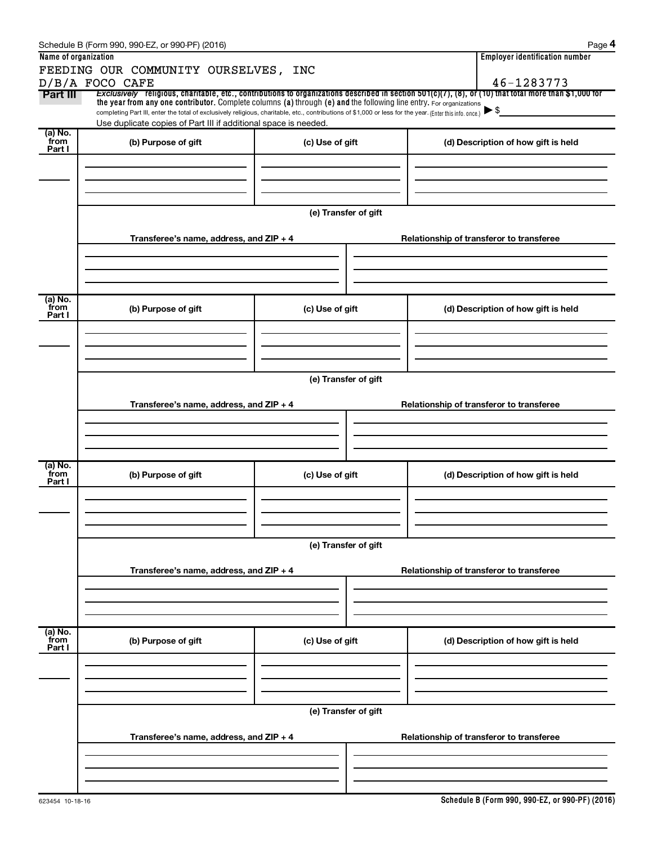| Name of organization        | Schedule B (Form 990, 990-EZ, or 990-PF) (2016)<br>FEEDING OUR COMMUNITY OURSELVES, INC                                                                                                                                                                                                            |                      | Page 4<br><b>Employer identification number</b>                                                                                                                             |  |  |  |  |  |  |
|-----------------------------|----------------------------------------------------------------------------------------------------------------------------------------------------------------------------------------------------------------------------------------------------------------------------------------------------|----------------------|-----------------------------------------------------------------------------------------------------------------------------------------------------------------------------|--|--|--|--|--|--|
| Part III                    | D/B/A FOCO CAFE<br>the year from any one contributor. Complete columns (a) through (e) and the following line entry. For organizations<br>completing Part III, enter the total of exclusively religious, charitable, etc., contributions of \$1,000 or less for the year. (Enter this info. once.) |                      | 46-1283773<br>Exclusively religious, charitable, etc., contributions to organizations described in section $501(c)(7)$ , $(8)$ , or $(10)$ that total more than \$1,000 for |  |  |  |  |  |  |
|                             | Use duplicate copies of Part III if additional space is needed.                                                                                                                                                                                                                                    |                      |                                                                                                                                                                             |  |  |  |  |  |  |
| (a) No.<br>from<br>Part I   | (b) Purpose of gift                                                                                                                                                                                                                                                                                | (c) Use of gift      | (d) Description of how gift is held                                                                                                                                         |  |  |  |  |  |  |
|                             |                                                                                                                                                                                                                                                                                                    |                      |                                                                                                                                                                             |  |  |  |  |  |  |
|                             |                                                                                                                                                                                                                                                                                                    | (e) Transfer of gift |                                                                                                                                                                             |  |  |  |  |  |  |
|                             | Transferee's name, address, and $ZIP + 4$                                                                                                                                                                                                                                                          |                      | Relationship of transferor to transferee                                                                                                                                    |  |  |  |  |  |  |
| $(a)$ No.                   |                                                                                                                                                                                                                                                                                                    |                      |                                                                                                                                                                             |  |  |  |  |  |  |
| from<br>Part I              | (b) Purpose of gift                                                                                                                                                                                                                                                                                | (c) Use of gift      | (d) Description of how gift is held                                                                                                                                         |  |  |  |  |  |  |
|                             |                                                                                                                                                                                                                                                                                                    |                      |                                                                                                                                                                             |  |  |  |  |  |  |
|                             | (e) Transfer of gift                                                                                                                                                                                                                                                                               |                      |                                                                                                                                                                             |  |  |  |  |  |  |
|                             | Transferee's name, address, and ZIP + 4                                                                                                                                                                                                                                                            |                      | Relationship of transferor to transferee                                                                                                                                    |  |  |  |  |  |  |
|                             |                                                                                                                                                                                                                                                                                                    |                      |                                                                                                                                                                             |  |  |  |  |  |  |
| $(a)$ No.<br>from<br>Part I | (b) Purpose of gift                                                                                                                                                                                                                                                                                | (c) Use of gift      | (d) Description of how gift is held                                                                                                                                         |  |  |  |  |  |  |
|                             |                                                                                                                                                                                                                                                                                                    |                      |                                                                                                                                                                             |  |  |  |  |  |  |
|                             | (e) Transfer of gift                                                                                                                                                                                                                                                                               |                      |                                                                                                                                                                             |  |  |  |  |  |  |
|                             | Transferee's name, address, and ZIP + 4                                                                                                                                                                                                                                                            |                      | Relationship of transferor to transferee                                                                                                                                    |  |  |  |  |  |  |
|                             |                                                                                                                                                                                                                                                                                                    |                      |                                                                                                                                                                             |  |  |  |  |  |  |
| (a) No.<br>from<br>Part I   | (b) Purpose of gift                                                                                                                                                                                                                                                                                | (c) Use of gift      | (d) Description of how gift is held                                                                                                                                         |  |  |  |  |  |  |
|                             |                                                                                                                                                                                                                                                                                                    |                      |                                                                                                                                                                             |  |  |  |  |  |  |
|                             | (e) Transfer of gift                                                                                                                                                                                                                                                                               |                      |                                                                                                                                                                             |  |  |  |  |  |  |
|                             | Transferee's name, address, and ZIP + 4                                                                                                                                                                                                                                                            |                      | Relationship of transferor to transferee                                                                                                                                    |  |  |  |  |  |  |
|                             |                                                                                                                                                                                                                                                                                                    |                      |                                                                                                                                                                             |  |  |  |  |  |  |
|                             |                                                                                                                                                                                                                                                                                                    |                      |                                                                                                                                                                             |  |  |  |  |  |  |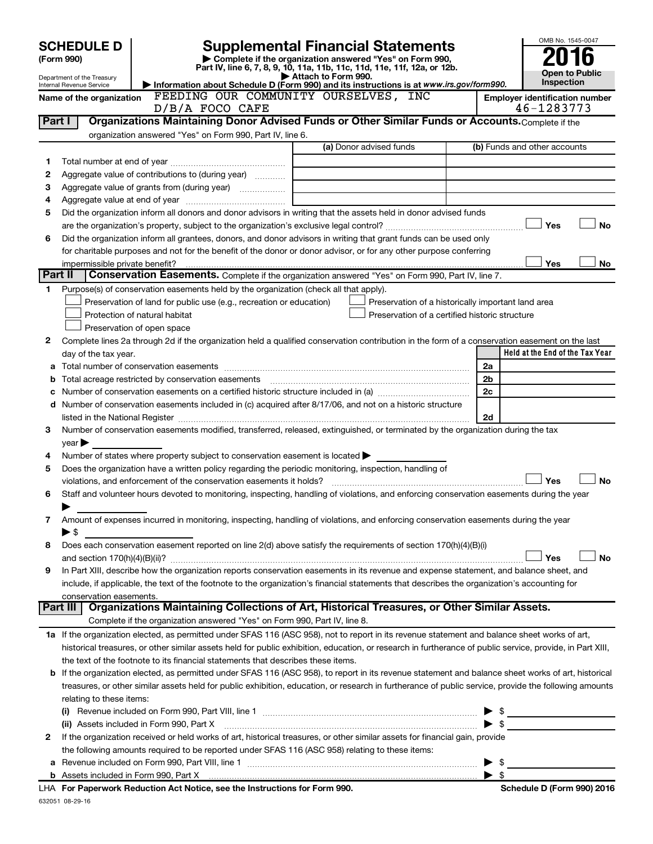|         | <b>SCHEDULE D</b>                                                                                                  |                                                                                                                                                           |                                                                                                                |                | OMB No. 1545-0047                     |
|---------|--------------------------------------------------------------------------------------------------------------------|-----------------------------------------------------------------------------------------------------------------------------------------------------------|----------------------------------------------------------------------------------------------------------------|----------------|---------------------------------------|
|         | <b>Supplemental Financial Statements</b><br>Complete if the organization answered "Yes" on Form 990,<br>(Form 990) |                                                                                                                                                           |                                                                                                                |                |                                       |
|         |                                                                                                                    |                                                                                                                                                           | Part IV, line 6, 7, 8, 9, 10, 11a, 11b, 11c, 11d, 11e, 11f, 12a, or 12b.                                       |                | <b>Open to Public</b>                 |
|         | Department of the Treasury<br>Internal Revenue Service                                                             |                                                                                                                                                           | Attach to Form 990.<br>Information about Schedule D (Form 990) and its instructions is at www.irs.gov/form990. |                | Inspection                            |
|         | Name of the organization                                                                                           | FEEDING OUR COMMUNITY OURSELVES, INC                                                                                                                      |                                                                                                                |                | <b>Employer identification number</b> |
|         |                                                                                                                    | $D/B/A$ FOCO CAFE                                                                                                                                         |                                                                                                                |                | 46-1283773                            |
| Part I  |                                                                                                                    | Organizations Maintaining Donor Advised Funds or Other Similar Funds or Accounts. Complete if the                                                         |                                                                                                                |                |                                       |
|         |                                                                                                                    | organization answered "Yes" on Form 990, Part IV, line 6.                                                                                                 |                                                                                                                |                |                                       |
|         |                                                                                                                    |                                                                                                                                                           | (a) Donor advised funds                                                                                        |                | (b) Funds and other accounts          |
| 1       |                                                                                                                    |                                                                                                                                                           |                                                                                                                |                |                                       |
| 2       |                                                                                                                    | Aggregate value of contributions to (during year)                                                                                                         |                                                                                                                |                |                                       |
| З       |                                                                                                                    |                                                                                                                                                           |                                                                                                                |                |                                       |
| 4       |                                                                                                                    |                                                                                                                                                           |                                                                                                                |                |                                       |
| 5       |                                                                                                                    | Did the organization inform all donors and donor advisors in writing that the assets held in donor advised funds                                          |                                                                                                                |                |                                       |
|         |                                                                                                                    |                                                                                                                                                           |                                                                                                                |                | <b>No</b><br>Yes                      |
| 6       |                                                                                                                    | Did the organization inform all grantees, donors, and donor advisors in writing that grant funds can be used only                                         |                                                                                                                |                |                                       |
|         |                                                                                                                    | for charitable purposes and not for the benefit of the donor or donor advisor, or for any other purpose conferring                                        |                                                                                                                |                |                                       |
| Part II | impermissible private benefit?                                                                                     |                                                                                                                                                           |                                                                                                                |                | Yes<br>No                             |
|         |                                                                                                                    | Conservation Easements. Complete if the organization answered "Yes" on Form 990, Part IV, line 7.                                                         |                                                                                                                |                |                                       |
| 1       |                                                                                                                    | Purpose(s) of conservation easements held by the organization (check all that apply).                                                                     |                                                                                                                |                |                                       |
|         |                                                                                                                    | Preservation of land for public use (e.g., recreation or education)                                                                                       | Preservation of a historically important land area                                                             |                |                                       |
|         |                                                                                                                    | Protection of natural habitat                                                                                                                             | Preservation of a certified historic structure                                                                 |                |                                       |
|         |                                                                                                                    | Preservation of open space                                                                                                                                |                                                                                                                |                |                                       |
| 2       |                                                                                                                    | Complete lines 2a through 2d if the organization held a qualified conservation contribution in the form of a conservation easement on the last            |                                                                                                                |                | Held at the End of the Tax Year       |
| a       | day of the tax year.                                                                                               |                                                                                                                                                           |                                                                                                                | 2a             |                                       |
| b       |                                                                                                                    |                                                                                                                                                           |                                                                                                                | 2 <sub>b</sub> |                                       |
|         |                                                                                                                    |                                                                                                                                                           |                                                                                                                | 2c             |                                       |
|         |                                                                                                                    | d Number of conservation easements included in (c) acquired after 8/17/06, and not on a historic structure                                                |                                                                                                                |                |                                       |
|         |                                                                                                                    |                                                                                                                                                           |                                                                                                                | 2d             |                                       |
| 3       |                                                                                                                    | Number of conservation easements modified, transferred, released, extinguished, or terminated by the organization during the tax                          |                                                                                                                |                |                                       |
|         | year                                                                                                               |                                                                                                                                                           |                                                                                                                |                |                                       |
| 4       |                                                                                                                    | Number of states where property subject to conservation easement is located >                                                                             |                                                                                                                |                |                                       |
| 5       |                                                                                                                    | Does the organization have a written policy regarding the periodic monitoring, inspection, handling of                                                    |                                                                                                                |                |                                       |
|         |                                                                                                                    | violations, and enforcement of the conservation easements it holds?                                                                                       |                                                                                                                |                | <b>No</b><br>Yes                      |
| 6       |                                                                                                                    | Staff and volunteer hours devoted to monitoring, inspecting, handling of violations, and enforcing conservation easements during the year                 |                                                                                                                |                |                                       |
|         |                                                                                                                    |                                                                                                                                                           |                                                                                                                |                |                                       |
| 7       |                                                                                                                    | Amount of expenses incurred in monitoring, inspecting, handling of violations, and enforcing conservation easements during the year                       |                                                                                                                |                |                                       |
|         | ▶ \$                                                                                                               |                                                                                                                                                           |                                                                                                                |                |                                       |
| 8       |                                                                                                                    | Does each conservation easement reported on line 2(d) above satisfy the requirements of section 170(h)(4)(B)(i)                                           |                                                                                                                |                |                                       |
|         |                                                                                                                    |                                                                                                                                                           |                                                                                                                |                | <b>No</b><br>Yes                      |
| 9       |                                                                                                                    | In Part XIII, describe how the organization reports conservation easements in its revenue and expense statement, and balance sheet, and                   |                                                                                                                |                |                                       |
|         |                                                                                                                    | include, if applicable, the text of the footnote to the organization's financial statements that describes the organization's accounting for              |                                                                                                                |                |                                       |
|         | conservation easements.<br>Part III                                                                                | Organizations Maintaining Collections of Art, Historical Treasures, or Other Similar Assets.                                                              |                                                                                                                |                |                                       |
|         |                                                                                                                    | Complete if the organization answered "Yes" on Form 990, Part IV, line 8.                                                                                 |                                                                                                                |                |                                       |
|         |                                                                                                                    | 1a If the organization elected, as permitted under SFAS 116 (ASC 958), not to report in its revenue statement and balance sheet works of art,             |                                                                                                                |                |                                       |
|         |                                                                                                                    | historical treasures, or other similar assets held for public exhibition, education, or research in furtherance of public service, provide, in Part XIII, |                                                                                                                |                |                                       |
|         |                                                                                                                    | the text of the footnote to its financial statements that describes these items.                                                                          |                                                                                                                |                |                                       |
| b       |                                                                                                                    | If the organization elected, as permitted under SFAS 116 (ASC 958), to report in its revenue statement and balance sheet works of art, historical         |                                                                                                                |                |                                       |
|         |                                                                                                                    | treasures, or other similar assets held for public exhibition, education, or research in furtherance of public service, provide the following amounts     |                                                                                                                |                |                                       |
|         | relating to these items:                                                                                           |                                                                                                                                                           |                                                                                                                |                |                                       |
|         |                                                                                                                    |                                                                                                                                                           |                                                                                                                |                | $\frac{1}{2}$                         |
|         |                                                                                                                    | (ii) Assets included in Form 990, Part X                                                                                                                  |                                                                                                                |                |                                       |
| 2       |                                                                                                                    | If the organization received or held works of art, historical treasures, or other similar assets for financial gain, provide                              |                                                                                                                |                |                                       |
|         |                                                                                                                    | the following amounts required to be reported under SFAS 116 (ASC 958) relating to these items:                                                           |                                                                                                                |                |                                       |
| а       |                                                                                                                    |                                                                                                                                                           |                                                                                                                |                | $\frac{1}{2}$                         |
|         |                                                                                                                    |                                                                                                                                                           |                                                                                                                |                | $\blacktriangleright$ s               |
|         |                                                                                                                    |                                                                                                                                                           |                                                                                                                |                |                                       |

632051 08-29-16 **For Paperwork Reduction Act Notice, see the Instructions for Form 990. Schedule D (Form 990) 2016** LHA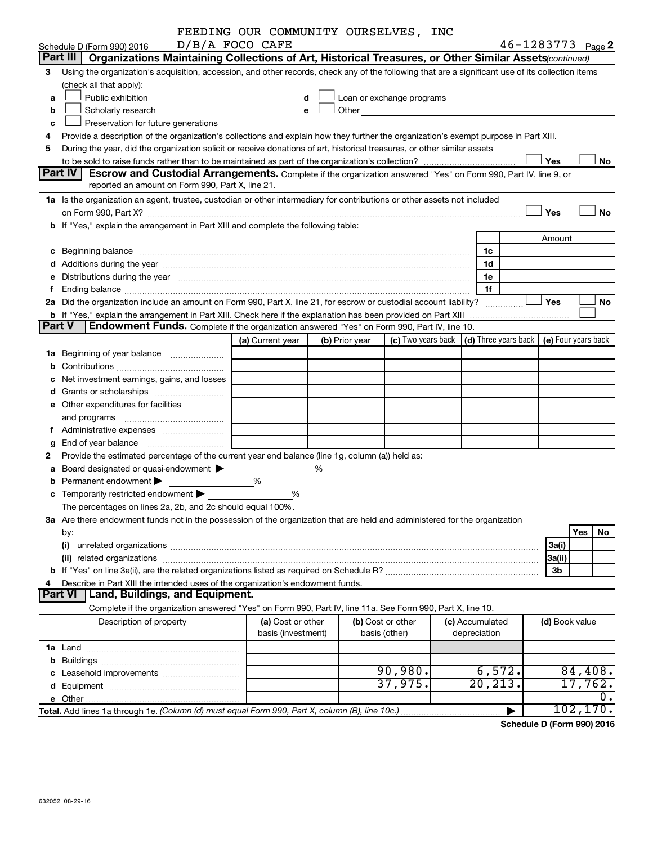|               |                                                                                                                                                                                                                                | FEEDING OUR COMMUNITY OURSELVES, INC    |                |                                    |                                                                                                                                                                                                                               |                                 |                                                         |                       |                     |
|---------------|--------------------------------------------------------------------------------------------------------------------------------------------------------------------------------------------------------------------------------|-----------------------------------------|----------------|------------------------------------|-------------------------------------------------------------------------------------------------------------------------------------------------------------------------------------------------------------------------------|---------------------------------|---------------------------------------------------------|-----------------------|---------------------|
|               | D/B/A FOCO CAFE<br>Schedule D (Form 990) 2016                                                                                                                                                                                  |                                         |                |                                    |                                                                                                                                                                                                                               |                                 |                                                         | $46 - 1283773$ Page 2 |                     |
|               | Part III<br>Organizations Maintaining Collections of Art, Historical Treasures, or Other Similar Assets (continued)                                                                                                            |                                         |                |                                    |                                                                                                                                                                                                                               |                                 |                                                         |                       |                     |
| 3             | Using the organization's acquisition, accession, and other records, check any of the following that are a significant use of its collection items                                                                              |                                         |                |                                    |                                                                                                                                                                                                                               |                                 |                                                         |                       |                     |
|               | (check all that apply):                                                                                                                                                                                                        |                                         |                |                                    |                                                                                                                                                                                                                               |                                 |                                                         |                       |                     |
| a             | Public exhibition                                                                                                                                                                                                              | d                                       |                |                                    | Loan or exchange programs                                                                                                                                                                                                     |                                 |                                                         |                       |                     |
| b             | Scholarly research                                                                                                                                                                                                             | e                                       |                |                                    | Other and the contract of the contract of the contract of the contract of the contract of the contract of the contract of the contract of the contract of the contract of the contract of the contract of the contract of the |                                 |                                                         |                       |                     |
| c             | Preservation for future generations                                                                                                                                                                                            |                                         |                |                                    |                                                                                                                                                                                                                               |                                 |                                                         |                       |                     |
| 4             | Provide a description of the organization's collections and explain how they further the organization's exempt purpose in Part XIII.                                                                                           |                                         |                |                                    |                                                                                                                                                                                                                               |                                 |                                                         |                       |                     |
| 5             | During the year, did the organization solicit or receive donations of art, historical treasures, or other similar assets                                                                                                       |                                         |                |                                    |                                                                                                                                                                                                                               |                                 |                                                         |                       |                     |
|               | Yes<br>No                                                                                                                                                                                                                      |                                         |                |                                    |                                                                                                                                                                                                                               |                                 |                                                         |                       |                     |
|               | Part IV<br><b>Escrow and Custodial Arrangements.</b> Complete if the organization answered "Yes" on Form 990, Part IV, line 9, or                                                                                              |                                         |                |                                    |                                                                                                                                                                                                                               |                                 |                                                         |                       |                     |
|               | reported an amount on Form 990, Part X, line 21.                                                                                                                                                                               |                                         |                |                                    |                                                                                                                                                                                                                               |                                 |                                                         |                       |                     |
|               | 1a Is the organization an agent, trustee, custodian or other intermediary for contributions or other assets not included                                                                                                       |                                         |                |                                    |                                                                                                                                                                                                                               |                                 |                                                         |                       |                     |
|               |                                                                                                                                                                                                                                |                                         |                |                                    |                                                                                                                                                                                                                               |                                 |                                                         | Yes                   | No                  |
|               | b If "Yes," explain the arrangement in Part XIII and complete the following table:                                                                                                                                             |                                         |                |                                    |                                                                                                                                                                                                                               |                                 |                                                         |                       |                     |
|               |                                                                                                                                                                                                                                |                                         |                |                                    |                                                                                                                                                                                                                               |                                 |                                                         | Amount                |                     |
|               | c Beginning balance measurements and the contract of the contract of the contract of the contract of the contract of the contract of the contract of the contract of the contract of the contract of the contract of the contr |                                         |                |                                    |                                                                                                                                                                                                                               |                                 | 1c                                                      |                       |                     |
|               |                                                                                                                                                                                                                                |                                         |                |                                    |                                                                                                                                                                                                                               |                                 | 1d                                                      |                       |                     |
|               | e Distributions during the year manufactured and continuum control of the control of the control of the state of the control of the control of the control of the control of the control of the control of the control of the  |                                         |                |                                    |                                                                                                                                                                                                                               |                                 | 1е                                                      |                       |                     |
| f             |                                                                                                                                                                                                                                |                                         |                |                                    |                                                                                                                                                                                                                               |                                 | 1f                                                      |                       |                     |
|               | 2a Did the organization include an amount on Form 990, Part X, line 21, for escrow or custodial account liability?                                                                                                             |                                         |                |                                    |                                                                                                                                                                                                                               |                                 |                                                         | Yes                   | No                  |
|               | <b>b</b> If "Yes," explain the arrangement in Part XIII. Check here if the explanation has been provided on Part XIII                                                                                                          |                                         |                |                                    |                                                                                                                                                                                                                               |                                 |                                                         |                       |                     |
| <b>Part V</b> | <b>Endowment Funds.</b> Complete if the organization answered "Yes" on Form 990, Part IV, line 10.                                                                                                                             |                                         |                |                                    |                                                                                                                                                                                                                               |                                 |                                                         |                       |                     |
|               |                                                                                                                                                                                                                                | (a) Current year                        | (b) Prior year |                                    |                                                                                                                                                                                                                               |                                 | (c) Two years back $\vert$ (d) Three years back $\vert$ |                       | (e) Four years back |
|               | 1a Beginning of year balance                                                                                                                                                                                                   |                                         |                |                                    |                                                                                                                                                                                                                               |                                 |                                                         |                       |                     |
|               |                                                                                                                                                                                                                                |                                         |                |                                    |                                                                                                                                                                                                                               |                                 |                                                         |                       |                     |
|               | c Net investment earnings, gains, and losses                                                                                                                                                                                   |                                         |                |                                    |                                                                                                                                                                                                                               |                                 |                                                         |                       |                     |
|               | d Grants or scholarships <i></i>                                                                                                                                                                                               |                                         |                |                                    |                                                                                                                                                                                                                               |                                 |                                                         |                       |                     |
|               | e Other expenditures for facilities                                                                                                                                                                                            |                                         |                |                                    |                                                                                                                                                                                                                               |                                 |                                                         |                       |                     |
|               |                                                                                                                                                                                                                                |                                         |                |                                    |                                                                                                                                                                                                                               |                                 |                                                         |                       |                     |
|               |                                                                                                                                                                                                                                |                                         |                |                                    |                                                                                                                                                                                                                               |                                 |                                                         |                       |                     |
| g             |                                                                                                                                                                                                                                |                                         |                |                                    |                                                                                                                                                                                                                               |                                 |                                                         |                       |                     |
| 2             | Provide the estimated percentage of the current year end balance (line 1g, column (a)) held as:                                                                                                                                |                                         |                |                                    |                                                                                                                                                                                                                               |                                 |                                                         |                       |                     |
|               | a Board designated or quasi-endowment >                                                                                                                                                                                        |                                         | %              |                                    |                                                                                                                                                                                                                               |                                 |                                                         |                       |                     |
|               | <b>b</b> Permanent endowment $\blacktriangleright$                                                                                                                                                                             | %                                       |                |                                    |                                                                                                                                                                                                                               |                                 |                                                         |                       |                     |
|               | c Temporarily restricted endowment $\blacktriangleright$                                                                                                                                                                       | %                                       |                |                                    |                                                                                                                                                                                                                               |                                 |                                                         |                       |                     |
|               | The percentages on lines 2a, 2b, and 2c should equal 100%.                                                                                                                                                                     |                                         |                |                                    |                                                                                                                                                                                                                               |                                 |                                                         |                       |                     |
|               | 3a Are there endowment funds not in the possession of the organization that are held and administered for the organization                                                                                                     |                                         |                |                                    |                                                                                                                                                                                                                               |                                 |                                                         |                       |                     |
|               | by:                                                                                                                                                                                                                            |                                         |                |                                    |                                                                                                                                                                                                                               |                                 |                                                         |                       | Yes<br>No           |
|               | (i)                                                                                                                                                                                                                            |                                         |                |                                    |                                                                                                                                                                                                                               |                                 |                                                         | 3a(i)                 |                     |
|               |                                                                                                                                                                                                                                |                                         |                |                                    |                                                                                                                                                                                                                               |                                 |                                                         | 3a(ii)                |                     |
|               |                                                                                                                                                                                                                                |                                         |                |                                    |                                                                                                                                                                                                                               |                                 |                                                         | 3b                    |                     |
| 4             | Describe in Part XIII the intended uses of the organization's endowment funds.                                                                                                                                                 |                                         |                |                                    |                                                                                                                                                                                                                               |                                 |                                                         |                       |                     |
|               | <b>Land, Buildings, and Equipment.</b><br><b>Part VI</b>                                                                                                                                                                       |                                         |                |                                    |                                                                                                                                                                                                                               |                                 |                                                         |                       |                     |
|               |                                                                                                                                                                                                                                |                                         |                |                                    |                                                                                                                                                                                                                               |                                 |                                                         |                       |                     |
|               | Complete if the organization answered "Yes" on Form 990, Part IV, line 11a. See Form 990, Part X, line 10.                                                                                                                     |                                         |                |                                    |                                                                                                                                                                                                                               |                                 |                                                         |                       |                     |
|               | Description of property                                                                                                                                                                                                        | (a) Cost or other<br>basis (investment) |                | (b) Cost or other<br>basis (other) |                                                                                                                                                                                                                               | (c) Accumulated<br>depreciation |                                                         | (d) Book value        |                     |
|               |                                                                                                                                                                                                                                |                                         |                |                                    |                                                                                                                                                                                                                               |                                 |                                                         |                       |                     |
|               |                                                                                                                                                                                                                                |                                         |                |                                    |                                                                                                                                                                                                                               |                                 |                                                         |                       |                     |
|               |                                                                                                                                                                                                                                |                                         |                |                                    | 90,980.                                                                                                                                                                                                                       |                                 |                                                         |                       |                     |
|               |                                                                                                                                                                                                                                |                                         |                |                                    |                                                                                                                                                                                                                               |                                 | 6,572.                                                  |                       | 84,408.<br>17,762.  |
|               |                                                                                                                                                                                                                                |                                         |                |                                    | 37,975.                                                                                                                                                                                                                       |                                 | 20, 213.                                                |                       |                     |
|               |                                                                                                                                                                                                                                |                                         |                |                                    |                                                                                                                                                                                                                               |                                 |                                                         |                       | 0.                  |
|               | Total. Add lines 1a through 1e. (Column (d) must equal Form 990, Part X, column (B), line 10c.)                                                                                                                                |                                         |                |                                    |                                                                                                                                                                                                                               |                                 |                                                         |                       | 102, 170.           |

**Schedule D (Form 990) 2016**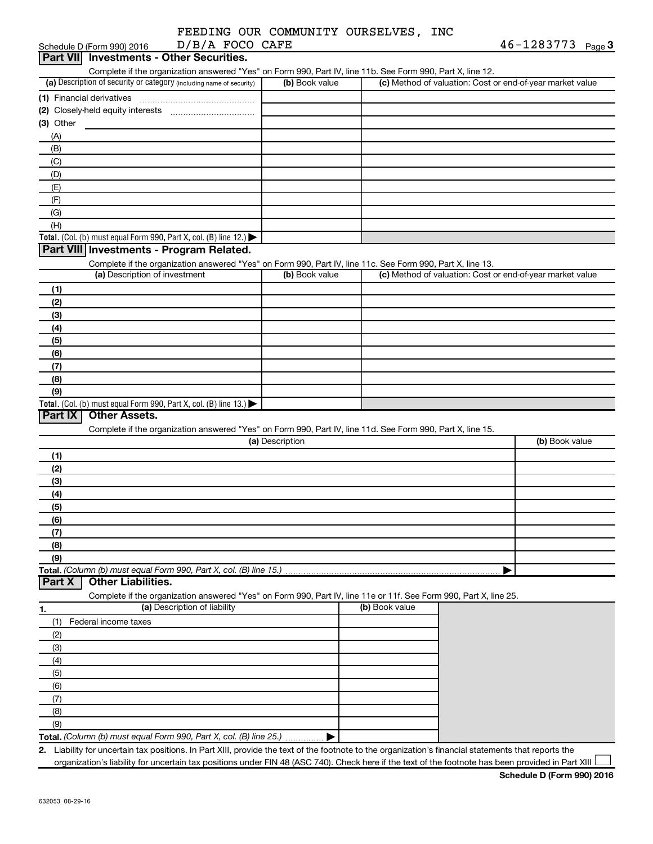| FEEDING OUR COMMUNITY OURSELVES, INC |  |                  |  |
|--------------------------------------|--|------------------|--|
|                                      |  |                  |  |
| $\Gamma/R/\Delta$ FOCO CAFE          |  | $46 - 1283773$ n |  |

| Schedule D (Form 990) 2016<br>D/B/A FOCO CAFE<br>Part VII Investments - Other Securities.                                                                                          |                 | $40 - 1283 / 13$ Page 3                                                                                                                              |  |
|------------------------------------------------------------------------------------------------------------------------------------------------------------------------------------|-----------------|------------------------------------------------------------------------------------------------------------------------------------------------------|--|
|                                                                                                                                                                                    |                 |                                                                                                                                                      |  |
| Complete if the organization answered "Yes" on Form 990, Part IV, line 11b. See Form 990, Part X, line 12.<br>(a) Description of security or category (including name of security) | (b) Book value  | (c) Method of valuation: Cost or end-of-year market value                                                                                            |  |
| (1) Financial derivatives                                                                                                                                                          |                 |                                                                                                                                                      |  |
| (2) Closely-held equity interests                                                                                                                                                  |                 |                                                                                                                                                      |  |
| (3) Other                                                                                                                                                                          |                 |                                                                                                                                                      |  |
| (A)                                                                                                                                                                                |                 |                                                                                                                                                      |  |
| (B)                                                                                                                                                                                |                 |                                                                                                                                                      |  |
| (C)                                                                                                                                                                                |                 |                                                                                                                                                      |  |
| (D)                                                                                                                                                                                |                 |                                                                                                                                                      |  |
| (E)                                                                                                                                                                                |                 |                                                                                                                                                      |  |
| (F)                                                                                                                                                                                |                 |                                                                                                                                                      |  |
| (G)                                                                                                                                                                                |                 |                                                                                                                                                      |  |
| (H)                                                                                                                                                                                |                 |                                                                                                                                                      |  |
| Total. (Col. (b) must equal Form 990, Part X, col. (B) line 12.) $\blacktriangleright$                                                                                             |                 |                                                                                                                                                      |  |
| Part VIII Investments - Program Related.                                                                                                                                           |                 |                                                                                                                                                      |  |
| Complete if the organization answered "Yes" on Form 990, Part IV, line 11c. See Form 990, Part X, line 13.                                                                         |                 |                                                                                                                                                      |  |
| (a) Description of investment                                                                                                                                                      | (b) Book value  | (c) Method of valuation: Cost or end-of-year market value                                                                                            |  |
| (1)                                                                                                                                                                                |                 |                                                                                                                                                      |  |
| (2)                                                                                                                                                                                |                 |                                                                                                                                                      |  |
| (3)                                                                                                                                                                                |                 |                                                                                                                                                      |  |
| (4)                                                                                                                                                                                |                 |                                                                                                                                                      |  |
| (5)                                                                                                                                                                                |                 |                                                                                                                                                      |  |
| (6)                                                                                                                                                                                |                 |                                                                                                                                                      |  |
| (7)                                                                                                                                                                                |                 |                                                                                                                                                      |  |
| (8)                                                                                                                                                                                |                 |                                                                                                                                                      |  |
| (9)                                                                                                                                                                                |                 |                                                                                                                                                      |  |
| Total. (Col. (b) must equal Form 990, Part X, col. (B) line $13.$ )                                                                                                                |                 |                                                                                                                                                      |  |
| <b>Other Assets.</b><br>Part IX                                                                                                                                                    |                 |                                                                                                                                                      |  |
| Complete if the organization answered "Yes" on Form 990, Part IV, line 11d. See Form 990, Part X, line 15.                                                                         |                 |                                                                                                                                                      |  |
|                                                                                                                                                                                    | (a) Description | (b) Book value                                                                                                                                       |  |
| (1)                                                                                                                                                                                |                 |                                                                                                                                                      |  |
| (2)                                                                                                                                                                                |                 |                                                                                                                                                      |  |
| (3)                                                                                                                                                                                |                 |                                                                                                                                                      |  |
| (4)                                                                                                                                                                                |                 |                                                                                                                                                      |  |
| (5)                                                                                                                                                                                |                 |                                                                                                                                                      |  |
| (6)                                                                                                                                                                                |                 |                                                                                                                                                      |  |
| (7)                                                                                                                                                                                |                 |                                                                                                                                                      |  |
| (8)                                                                                                                                                                                |                 |                                                                                                                                                      |  |
| (9)                                                                                                                                                                                |                 |                                                                                                                                                      |  |
| Total. (Column (b) must equal Form 990, Part X, col. (B) line 15.)                                                                                                                 |                 |                                                                                                                                                      |  |
| <b>Other Liabilities.</b><br>Part X                                                                                                                                                |                 |                                                                                                                                                      |  |
|                                                                                                                                                                                    |                 | Complete if the organization answered "Yes" on Form 990, Part IV, line 11e or 11f. See Form 990, Part X, line 25.                                    |  |
| (a) Description of liability<br>1.                                                                                                                                                 |                 | (b) Book value                                                                                                                                       |  |
| Federal income taxes<br>(1)                                                                                                                                                        |                 |                                                                                                                                                      |  |
| (2)                                                                                                                                                                                |                 |                                                                                                                                                      |  |
| (3)                                                                                                                                                                                |                 |                                                                                                                                                      |  |
| (4)                                                                                                                                                                                |                 |                                                                                                                                                      |  |
| (5)                                                                                                                                                                                |                 |                                                                                                                                                      |  |
| (6)                                                                                                                                                                                |                 |                                                                                                                                                      |  |
| (7)                                                                                                                                                                                |                 |                                                                                                                                                      |  |
| (8)                                                                                                                                                                                |                 |                                                                                                                                                      |  |
| (9)                                                                                                                                                                                |                 |                                                                                                                                                      |  |
| Total. (Column (b) must equal Form 990, Part X, col. (B) line 25.)                                                                                                                 |                 |                                                                                                                                                      |  |
|                                                                                                                                                                                    |                 | 2. Liability for uncertain tax positions. In Part XIII, provide the text of the footnote to the organization's financial statements that reports the |  |

organization's liability for uncertain tax positions under FIN 48 (ASC 740). Check here if the text of the footnote has been provided in Part XIII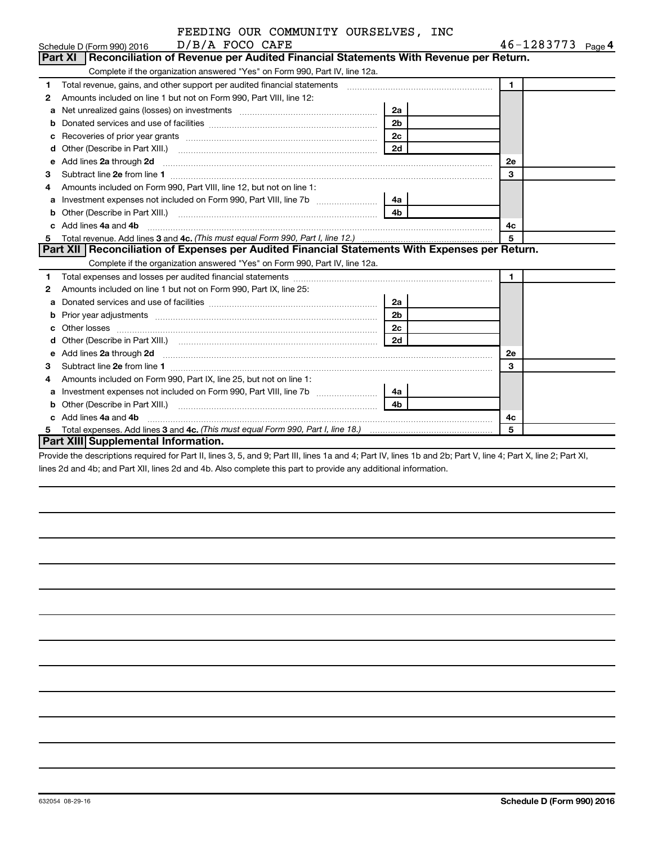|    | FEEDING OUR COMMUNITY OURSELVES, INC                                                                                                                                                                                                |                |                   |
|----|-------------------------------------------------------------------------------------------------------------------------------------------------------------------------------------------------------------------------------------|----------------|-------------------|
|    | D/B/A FOCO CAFE<br>Schedule D (Form 990) 2016                                                                                                                                                                                       |                | 46-1283773 Page 4 |
|    | Part XI<br>Reconciliation of Revenue per Audited Financial Statements With Revenue per Return.                                                                                                                                      |                |                   |
|    | Complete if the organization answered "Yes" on Form 990, Part IV, line 12a.                                                                                                                                                         |                |                   |
| 1. | Total revenue, gains, and other support per audited financial statements [[[[[[[[[[[[[[[[[[[[[[[[]]]]]]]]]]]]                                                                                                                       |                | $\mathbf 1$       |
| 2  | Amounts included on line 1 but not on Form 990, Part VIII, line 12:                                                                                                                                                                 |                |                   |
| a  | Net unrealized gains (losses) on investments [111] [12] matter was uncontracted by the unrealized gains (losses) on investments                                                                                                     | 2a             |                   |
| b  |                                                                                                                                                                                                                                     | 2 <sub>b</sub> |                   |
| c  | Recoveries of prior year grants [11,111] Recoveries of prior year grants [11,111] Recoveries of prior year grants                                                                                                                   | 2 <sub>c</sub> |                   |
| d  |                                                                                                                                                                                                                                     | 2d             |                   |
| e  | Add lines 2a through 2d                                                                                                                                                                                                             |                | 2е                |
| 3  |                                                                                                                                                                                                                                     |                | 3                 |
| 4  | Amounts included on Form 990, Part VIII, line 12, but not on line 1:                                                                                                                                                                |                |                   |
|    | Investment expenses not included on Form 990, Part VIII, line 7b [143] [48]                                                                                                                                                         |                |                   |
| b  |                                                                                                                                                                                                                                     | 4 <sub>b</sub> |                   |
|    | c Add lines 4a and 4b                                                                                                                                                                                                               |                | 4c                |
| 5  |                                                                                                                                                                                                                                     |                | 5                 |
|    | Part XII Reconciliation of Expenses per Audited Financial Statements With Expenses per Return.                                                                                                                                      |                |                   |
|    | Complete if the organization answered "Yes" on Form 990, Part IV, line 12a.                                                                                                                                                         |                |                   |
| 1  |                                                                                                                                                                                                                                     |                | $\mathbf 1$       |
| 2  | Amounts included on line 1 but not on Form 990, Part IX, line 25:                                                                                                                                                                   |                |                   |
| a  |                                                                                                                                                                                                                                     | 2a             |                   |
| b  |                                                                                                                                                                                                                                     | 2 <sub>b</sub> |                   |
| C  |                                                                                                                                                                                                                                     | 2c             |                   |
| d  |                                                                                                                                                                                                                                     | 2d             |                   |
| e  | Add lines 2a through 2d <b>[10]</b> University of the state of the state of the state of the state of the state of the state of the state of the state of the state of the state of the state of the state of the state of the stat |                | <b>2e</b>         |
| З  |                                                                                                                                                                                                                                     |                | 3                 |
| 4  | Amounts included on Form 990, Part IX, line 25, but not on line 1:                                                                                                                                                                  |                |                   |
| a  |                                                                                                                                                                                                                                     | l 4a           |                   |
| b  |                                                                                                                                                                                                                                     | 4 <sub>b</sub> |                   |
|    | c Add lines 4a and 4b                                                                                                                                                                                                               |                | 4c                |
| 5  |                                                                                                                                                                                                                                     |                | 5                 |
|    | <b>Part XIII Supplemental Information.</b>                                                                                                                                                                                          |                |                   |

Provide the descriptions required for Part II, lines 3, 5, and 9; Part III, lines 1a and 4; Part IV, lines 1b and 2b; Part V, line 4; Part X, line 2; Part XI, lines 2d and 4b; and Part XII, lines 2d and 4b. Also complete this part to provide any additional information.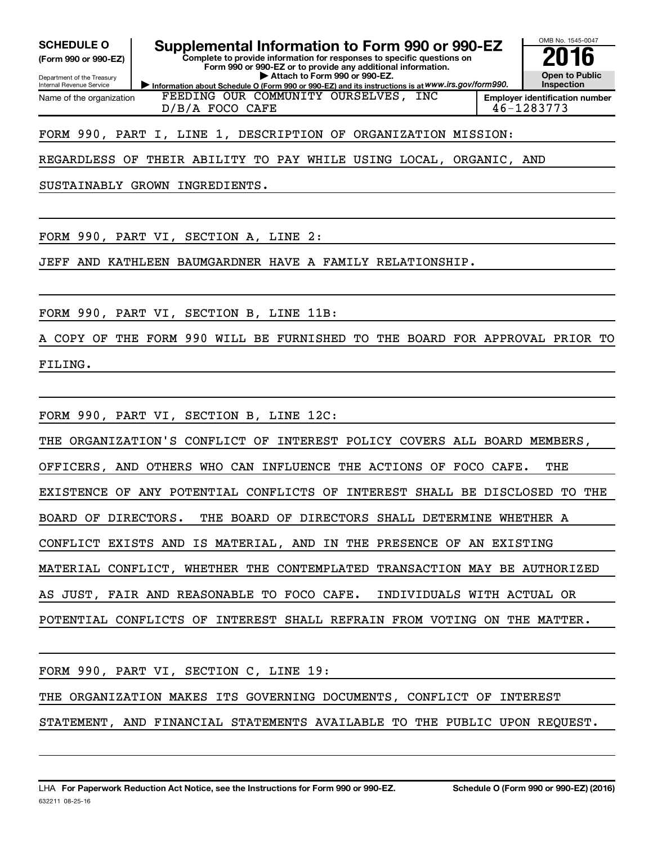**(Form 990 or 990-EZ)**

Department of the Treasury Internal Revenue Service

Name of the organization

# **SCHEDULE O Supplemental Information to Form 990 or 990-EZ 2016**

**Complete to provide information for responses to specific questions on Form 990 or 990-EZ or to provide any additional information. | Attach to Form 990 or 990-EZ.**

**Information about Schedule O (Form 990 or 990-EZ) and its instructions is at WWW.irs.gov/form990.** FEEDING OUR COMMUNITY OURSELVES, INC D/B/A FOCO CAFE 46-1283773



OMB No. 1545-0047

FORM 990, PART I, LINE 1, DESCRIPTION OF ORGANIZATION MISSION:

REGARDLESS OF THEIR ABILITY TO PAY WHILE USING LOCAL, ORGANIC, AND

SUSTAINABLY GROWN INGREDIENTS.

FORM 990, PART VI, SECTION A, LINE 2:

JEFF AND KATHLEEN BAUMGARDNER HAVE A FAMILY RELATIONSHIP.

FORM 990, PART VI, SECTION B, LINE 11B:

A COPY OF THE FORM 990 WILL BE FURNISHED TO THE BOARD FOR APPROVAL PRIOR TO FILING.

FORM 990, PART VI, SECTION B, LINE 12C:

THE ORGANIZATION'S CONFLICT OF INTEREST POLICY COVERS ALL BOARD MEMBERS,

OFFICERS, AND OTHERS WHO CAN INFLUENCE THE ACTIONS OF FOCO CAFE. THE

EXISTENCE OF ANY POTENTIAL CONFLICTS OF INTEREST SHALL BE DISCLOSED TO THE

BOARD OF DIRECTORS. THE BOARD OF DIRECTORS SHALL DETERMINE WHETHER A

CONFLICT EXISTS AND IS MATERIAL, AND IN THE PRESENCE OF AN EXISTING

MATERIAL CONFLICT, WHETHER THE CONTEMPLATED TRANSACTION MAY BE AUTHORIZED

AS JUST, FAIR AND REASONABLE TO FOCO CAFE. INDIVIDUALS WITH ACTUAL OR

POTENTIAL CONFLICTS OF INTEREST SHALL REFRAIN FROM VOTING ON THE MATTER.

FORM 990, PART VI, SECTION C, LINE 19:

THE ORGANIZATION MAKES ITS GOVERNING DOCUMENTS, CONFLICT OF INTEREST

STATEMENT, AND FINANCIAL STATEMENTS AVAILABLE TO THE PUBLIC UPON REQUEST.